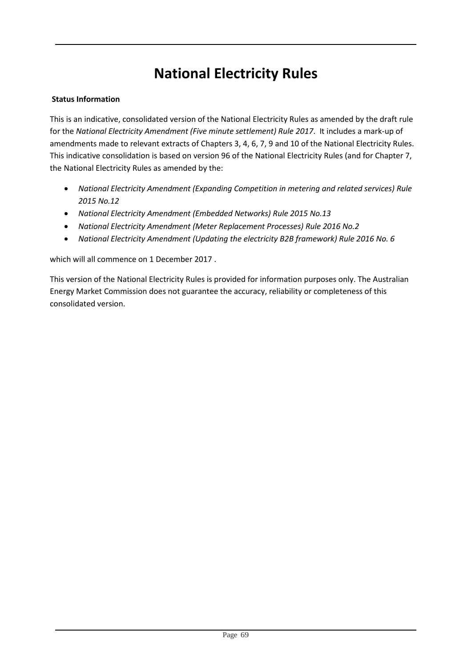# **National Electricity Rules**

#### **Status Information**

This is an indicative, consolidated version of the National Electricity Rules as amended by the draft rule for the *National Electricity Amendment (Five minute settlement) Rule 2017*. It includes a mark-up of amendments made to relevant extracts of Chapters 3, 4, 6, 7, 9 and 10 of the National Electricity Rules. This indicative consolidation is based on version 96 of the National Electricity Rules (and for Chapter 7, the National Electricity Rules as amended by the:

- *National Electricity Amendment (Expanding Competition in metering and related services) Rule 2015 No.12*
- *National Electricity Amendment (Embedded Networks) Rule 2015 No.13*
- *National Electricity Amendment (Meter Replacement Processes) Rule 2016 No.2*
- *National Electricity Amendment (Updating the electricity B2B framework) Rule 2016 No. 6*

which will all commence on 1 December 2017 .

This version of the National Electricity Rules is provided for information purposes only. The Australian Energy Market Commission does not guarantee the accuracy, reliability or completeness of this consolidated version.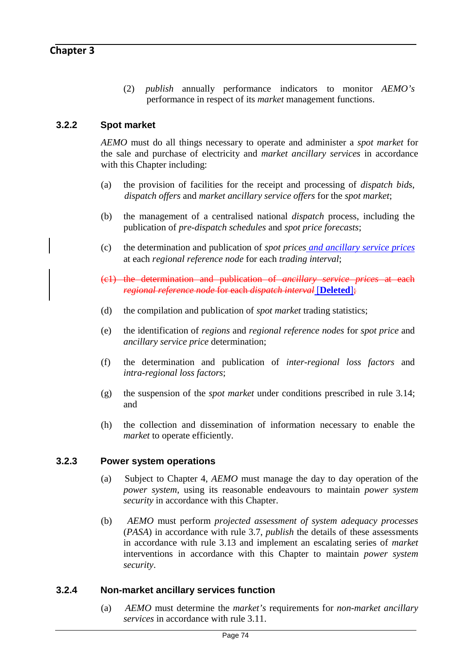(2) *publish* annually performance indicators to monitor *AEMO's* performance in respect of its *market* management functions.

# **3.2.2 Spot market**

*AEMO* must do all things necessary to operate and administer a *spot market* for the sale and purchase of electricity and *market ancillary services* in accordance with this Chapter including:

- (a) the provision of facilities for the receipt and processing of *dispatch bids*, *dispatch offers* and *market ancillary service offers* for the *spot market*;
- (b) the management of a centralised national *dispatch* process, including the publication of *pre-dispatch schedules* and *spot price forecasts*;
- (c) the determination and publication of *spot prices and ancillary service prices* at each *regional reference node* for each *trading interval*;
- (c1) the determination and publication of *ancillary service prices* at each *regional reference node* for each *dispatch interval* [**Deleted**];
- (d) the compilation and publication of *spot market* trading statistics;
- (e) the identification of *regions* and *regional reference nodes* for *spot price* and *ancillary service price* determination;
- (f) the determination and publication of *inter-regional loss factors* and *intra-regional loss factors*;
- (g) the suspension of the *spot market* under conditions prescribed in rule 3.14; and
- (h) the collection and dissemination of information necessary to enable the *market* to operate efficiently.

#### **3.2.3 Power system operations**

- (a) Subject to Chapter 4, *AEMO* must manage the day to day operation of the *power system*, using its reasonable endeavours to maintain *power system security* in accordance with this Chapter.
- (b) *AEMO* must perform *projected assessment of system adequacy processes*  (*PASA*) in accordance with rule 3.7, *publish* the details of these assessments in accordance with rule 3.13 and implement an escalating series of *market*  interventions in accordance with this Chapter to maintain *power system security*.

#### **3.2.4 Non-market ancillary services function**

(a) *AEMO* must determine the *market's* requirements for *non-market ancillary services* in accordance with rule 3.11.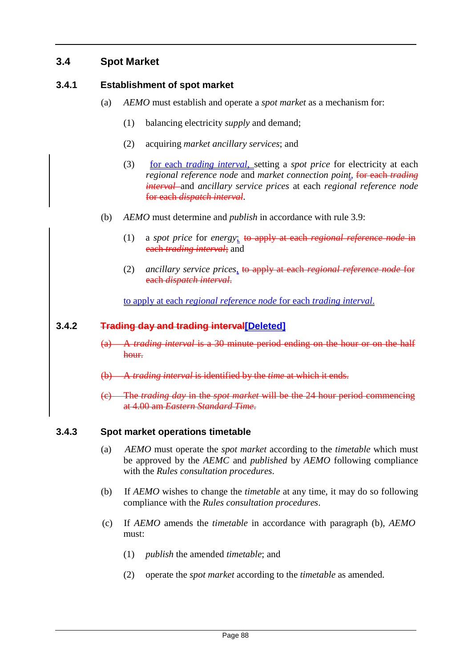# **3.4 Spot Market**

# **3.4.1 Establishment of spot market**

- (a) *AEMO* must establish and operate a *spot market* as a mechanism for:
	- (1) balancing electricity *supply* and demand;
	- (2) acquiring *market ancillary services*; and
	- (3) for each *trading interval*, setting a *spot price* for electricity at each *regional reference node* and *market connection point*, for each *trading interval* and *ancillary service prices* at each *regional reference node*  for each *dispatch interval*.
- (b) *AEMO* must determine and *publish* in accordance with rule 3.9:
	- (1) a *spot price* for *energy*; to apply at each *regional reference node* in each *trading interval*; and
	- (2) *ancillary service prices*, to apply at each *regional reference node* for each *dispatch interval*.

to apply at each *regional reference node* for each *trading interval*.

#### **3.4.2 Trading day and trading interval[Deleted]**

- (a) A *trading interval* is a 30 minute period ending on the hour or on the half hour.
- (b) A *trading interval* is identified by the *time* at which it ends.
- (c) The *trading day* in the *spot market* will be the 24 hour period commencing at 4.00 am *Eastern Standard Time*.

#### **3.4.3 Spot market operations timetable**

- (a) *AEMO* must operate the *spot market* according to the *timetable* which must be approved by the *AEMC* and *published* by *AEMO* following compliance with the *Rules consultation procedures*.
- (b) If *AEMO* wishes to change the *timetable* at any time, it may do so following compliance with the *Rules consultation procedures*.
- (c) If *AEMO* amends the *timetable* in accordance with paragraph (b), *AEMO* must:
	- (1) *publish* the amended *timetable*; and
	- (2) operate the *spot market* according to the *timetable* as amended.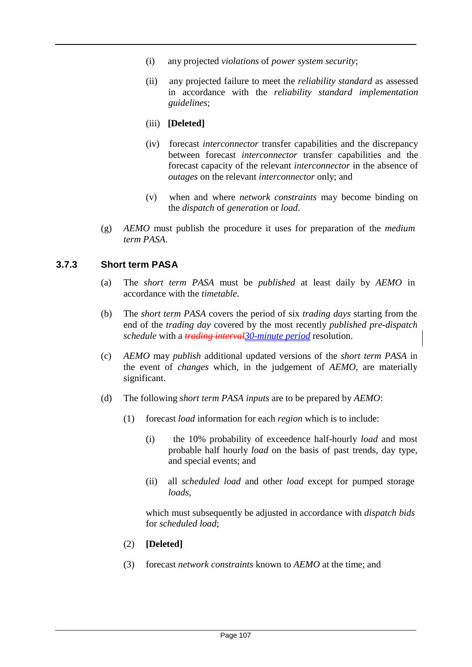- (i) any projected *violations* of *power system security*;
- (ii) any projected failure to meet the *reliability standard* as assessed in accordance with the *reliability standard implementation guidelines*;

#### (iii) **[Deleted]**

- (iv) forecast *interconnector* transfer capabilities and the discrepancy between forecast *interconnector* transfer capabilities and the forecast capacity of the relevant *interconnector* in the absence of *outages* on the relevant *interconnector* only; and
- (v) when and where *network constraints* may become binding on the *dispatch* of *generation* or *load*.
- (g) *AEMO* must publish the procedure it uses for preparation of the *medium term PASA*.

#### **3.7.3 Sh rt term PASA o**

- (a) The *short term PASA* must be *published* at least daily by *AEMO* in accordance with the *timetable*.
- (b) The *short term PASA* covers the period of six *trading days* starting from the end of the *trading day* covered by the most recently *published pre-dispatch schedule* with a *trading interval30-minute period* resolution.
- (c) *AEMO* may *publish* additional updated versions of the *short term PASA* in the event of *changes* which, in the judgement of *AEMO*, are materially significant.
- (d) The following *short term PASA inputs* are to be prepared by *AEMO*:
	- (1) forecast *load* information for each *region* which is to include:
		- (i) the 10% probability of exceedence half-hourly *load* and most probable half hourly *load* on the basis of past trends, day type, and special events; and
		- (ii) all *scheduled load* and other *load* except for pumped storage *loads*,

which must subsequently be adjusted in accordance with *dispatch bids* for *scheduled load*;

- (2) **[Deleted]**
- (3) forecast *network constraints* known to *AEMO* at the time; and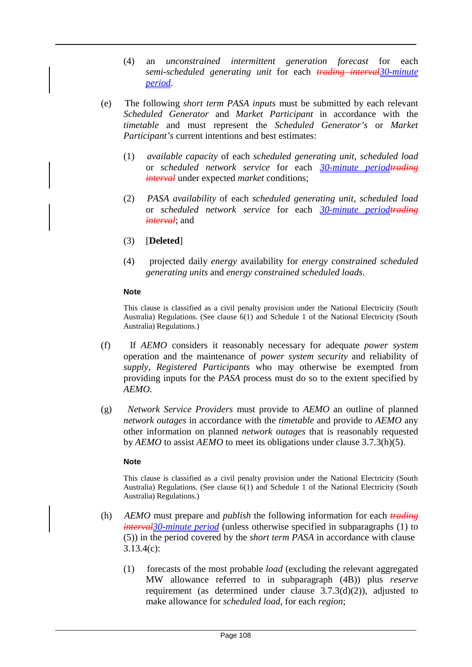- (4) an *unconstrained intermittent generation forecast* for each *semi-scheduled generating unit* for each *trading interval30-minute period*.
- (e) The following *short term PASA inputs* must be submitted by each relevant *Scheduled Generator* and *Market Participant* in accordance with the *timetable* and must represent the *Scheduled Generator's* or *Market Participant's* current intentions and best estimates:
	- (1) *available capacity* of each *scheduled generating unit*, *scheduled load*  or *scheduled network service* for each *30-minute periodtrading interval* under expected *market* conditions;
	- (2) *PASA availability* of each *scheduled generating unit*, *scheduled load*  or *scheduled network service* for each *30-minute periodtrading interval*; and
	- (3) [**Deleted**]
	- (4) projected daily *energy* availability for *energy constrained scheduled generating units* and *energy constrained scheduled loads*.

#### **Note**

This clause is classified as a civil penalty provision under the National Electricity (South Australia) Regulations. (See clause 6(1) and Schedule 1 of the National Electricity (South Australia) Regulations.)

- (f) If *AEMO* considers it reasonably necessary for adequate *power system*  operation and the maintenance of *power system security* and reliability of *supply*, *Registered Participants* who may otherwise be exempted from providing inputs for the *PASA* process must do so to the extent specified by *AEMO*.
- (g) *Network Service Providers* must provide to *AEMO* an outline of planned *network outages* in accordance with the *timetable* and provide to *AEMO* any other information on planned *network outages* that is reasonably requested by *AEMO* to assist *AEMO* to meet its obligations under clause 3.7.3(h)(5).

#### **Note**

This clause is classified as a civil penalty provision under the National Electricity (South Australia) Regulations. (See clause 6(1) and Schedule 1 of the National Electricity (South Australia) Regulations.)

- (h) *AEMO* must prepare and *publish* the following information for each *trading interval30-minute period* (unless otherwise specified in subparagraphs (1) to (5)) in the period covered by the *short term PASA* in accordance with clause 3.13.4(c):
	- (1) forecasts of the most probable *load* (excluding the relevant aggregated MW allowance referred to in subparagraph (4B)) plus *reserve*  requirement (as determined under clause 3.7.3(d)(2)), adjusted to make allowance for *scheduled load*, for each *region*;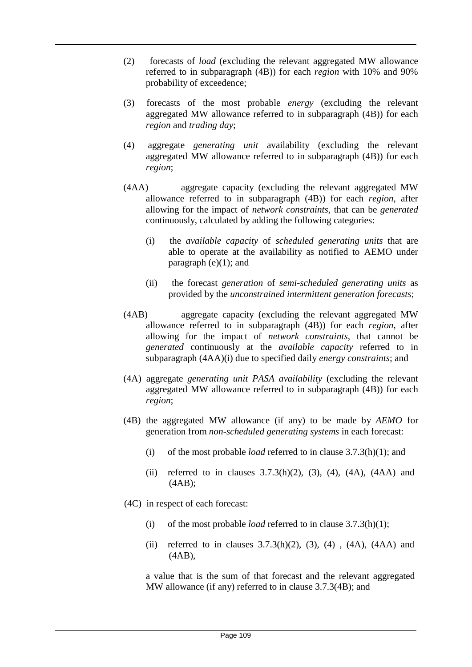- (2) forecasts of *load* (excluding the relevant aggregated MW allowance referred to in subparagraph (4B)) for each *region* with 10% and 90% probability of exceedence;
- (3) forecasts of the most probable *energy* (excluding the relevant aggregated MW allowance referred to in subparagraph (4B)) for each *region* and *trading day*;
- (4) aggregate *generating unit* availability (excluding the relevant aggregated MW allowance referred to in subparagraph (4B)) for each *region*;
- (4AA) aggregate capacity (excluding the relevant aggregated MW allowance referred to in subparagraph (4B)) for each *region*, after allowing for the impact of *network constraints*, that can be *generated*  continuously, calculated by adding the following categories:
	- (i) the *available capacity* of *scheduled generating units* that are able to operate at the availability as notified to AEMO under paragraph (e)(1); and
	- (ii) the forecast *generation* of *semi-scheduled generating units* as provided by the *unconstrained intermittent generation forecasts*;
- (4AB) aggregate capacity (excluding the relevant aggregated MW allowance referred to in subparagraph (4B)) for each *region*, after allowing for the impact of *network constraints*, that cannot be *generated* continuously at the *available capacity* referred to in subparagraph (4AA)(i) due to specified daily *energy constraints*; and
- (4A) aggregate *generating unit PASA availability* (excluding the relevant aggregated MW allowance referred to in subparagraph (4B)) for each *region*;
- (4B) the aggregated MW allowance (if any) to be made by *AEMO* for generation from *non-scheduled generating systems* in each forecast:
	- (i) of the most probable *load* referred to in clause 3.7.3(h)(1); and
	- (ii) referred to in clauses  $3.7.3(h)(2)$ ,  $(3)$ ,  $(4)$ ,  $(4A)$ ,  $(4AA)$  and (4AB);
- (4C) in respect of each forecast:
	- (i) of the most probable *load* referred to in clause 3.7.3(h)(1);
	- (ii) referred to in clauses  $3.7.3(h)(2)$ ,  $(3)$ ,  $(4)$ ,  $(4A)$ ,  $(4AA)$  and (4AB),

a value that is the sum of that forecast and the relevant aggregated MW allowance (if any) referred to in clause 3.7.3(4B); and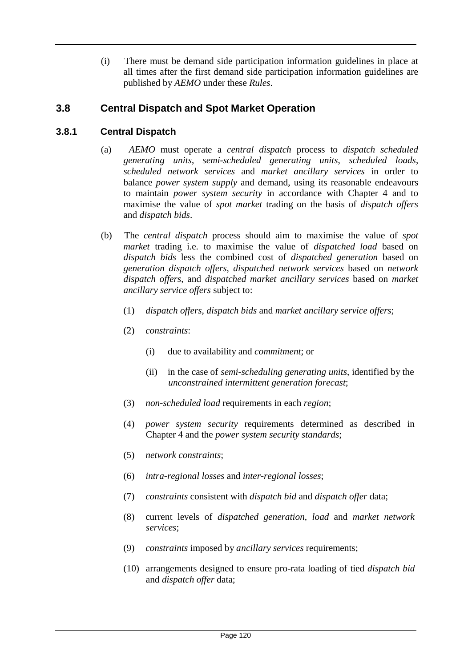(i) There must be demand side participation information guidelines in place at all times after the first demand side participation information guidelines are published by *AEMO* under these *Rules*.

# **3.8 Central Dispatch and Spot Market Operation**

# **3.8.1 Central Dispatch**

- (a) *AEMO* must operate a *central dispatch* process to *dispatch scheduled generating units*, *semi-scheduled generating units*, *scheduled loads*, *scheduled network services* and *market ancillary services* in order to balance *power system supply* and demand, using its reasonable endeavours to maintain *power system security* in accordance with Chapter 4 and to maximise the value of *spot market* trading on the basis of *dispatch offers*  and *dispatch bids*.
- (b) The *central dispatch* process should aim to maximise the value of *spot market* trading i.e. to maximise the value of *dispatched load* based on *dispatch bids* less the combined cost of *dispatched generation* based on *generation dispatch offers*, *dispatched network services* based on *network dispatch offers*, and *dispatched market ancillary services* based on *market ancillary service offers* subject to:
	- (1) *dispatch offers*, *dispatch bids* and *market ancillary service offers*;
	- (2) *constraints*:
		- (i) due to availability and *commitment*; or
		- (ii) in the case of *semi-scheduling generating units*, identified by the *unconstrained intermittent generation forecast*;
	- (3) *non-scheduled load* requirements in each *region*;
	- (4) *power system security* requirements determined as described in Chapter 4 and the *power system security standards*;
	- (5) *network constraints*;
	- (6) *intra-regional losses* and *inter-regional losses*;
	- (7) *constraints* consistent with *dispatch bid* and *dispatch offer* data;
	- (8) current levels of *dispatched generation*, *load* and *market network services*;
	- (9) *constraints* imposed by *ancillary services* requirements;
	- (10) arrangements designed to ensure pro-rata loading of tied *dispatch bid* and *dispatch offer* data;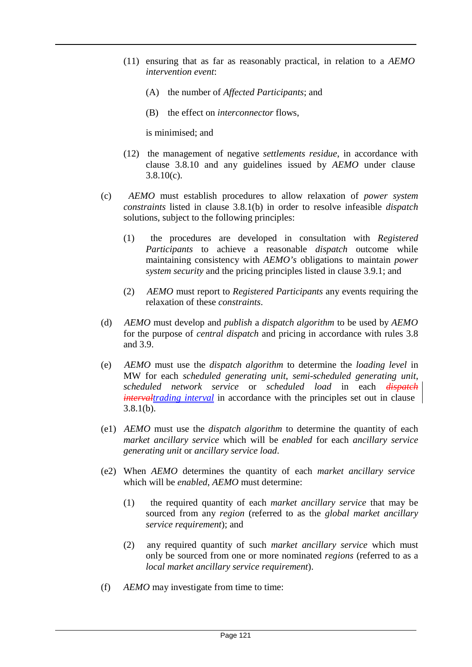- (11) ensuring that as far as reasonably practical, in relation to a *AEMO intervention event*:
	- (A) the number of *Affected Participants*; and
	- (B) the effect on *interconnector* flows,

is minimised; and

- (12) the management of negative *settlements residue*, in accordance with clause 3.8.10 and any guidelines issued by *AEMO* under clause  $3.8.10(c)$ .
- (c) *AEMO* must establish procedures to allow relaxation of *power system constraints* listed in clause 3.8.1(b) in order to resolve infeasible *dispatch*  solutions, subject to the following principles:
	- (1) the procedures are developed in consultation with *Registered Participants* to achieve a reasonable *dispatch* outcome while maintaining consistency with *AEMO's* obligations to maintain *power system security* and the pricing principles listed in clause 3.9.1; and
	- (2) *AEMO* must report to *Registered Participants* any events requiring the relaxation of these *constraints*.
- (d) *AEMO* must develop and *publish* a *dispatch algorithm* to be used by *AEMO*  for the purpose of *central dispatch* and pricing in accordance with rules 3.8 and 3.9.
- (e) *AEMO* must use the *dispatch algorithm* to determine the *loading level* in MW for each *scheduled generating unit*, *semi-scheduled generating unit*, *scheduled network service* or *scheduled load* in each *dispatch intervaltrading interval* in accordance with the principles set out in clause 3.8.1(b).
- (e1) *AEMO* must use the *dispatch algorithm* to determine the quantity of each *market ancillary service* which will be *enabled* for each *ancillary service generating unit* or *ancillary service load*.
- (e2) When *AEMO* determines the quantity of each *market ancillary service* which will be *enabled*, *AEMO* must determine:
	- (1) the required quantity of each *market ancillary service* that may be sourced from any *region* (referred to as the *global market ancillary service requirement*); and
	- (2) any required quantity of such *market ancillary service* which must only be sourced from one or more nominated *regions* (referred to as a *local market ancillary service requirement*).
- (f) *AEMO* may investigate from time to time: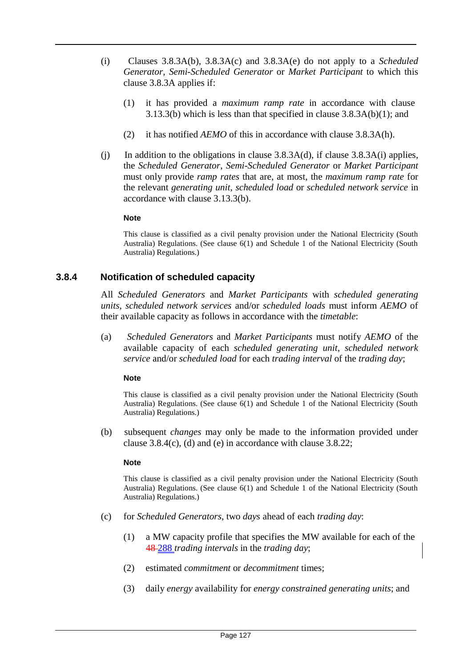- (i) Clauses 3.8.3A(b), 3.8.3A(c) and 3.8.3A(e) do not apply to a *Scheduled Generator*, *Semi-Scheduled Generator* or *Market Participant* to which this clause 3.8.3A applies if:
	- (1) it has provided a *maximum ramp rate* in accordance with clause 3.13.3(b) which is less than that specified in clause 3.8.3A(b)(1); and
	- (2) it has notified *AEMO* of this in accordance with clause 3.8.3A(h).
- (i) In addition to the obligations in clause  $3.8.3A(d)$ , if clause  $3.8.3A(i)$  applies, the *Scheduled Generator*, *Semi-Scheduled Generator* or *Market Participant*  must only provide *ramp rates* that are, at most, the *maximum ramp rate* for the relevant *generating unit*, *scheduled load* or *scheduled network service* in accordance with clause 3.13.3(b).

#### **Note**

This clause is classified as a civil penalty provision under the National Electricity (South Australia) Regulations. (See clause 6(1) and Schedule 1 of the National Electricity (South Australia) Regulations.)

#### **3.8.4 Notification of scheduled capacity**

All *Scheduled Generators* and *Market Participants* with *scheduled generating units*, *scheduled network services* and/or *scheduled loads* must inform *AEMO* of their available capacity as follows in accordance with the *timetable*:

(a) *Scheduled Generators* and *Market Participants* must notify *AEMO* of the available capacity of each *scheduled generating unit*, *scheduled network service* and/or *scheduled load* for each *trading interval* of the *trading day*;

#### **Note**

This clause is classified as a civil penalty provision under the National Electricity (South Australia) Regulations. (See clause 6(1) and Schedule 1 of the National Electricity (South Australia) Regulations.)

(b) subsequent *changes* may only be made to the information provided under clause 3.8.4(c), (d) and (e) in accordance with clause 3.8.22;

#### **Note**

This clause is classified as a civil penalty provision under the National Electricity (South Australia) Regulations. (See clause 6(1) and Schedule 1 of the National Electricity (South Australia) Regulations.)

- (c) for *Scheduled Generators*, two *days* ahead of each *trading day*:
	- (1) a MW capacity profile that specifies the MW available for each of the 48 288 *trading intervals* in the *trading day*;
	- (2) estimated *commitment* or *decommitment* times;
	- (3) daily *energy* availability for *energy constrained generating units*; and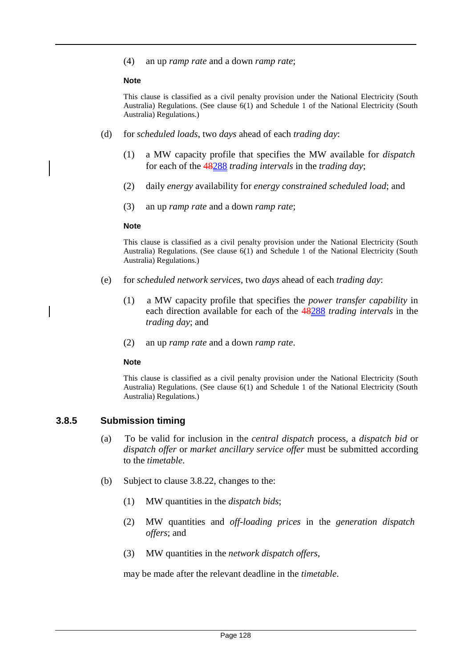(4) an up *ramp rate* and a down *ramp rate*;

#### **Note**

This clause is classified as a civil penalty provision under the National Electricity (South Australia) Regulations. (See clause 6(1) and Schedule 1 of the National Electricity (South Australia) Regulations.)

- (d) for *scheduled loads*, two *days* ahead of each *trading day*:
	- (1) a MW capacity profile that specifies the MW available for *dispatch* for each of the 48288 *trading intervals* in the *trading day*;
	- (2) daily *energy* availability for *energy constrained scheduled load*; and
	- (3) an up *ramp rate* and a down *ramp rate*;

#### **Note**

This clause is classified as a civil penalty provision under the National Electricity (South Australia) Regulations. (See clause 6(1) and Schedule 1 of the National Electricity (South Australia) Regulations.)

- (e) for *scheduled network services*, two *days* ahead of each *trading day*:
	- (1) a MW capacity profile that specifies the *power transfer capability* in each direction available for each of the 48288 *trading intervals* in the *trading day*; and
	- (2) an up *ramp rate* and a down *ramp rate*.

#### **Note**

This clause is classified as a civil penalty provision under the National Electricity (South Australia) Regulations. (See clause 6(1) and Schedule 1 of the National Electricity (South Australia) Regulations.)

#### **3.8.5 Submission timing**

- (a) To be valid for inclusion in the *central dispatch* process, a *dispatch bid* or *dispatch offer* or *market ancillary service offer* must be submitted according to the *timetable*.
- (b) Subject to clause 3.8.22, changes to the:
	- (1) MW quantities in the *dispatch bids*;
	- (2) MW quantities and *off-loading prices* in the *generation dispatch offers*; and
	- (3) MW quantities in the *network dispatch offers*,

may be made after the relevant deadline in the *timetable*.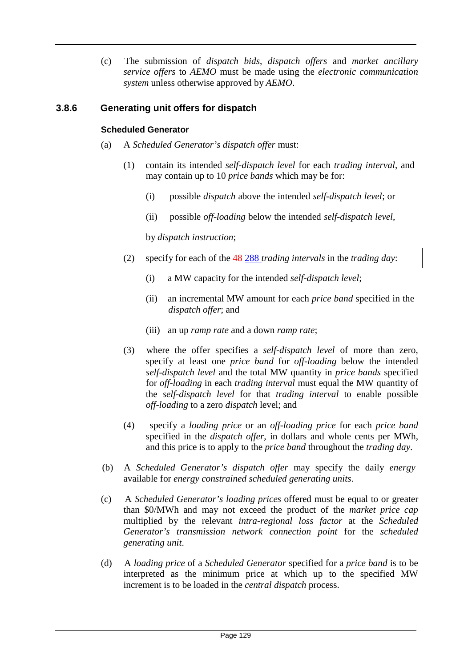(c) The submission of *dispatch bids*, *dispatch offers* and *market ancillary service offers* to *AEMO* must be made using the *electronic communication system* unless otherwise approved by *AEMO*.

# **3.8.6 Generating unit offers for dispatch**

#### **Scheduled Generator**

- (a) A *Scheduled Generator's dispatch offer* must:
	- (1) contain its intended *self-dispatch level* for each *trading interval*, and may contain up to 10 *price bands* which may be for:
		- (i) possible *dispatch* above the intended *self-dispatch level*; or
		- (ii) possible *off-loading* below the intended *self-dispatch level*,

by *dispatch instruction*;

- (2) specify for each of the 48 288 *trading intervals* in the *trading day*:
	- (i) a MW capacity for the intended *self-dispatch level*;
	- (ii) an incremental MW amount for each *price band* specified in the *dispatch offer*; and
	- (iii) an up *ramp rate* and a down *ramp rate*;
- (3) where the offer specifies a *self-dispatch level* of more than zero, specify at least one *price band* for *off-loading* below the intended *self-dispatch level* and the total MW quantity in *price bands* specified for *off-loading* in each *trading interval* must equal the MW quantity of the *self-dispatch level* for that *trading interval* to enable possible *off-loading* to a zero *dispatch* level; and
- (4) specify a *loading price* or an *off-loading price* for each *price band*  specified in the *dispatch offer*, in dollars and whole cents per MWh, and this price is to apply to the *price band* throughout the *trading day*.
- (b) A *Scheduled Generator's dispatch offer* may specify the daily *energy* available for *energy constrained scheduled generating units*.
- (c) A *Scheduled Generator's loading prices* offered must be equal to or greater than \$0/MWh and may not exceed the product of the *market price cap*  multiplied by the relevant *intra-regional loss factor* at the *Scheduled Generator's transmission network connection point* for the *scheduled generating unit*.
- (d) A *loading price* of a *Scheduled Generator* specified for a *price band* is to be interpreted as the minimum price at which up to the specified MW increment is to be loaded in the *central dispatch* process.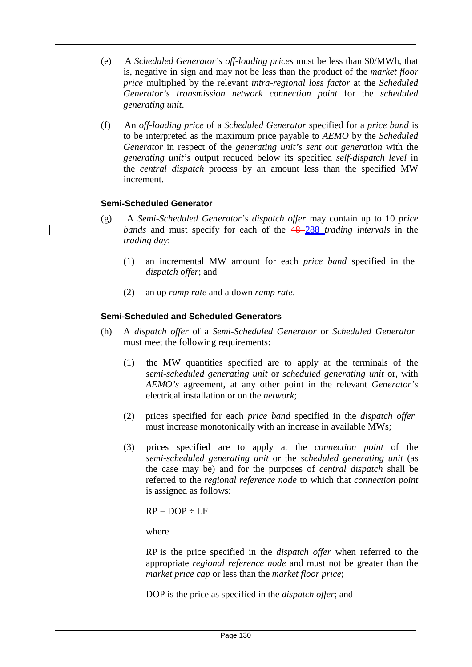- (e) A *Scheduled Generator's off-loading prices* must be less than \$0/MWh, that is, negative in sign and may not be less than the product of the *market floor price* multiplied by the relevant *intra-regional loss factor* at the *Scheduled Generator's transmission network connection point* for the *scheduled generating unit*.
- (f) An *off-loading price* of a *Scheduled Generator* specified for a *price band* is to be interpreted as the maximum price payable to *AEMO* by the *Scheduled Generator* in respect of the *generating unit's sent out generation* with the *generating unit's* output reduced below its specified *self-dispatch level* in the *central dispatch* process by an amount less than the specified MW increment.

#### **Semi-Scheduled Generator**

- (g) A *Semi-Scheduled Generator's dispatch offer* may contain up to 10 *price bands* and must specify for each of the 48 288 *trading intervals* in the *trading day*:
	- (1) an incremental MW amount for each *price band* specified in the *dispatch offer*; and
	- (2) an up *ramp rate* and a down *ramp rate*.

#### **Semi-Scheduled and Scheduled Generators**

- (h) A *dispatch offer* of a *Semi-Scheduled Generator* or *Scheduled Generator* must meet the following requirements:
	- (1) the MW quantities specified are to apply at the terminals of the *semi-scheduled generating unit* or *scheduled generating unit* or, with *AEMO's* agreement, at any other point in the relevant *Generator's*  electrical installation or on the *network*;
	- (2) prices specified for each *price band* specified in the *dispatch offer* must increase monotonically with an increase in available MWs;
	- (3) prices specified are to apply at the *connection point* of the *semi-scheduled generating unit* or the *scheduled generating unit* (as the case may be) and for the purposes of *central dispatch* shall be referred to the *regional reference node* to which that *connection point*  is assigned as follows:

 $RP = DOP \div LF$ 

where

RP is the price specified in the *dispatch offer* when referred to the appropriate *regional reference node* and must not be greater than the *market price cap* or less than the *market floor price*;

DOP is the price as specified in the *dispatch offer*; and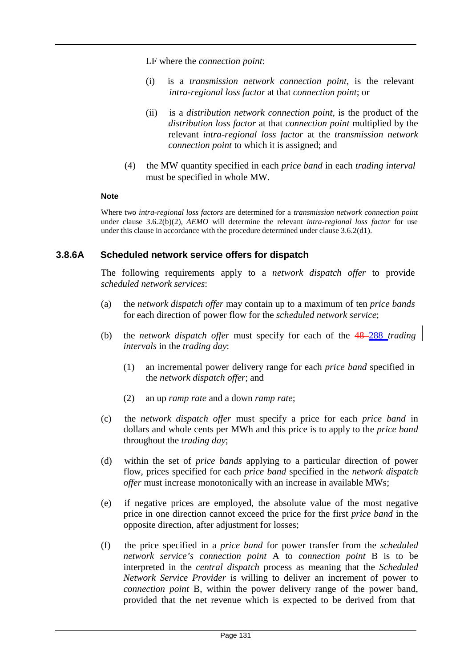LF where the *connection point*:

- (i) is a *transmission network connection point*, is the relevant *intra-regional loss factor* at that *connection point*; or
- (ii) is a *distribution network connection point*, is the product of the *distribution loss factor* at that *connection point* multiplied by the relevant *intra-regional loss factor* at the *transmission network connection point* to which it is assigned; and
- (4) the MW quantity specified in each *price band* in each *trading interval* must be specified in whole MW.

#### **Note**

Where two *intra-regional loss factors* are determined for a *transmission network connection point*  under clause 3.6.2(b)(2), *AEMO* will determine the relevant *intra-regional loss factor* for use under this clause in accordance with the procedure determined under clause 3.6.2(d1).

#### **3.8.6A Scheduled network service offers for dispatch**

The following requirements apply to a *network dispatch offer* to provide *scheduled network services*:

- (a) the *network dispatch offer* may contain up to a maximum of ten *price bands* for each direction of power flow for the *scheduled network service*;
- (b) the *network* dispatch offer must specify for each of the  $48-288$  *trading intervals* in the *trading day*:
	- (1) an incremental power delivery range for each *price band* specified in the *network dispatch offer*; and
	- (2) an up *ramp rate* and a down *ramp rate*;
- (c) the *network dispatch offer* must specify a price for each *price band* in dollars and whole cents per MWh and this price is to apply to the *price band*  throughout the *trading day*;
- (d) within the set of *price bands* applying to a particular direction of power flow, prices specified for each *price band* specified in the *network dispatch offer* must increase monotonically with an increase in available MWs;
- (e) if negative prices are employed, the absolute value of the most negative price in one direction cannot exceed the price for the first *price band* in the opposite direction, after adjustment for losses;
- (f) the price specified in a *price band* for power transfer from the *scheduled network service's connection point* A to *connection point* B is to be interpreted in the *central dispatch* process as meaning that the *Scheduled Network Service Provider* is willing to deliver an increment of power to *connection point* B, within the power delivery range of the power band, provided that the net revenue which is expected to be derived from that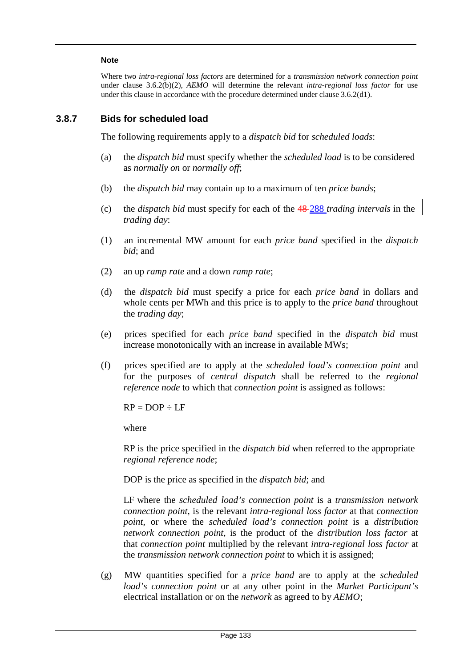#### **Note**

Where two *intra-regional loss factors* are determined for a *transmission network connection point*  under clause 3.6.2(b)(2), *AEMO* will determine the relevant *intra-regional loss factor* for use under this clause in accordance with the procedure determined under clause 3.6.2(d1).

#### **3.8.7 Bids for scheduled load**

The following requirements apply to a *dispatch bid* for *scheduled loads*:

- (a) the *dispatch bid* must specify whether the *scheduled load* is to be considered as *normally on* or *normally off*;
- (b) the *dispatch bid* may contain up to a maximum of ten *price bands*;
- (c) the *dispatch bid* must specify for each of the 48 288 *trading intervals* in the *trading day*:
- (1) an incremental MW amount for each *price band* specified in the *dispatch bid*; and
- (2) an up *ramp rate* and a down *ramp rate*;
- (d) the *dispatch bid* must specify a price for each *price band* in dollars and whole cents per MWh and this price is to apply to the *price band* throughout the *trading day*;
- (e) prices specified for each *price band* specified in the *dispatch bid* must increase monotonically with an increase in available MWs;
- (f) prices specified are to apply at the *scheduled load's connection point* and for the purposes of *central dispatch* shall be referred to the *regional reference node* to which that *connection point* is assigned as follows:

 $RP = DOP \div LF$ 

where

RP is the price specified in the *dispatch bid* when referred to the appropriate *regional reference node*;

DOP is the price as specified in the *dispatch bid*; and

LF where the *scheduled load's connection point* is a *transmission network connection point*, is the relevant *intra-regional loss factor* at that *connection point*, or where the *scheduled load's connection point* is a *distribution network connection point*, is the product of the *distribution loss factor* at that *connection point* multiplied by the relevant *intra-regional loss factor* at the *transmission network connection point* to which it is assigned;

(g) MW quantities specified for a *price band* are to apply at the *scheduled load's connection point* or at any other point in the *Market Participant's*  electrical installation or on the *network* as agreed to by *AEMO*;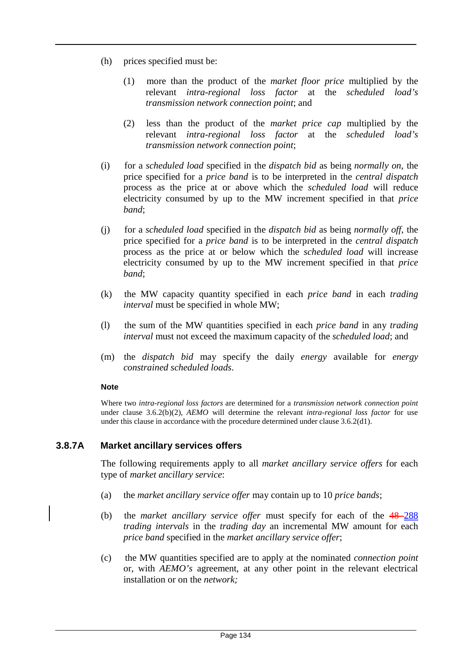- (h) prices specified must be:
	- (1) more than the product of the *market floor price* multiplied by the relevant *intra-regional loss factor* at the *scheduled load's transmission network connection point*; and
	- (2) less than the product of the *market price cap* multiplied by the relevant *intra-regional loss factor* at the *scheduled load's transmission network connection point*;
- (i) for a *scheduled load* specified in the *dispatch bid* as being *normally on*, the price specified for a *price band* is to be interpreted in the *central dispatch*  process as the price at or above which the *scheduled load* will reduce electricity consumed by up to the MW increment specified in that *price band*;
- (j) for a *scheduled load* specified in the *dispatch bid* as being *normally off*, the price specified for a *price band* is to be interpreted in the *central dispatch*  process as the price at or below which the *scheduled load* will increase electricity consumed by up to the MW increment specified in that *price band*;
- (k) the MW capacity quantity specified in each *price band* in each *trading interval* must be specified in whole MW;
- (l) the sum of the MW quantities specified in each *price band* in any *trading interval* must not exceed the maximum capacity of the *scheduled load*; and
- (m) the *dispatch bid* may specify the daily *energy* available for *energy constrained scheduled loads*.

#### **Note**

Where two *intra-regional loss factors* are determined for a *transmission network connection point*  under clause 3.6.2(b)(2), *AEMO* will determine the relevant *intra-regional loss factor* for use under this clause in accordance with the procedure determined under clause 3.6.2(d1).

#### **3.8.7A Market ancillary services offers**

The following requirements apply to all *market ancillary service offers* for each type of *market ancillary service*:

- (a) the *market ancillary service offer* may contain up to 10 *price bands*;
- (b) the *market ancillary service offer* must specify for each of the 48 288 *trading intervals* in the *trading day* an incremental MW amount for each *price band* specified in the *market ancillary service offer*;
- (c) the MW quantities specified are to apply at the nominated *connection point*  or, with *AEMO's* agreement, at any other point in the relevant electrical installation or on the *network;*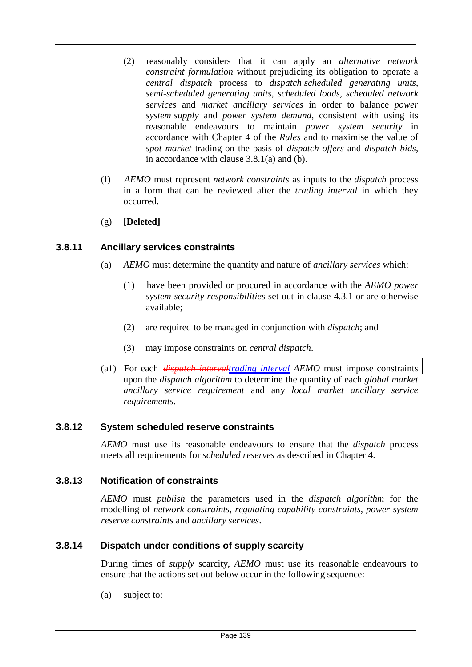- (2) reasonably considers that it can apply an *alternative network constraint formulation* without prejudicing its obligation to operate a *central dispatch* process to *dispatch scheduled generating units*, *semi-scheduled generating units*, *scheduled loads*, *scheduled network services* and *market ancillary services* in order to balance *power system supply* and *power system demand*, consistent with using its reasonable endeavours to maintain *power system security* in accordance with Chapter 4 of the *Rules* and to maximise the value of *spot market* trading on the basis of *dispatch offers* and *dispatch bids*, in accordance with clause 3.8.1(a) and (b).
- (f) *AEMO* must represent *network constraints* as inputs to the *dispatch* process in a form that can be reviewed after the *trading interval* in which they occurred.
- (g) **[Deleted]**

# **3.8.11 Ancillary services constraints**

- (a) *AEMO* must determine the quantity and nature of *ancillary services* which:
	- (1) have been provided or procured in accordance with the *AEMO power system security responsibilities* set out in clause 4.3.1 or are otherwise available;
	- (2) are required to be managed in conjunction with *dispatch*; and
	- (3) may impose constraints on *central dispatch*.
- (a1) For each *dispatch intervaltrading interval AEMO* must impose constraints upon the *dispatch algorithm* to determine the quantity of each *global market ancillary service requirement* and any *local market ancillary service requirements*.

#### **3.8.12 System scheduled reserve constraints**

*AEMO* must use its reasonable endeavours to ensure that the *dispatch* process meets all requirements for *scheduled reserves* as described in Chapter 4.

#### **3.8.13 Notification of constraints**

*AEMO* must *publish* the parameters used in the *dispatch algorithm* for the modelling of *network constraints*, *regulating capability constraints*, *power system reserve constraints* and *ancillary services*.

#### **3.8.14 Dispatch under conditions of supply scarcity**

During times of *supply* scarcity, *AEMO* must use its reasonable endeavours to ensure that the actions set out below occur in the following sequence:

(a) subject to: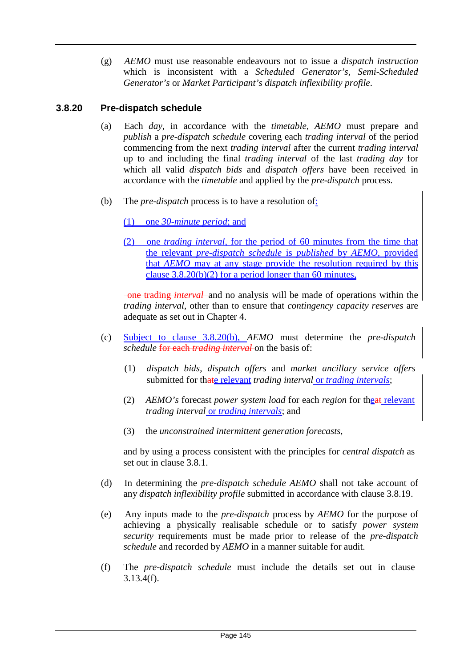(g) *AEMO* must use reasonable endeavours not to issue a *dispatch instruction*  which is inconsistent with a *Scheduled Generator's*, *Semi-Scheduled Generator's* or *Market Participant's dispatch inflexibility profile*.

# **3.8.20 Pre-dispatch schedule**

- (a) Each *day*, in accordance with the *timetable*, *AEMO* must prepare and *publish* a *pre-dispatch schedule* covering each *trading interval* of the period commencing from the next *trading interval* after the current *trading interval*  up to and including the final *trading interval* of the last *trading day* for which all valid *dispatch bids* and *dispatch offers* have been received in accordance with the *timetable* and applied by the *pre-dispatch* process.
- (b) The *pre-dispatch* process is to have a resolution of:

(1) one *30-minute period*; and

(2) one *trading interval*, for the period of 60 minutes from the time that the relevant *pre-dispatch schedule* is *published* by *AEMO*, provided that *AEMO* may at any stage provide the resolution required by this clause  $3.8.20(b)(2)$  for a period longer than 60 minutes,

one trading *interval* and no analysis will be made of operations within the *trading interval*, other than to ensure that *contingency capacity reserves* are adequate as set out in Chapter 4.

- (c) Subject to clause 3.8.20(b), *AEMO* must determine the *pre-dispatch schedule* for each *trading interval* on the basis of:
	- (1) *dispatch bids*, *dispatch offers* and *market ancillary service offers* submitted for thate relevant *trading interval* or *trading intervals*;
	- (2) *AEMO's* forecast *power system load* for each *region* for theat relevant *trading interval* or *trading intervals*; and
	- (3) the *unconstrained intermittent generation forecasts*,

and by using a process consistent with the principles for *central dispatch* as set out in clause 3.8.1.

- (d) In determining the *pre-dispatch schedule AEMO* shall not take account of any *dispatch inflexibility profile* submitted in accordance with clause 3.8.19.
- (e) Any inputs made to the *pre-dispatch* process by *AEMO* for the purpose of achieving a physically realisable schedule or to satisfy *power system security* requirements must be made prior to release of the *pre-dispatch schedule* and recorded by *AEMO* in a manner suitable for audit.
- (f) The *pre-dispatch schedule* must include the details set out in clause 3.13.4(f).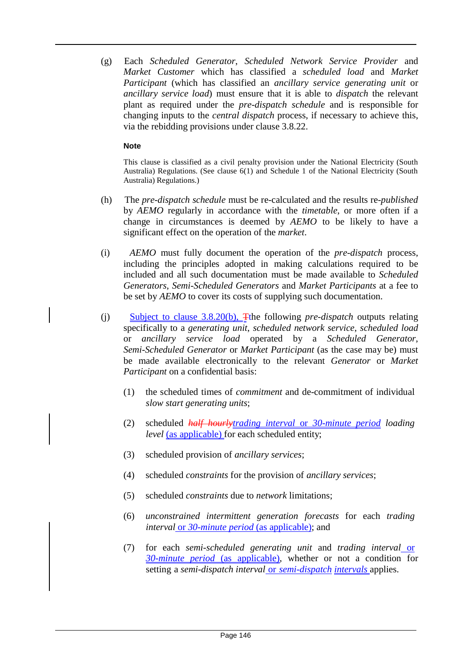(g) Each *Scheduled Generator*, *Scheduled Network Service Provider* and *Market Customer* which has classified a *scheduled load* and *Market Participant* (which has classified an *ancillary service generating unit* or *ancillary service load*) must ensure that it is able to *dispatch* the relevant plant as required under the *pre-dispatch schedule* and is responsible for changing inputs to the *central dispatch* process, if necessary to achieve this, via the rebidding provisions under clause 3.8.22.

#### **Note**

This clause is classified as a civil penalty provision under the National Electricity (South Australia) Regulations. (See clause 6(1) and Schedule 1 of the National Electricity (South Australia) Regulations.)

- (h) The *pre-dispatch schedule* must be re-calculated and the results re-*published*  by *AEMO* regularly in accordance with the *timetable*, or more often if a change in circumstances is deemed by *AEMO* to be likely to have a significant effect on the operation of the *market*.
- (i) *AEMO* must fully document the operation of the *pre-dispatch* process, including the principles adopted in making calculations required to be included and all such documentation must be made available to *Scheduled Generators*, *Semi-Scheduled Generators* and *Market Participants* at a fee to be set by *AEMO* to cover its costs of supplying such documentation.
- (j) Subject to clause 3.8.20(b), Tthe following *pre-dispatch* outputs relating specifically to a *generating unit*, *scheduled network service*, *scheduled load*  or *ancillary service load* operated by a *Scheduled Generator*, *Semi-Scheduled Generator* or *Market Participant* (as the case may be) must be made available electronically to the relevant *Generator* or *Market Participant* on a confidential basis:
	- (1) the scheduled times of *commitment* and de-commitment of individual *slow start generating units*;
	- (2) scheduled *half hourlytrading interval* or *30-minute period loading level* (as applicable) for each scheduled entity;
	- (3) scheduled provision of *ancillary services*;
	- (4) scheduled *constraints* for the provision of *ancillary services*;
	- (5) scheduled *constraints* due to *network* limitations;
	- (6) *unconstrained intermittent generation forecasts* for each *trading interval* or 30-*minute period* (as applicable); and
	- (7) for each *semi-scheduled generating unit* and *trading interval* or *30-minute period* (as applicable), whether or not a condition for setting a *semi-dispatch interval* or *semi-dispatch intervals* applies.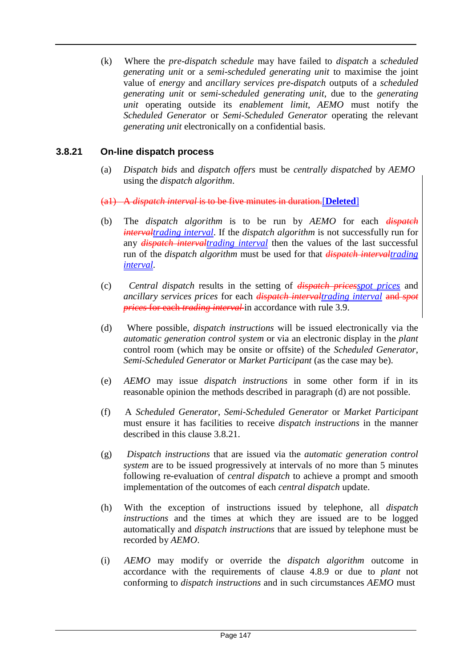(k) Where the *pre-dispatch schedule* may have failed to *dispatch* a *scheduled generating unit* or a *semi-scheduled generating unit* to maximise the joint value of *energy* and *ancillary services pre-dispatch* outputs of a *scheduled generating unit* or *semi-scheduled generating unit*, due to the *generating unit* operating outside its *enablement limit*, *AEMO* must notify the *Scheduled Generator* or *Semi-Scheduled Generator* operating the relevant *generating unit* electronically on a confidential basis.

# **3.8.21 On-line dispatch process**

(a) *Dispatch bids* and *dispatch offers* must be *centrally dispatched* by *AEMO* using the *dispatch algorithm*.

(a1) A *dispatch interval* is to be five minutes in duration.[**Deleted**]

- (b) The *dispatch algorithm* is to be run by *AEMO* for each *dispatch intervaltrading interval*. If the *dispatch algorithm* is not successfully run for any *dispatch intervaltrading interval* then the values of the last successful run of the *dispatch algorithm* must be used for that *dispatch intervaltrading interval*.
- (c) *Central dispatch* results in the setting of *dispatch pricesspot prices* and *ancillary services prices* for each *dispatch intervaltrading interval* and *spot prices* for each *trading interval* in accordance with rule 3.9.
- (d) Where possible, *dispatch instructions* will be issued electronically via the *automatic generation control system* or via an electronic display in the *plant*  control room (which may be onsite or offsite) of the *Scheduled Generator*, *Semi-Scheduled Generator* or *Market Participant* (as the case may be).
- (e) *AEMO* may issue *dispatch instructions* in some other form if in its reasonable opinion the methods described in paragraph (d) are not possible.
- (f) A *Scheduled Generator*, *Semi-Scheduled Generator* or *Market Participant*  must ensure it has facilities to receive *dispatch instructions* in the manner described in this clause 3.8.21.
- (g) *Dispatch instructions* that are issued via the *automatic generation control system* are to be issued progressively at intervals of no more than 5 minutes following re-evaluation of *central dispatch* to achieve a prompt and smooth implementation of the outcomes of each *central dispatch* update.
- (h) With the exception of instructions issued by telephone, all *dispatch instructions* and the times at which they are issued are to be logged automatically and *dispatch instructions* that are issued by telephone must be recorded by *AEMO*.
- (i) *AEMO* may modify or override the *dispatch algorithm* outcome in accordance with the requirements of clause 4.8.9 or due to *plant* not conforming to *dispatch instructions* and in such circumstances *AEMO* must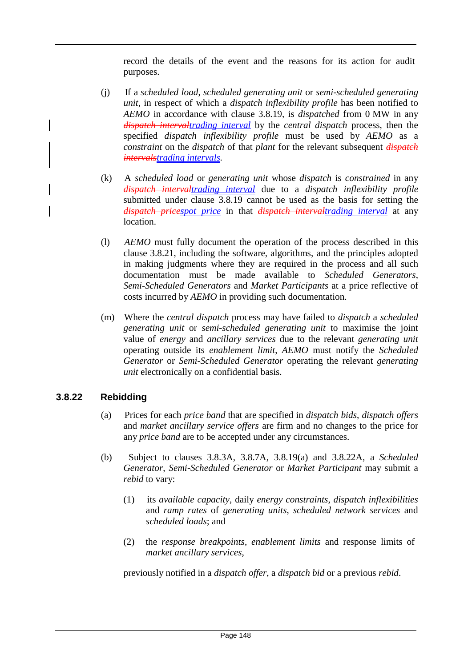record the details of the event and the reasons for its action for audit purposes.

- (j) If a *scheduled load*, *scheduled generating unit* or *semi-scheduled generating unit*, in respect of which a *dispatch inflexibility profile* has been notified to *AEMO* in accordance with clause 3.8.19, is *dispatched* from 0 MW in any *dispatch intervaltrading interval* by the *central dispatch* process, then the specified *dispatch inflexibility profile* must be used by *AEMO* as a *constraint* on the *dispatch* of that *plant* for the relevant subsequent *dispatch intervalstrading intervals*.
- (k) A *scheduled load* or *generating unit* whose *dispatch* is *constrained* in any *dispatch intervaltrading interval* due to a *dispatch inflexibility profile*  submitted under clause 3.8.19 cannot be used as the basis for setting the *dispatch pricespot price* in that *dispatch intervaltrading interval* at any location.
- (l) *AEMO* must fully document the operation of the process described in this clause 3.8.21, including the software, algorithms, and the principles adopted in making judgments where they are required in the process and all such documentation must be made available to *Scheduled Generators*, *Semi-Scheduled Generators* and *Market Participants* at a price reflective of costs incurred by *AEMO* in providing such documentation.
- (m) Where the *central dispatch* process may have failed to *dispatch* a *scheduled generating unit* or *semi-scheduled generating unit* to maximise the joint value of *energy* and *ancillary services* due to the relevant *generating unit*  operating outside its *enablement limit*, *AEMO* must notify the *Scheduled Generator* or *Semi-Scheduled Generator* operating the relevant *generating unit* electronically on a confidential basis.

#### **3.8.22 Rebidding**

- (a) Prices for each *price band* that are specified in *dispatch bids*, *dispatch offers*  and *market ancillary service offers* are firm and no changes to the price for any *price band* are to be accepted under any circumstances.
- (b) Subject to clauses 3.8.3A, 3.8.7A, 3.8.19(a) and 3.8.22A, a *Scheduled Generator*, *Semi-Scheduled Generator* or *Market Participant* may submit a *rebid* to vary:
	- (1) its *available capacity*, daily *energy constraints*, *dispatch inflexibilities*  and *ramp rates* of *generating units*, *scheduled network services* and *scheduled loads*; and
	- (2) the *response breakpoints*, *enablement limits* and response limits of *market ancillary services*,

previously notified in a *dispatch offer*, a *dispatch bid* or a previous *rebid*.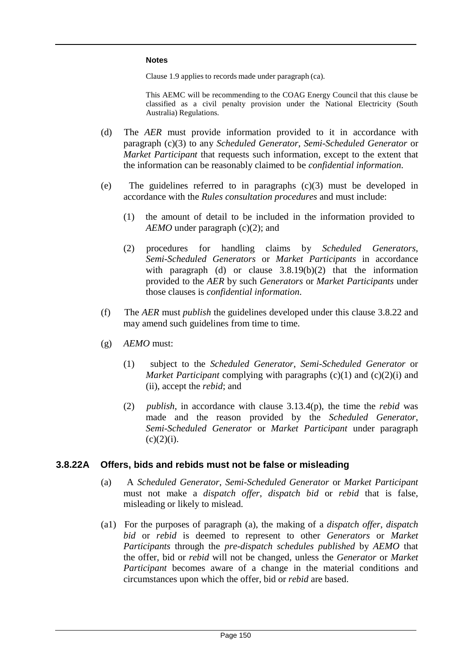#### **Notes**

Clause 1.9 applies to records made under paragraph (ca).

This AEMC will be recommending to the COAG Energy Council that this clause be classified as a civil penalty provision under the National Electricity (South Australia) Regulations.

- (d) The *AER* must provide information provided to it in accordance with paragraph (c)(3) to any *Scheduled Generator*, *Semi-Scheduled Generator* or *Market Participant* that requests such information, except to the extent that the information can be reasonably claimed to be *confidential information*.
- (e) The guidelines referred to in paragraphs (c)(3) must be developed in accordance with the *Rules consultation procedures* and must include:
	- (1) the amount of detail to be included in the information provided to *AEMO* under paragraph (c)(2); and
	- (2) procedures for handling claims by *Scheduled Generators*, *Semi-Scheduled Generators* or *Market Participants* in accordance with paragraph (d) or clause  $3.8.19(b)(2)$  that the information provided to the *AER* by such *Generators* or *Market Participants* under those clauses is *confidential information*.
- (f) The *AER* must *publish* the guidelines developed under this clause 3.8.22 and may amend such guidelines from time to time.
- (g) *AEMO* must:
	- (1) subject to the *Scheduled Generator*, *Semi-Scheduled Generator* or *Market Participant* complying with paragraphs (c)(1) and (c)(2)(i) and (ii), accept the *rebid*; and
	- (2) *publish*, in accordance with clause 3.13.4(p), the time the *rebid* was made and the reason provided by the *Scheduled Generator*, *Semi-Scheduled Generator* or *Market Participant* under paragraph  $(c)(2)(i)$ .

#### **3.8.22A Offers, bids and rebids must not be false or misleading**

- (a) A *Scheduled Generator*, *Semi-Scheduled Generator* or *Market Participant*  must not make a *dispatch offer*, *dispatch bid* or *rebid* that is false, misleading or likely to mislead.
- (a1) For the purposes of paragraph (a), the making of a *dispatch offer*, *dispatch bid* or *rebid* is deemed to represent to other *Generators* or *Market Participants* through the *pre-dispatch schedules published* by *AEMO* that the offer, bid or *rebid* will not be changed, unless the *Generator* or *Market Participant* becomes aware of a change in the material conditions and circumstances upon which the offer, bid or *rebid* are based.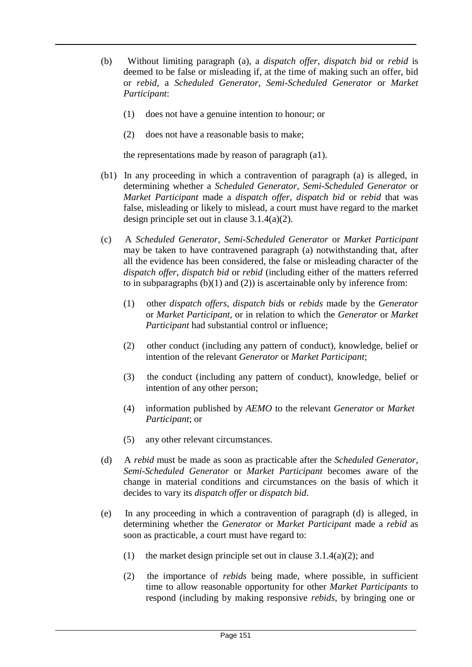- (b) Without limiting paragraph (a), a *dispatch offer*, *dispatch bid* or *rebid* is deemed to be false or misleading if, at the time of making such an offer, bid or *rebid*, a *Scheduled Generator*, *Semi-Scheduled Generator* or *Market Participant*:
	- (1) does not have a genuine intention to honour; or
	- (2) does not have a reasonable basis to make;

the representations made by reason of paragraph (a1).

- (b1) In any proceeding in which a contravention of paragraph (a) is alleged, in determining whether a *Scheduled Generator*, *Semi-Scheduled Generator* or *Market Participant* made a *dispatch offer*, *dispatch bid* or *rebid* that was false, misleading or likely to mislead, a court must have regard to the market design principle set out in clause 3.1.4(a)(2).
- (c) A *Scheduled Generator*, *Semi-Scheduled Generator* or *Market Participant*  may be taken to have contravened paragraph (a) notwithstanding that, after all the evidence has been considered, the false or misleading character of the *dispatch offer*, *dispatch bid* or *rebid* (including either of the matters referred to in subparagraphs  $(b)(1)$  and  $(2)$ ) is ascertainable only by inference from:
	- (1) other *dispatch offers*, *dispatch bids* or *rebids* made by the *Generator*  or *Market Participant*, or in relation to which the *Generator* or *Market Participant* had substantial control or influence;
	- (2) other conduct (including any pattern of conduct), knowledge, belief or intention of the relevant *Generator* or *Market Participant*;
	- (3) the conduct (including any pattern of conduct), knowledge, belief or intention of any other person;
	- (4) information published by *AEMO* to the relevant *Generator* or *Market Participant*; or
	- (5) any other relevant circumstances.
- (d) A *rebid* must be made as soon as practicable after the *Scheduled Generator*, *Semi-Scheduled Generator* or *Market Participant* becomes aware of the change in material conditions and circumstances on the basis of which it decides to vary its *dispatch offer* or *dispatch bid*.
- (e) In any proceeding in which a contravention of paragraph (d) is alleged, in determining whether the *Generator* or *Market Participant* made a *rebid* as soon as practicable, a court must have regard to:
	- (1) the market design principle set out in clause  $3.1.4(a)(2)$ ; and
	- (2) the importance of *rebids* being made, where possible, in sufficient time to allow reasonable opportunity for other *Market Participants* to respond (including by making responsive *rebids*, by bringing one or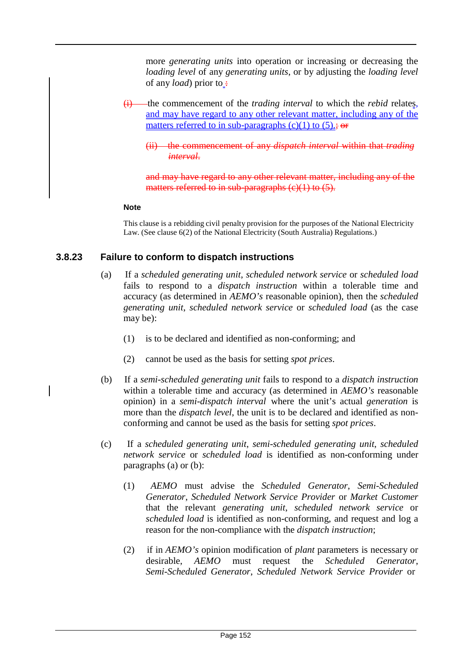more *generating units* into operation or increasing or decreasing the *loading level* of any *generating units*, or by adjusting the *loading level*  of any *load*) prior to :-

- (i) the commencement of the *trading interval* to which the *rebid* relates, and may have regard to any other relevant matter, including any of the matters referred to in sub-paragraphs  $(c)(1)$  to  $(5)$ .; or
	- (ii) the commencement of any *dispatch interval* within that *trading interval*.

and may have regard to any other relevant matter, including any of the matters referred to in sub-paragraphs  $(c)(1)$  to  $(5)$ .

#### **Note**

This clause is a rebidding civil penalty provision for the purposes of the National Electricity Law. (See clause 6(2) of the National Electricity (South Australia) Regulations.)

# **3.8.23 Failure to conform to dispatch instructions**

- (a) If a *scheduled generating unit*, *scheduled network service* or *scheduled load*  fails to respond to a *dispatch instruction* within a tolerable time and accuracy (as determined in *AEMO's* reasonable opinion), then the *scheduled generating unit*, *scheduled network service* or *scheduled load* (as the case may be):
	- (1) is to be declared and identified as non-conforming; and
	- (2) cannot be used as the basis for setting *spot prices*.
- (b) If a *semi-scheduled generating unit* fails to respond to a *dispatch instruction*  within a tolerable time and accuracy (as determined in *AEMO's* reasonable opinion) in a *semi-dispatch interval* where the unit's actual *generation* is more than the *dispatch level*, the unit is to be declared and identified as nonconforming and cannot be used as the basis for setting *spot prices*.
- (c) If a *scheduled generating unit*, *semi-scheduled generating unit*, *scheduled network service* or *scheduled load* is identified as non-conforming under paragraphs (a) or (b):
	- (1) *AEMO* must advise the *Scheduled Generator*, *Semi-Scheduled Generator*, *Scheduled Network Service Provider* or *Market Customer*  that the relevant *generating unit*, *scheduled network service* or *scheduled load* is identified as non-conforming, and request and log a reason for the non-compliance with the *dispatch instruction*;
	- (2) if in *AEMO's* opinion modification of *plant* parameters is necessary or desirable, *AEMO* must request the *Scheduled Generator*, *Semi-Scheduled Generator*, *Scheduled Network Service Provider* or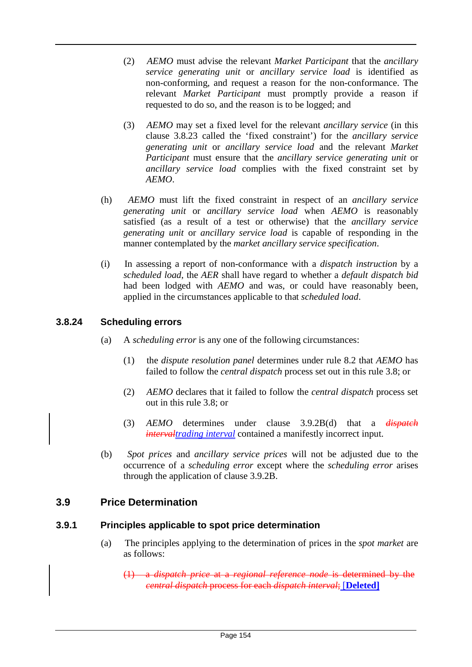- (2) *AEMO* must advise the relevant *Market Participant* that the *ancillary service generating unit* or *ancillary service load* is identified as non-conforming, and request a reason for the non-conformance. The relevant *Market Participant* must promptly provide a reason if requested to do so, and the reason is to be logged; and
- (3) *AEMO* may set a fixed level for the relevant *ancillary service* (in this clause 3.8.23 called the 'fixed constraint') for the *ancillary service generating unit* or *ancillary service load* and the relevant *Market Participant* must ensure that the *ancillary service generating unit* or *ancillary service load* complies with the fixed constraint set by *AEMO*.
- (h) *AEMO* must lift the fixed constraint in respect of an *ancillary service generating unit* or *ancillary service load* when *AEMO* is reasonably satisfied (as a result of a test or otherwise) that the *ancillary service generating unit* or *ancillary service load* is capable of responding in the manner contemplated by the *market ancillary service specification*.
- (i) In assessing a report of non-conformance with a *dispatch instruction* by a *scheduled load*, the *AER* shall have regard to whether a *default dispatch bid*  had been lodged with *AEMO* and was, or could have reasonably been, applied in the circumstances applicable to that *scheduled load*.

# **3.8.24 Scheduling errors**

- (a) A *scheduling error* is any one of the following circumstances:
	- (1) the *dispute resolution panel* determines under rule 8.2 that *AEMO* has failed to follow the *central dispatch* process set out in this rule 3.8; or
	- (2) *AEMO* declares that it failed to follow the *central dispatch* process set out in this rule 3.8; or
	- (3) *AEMO* determines under clause 3.9.2B(d) that a *dispatch intervaltrading interval* contained a manifestly incorrect input.
- (b) *Spot prices* and *ancillary service prices* will not be adjusted due to the occurrence of a *scheduling error* except where the *scheduling error* arises through the application of clause 3.9.2B.

# **3.9 Price Determination**

#### **3.9.1 Principles applicable to spot price determination**

(a) The principles applying to the determination of prices in the *spot market* are as follows:

(1) a *dispatch price* at a *regional reference node* is determined by the *central dispatch* process for each *dispatch interval*; [**Deleted]**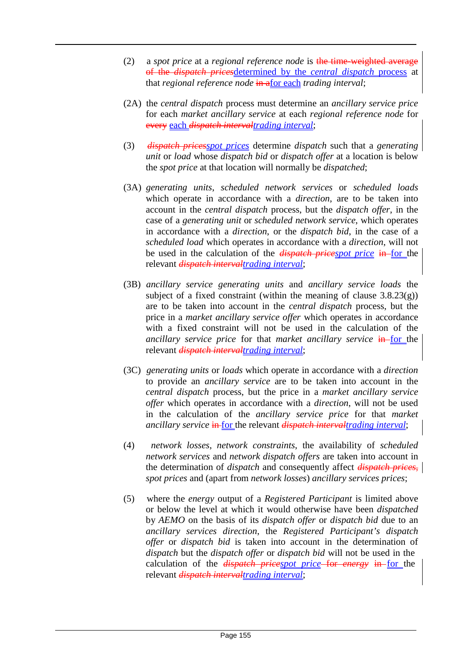- (2) a *spot price* at a *regional reference node* is the time-weighted average of the *dispatch prices*determined by the *central dispatch* process at that *regional reference node* in afor each *trading interval*;
- (2A) the *central dispatch* process must determine an *ancillary service price*  for each *market ancillary service* at each *regional reference node* for every each *dispatch intervaltrading interval*;
- (3) *dispatch pricesspot prices* determine *dispatch* such that a *generating unit* or *load* whose *dispatch bid* or *dispatch offer* at a location is below the *spot price* at that location will normally be *dispatched*;
- (3A) *generating units*, *scheduled network services* or *scheduled loads*  which operate in accordance with a *direction*, are to be taken into account in the *central dispatch* process, but the *dispatch offer*, in the case of a *generating unit* or *scheduled network service*, which operates in accordance with a *direction*, or the *dispatch bid*, in the case of a *scheduled load* which operates in accordance with a *direction*, will not be used in the calculation of the *dispatch pricespot price* in for the relevant *dispatch intervaltrading interval*;
- (3B) *ancillary service generating units* and *ancillary service loads* the subject of a fixed constraint (within the meaning of clause  $3.8.23(g)$ ) are to be taken into account in the *central dispatch* process, but the price in a *market ancillary service offer* which operates in accordance with a fixed constraint will not be used in the calculation of the *ancillary service price* for that *market ancillary service* **in**-for the relevant *dispatch intervaltrading interval*;
- (3C) *generating units* or *loads* which operate in accordance with a *direction*  to provide an *ancillary service* are to be taken into account in the *central dispatch* process, but the price in a *market ancillary service offer* which operates in accordance with a *direction*, will not be used in the calculation of the *ancillary service price* for that *market ancillary service* in for the relevant *dispatch intervaltrading interval*;
- (4) *network losses*, *network constraints*, the availability of *scheduled network services* and *network dispatch offers* are taken into account in the determination of *dispatch* and consequently affect *dispatch prices*, *spot prices* and (apart from *network losses*) *ancillary services prices*;
- (5) where the *energy* output of a *Registered Participant* is limited above or below the level at which it would otherwise have been *dispatched*  by *AEMO* on the basis of its *dispatch offer* or *dispatch bid* due to an *ancillary services direction*, the *Registered Participant's dispatch offer* or *dispatch bid* is taken into account in the determination of *dispatch* but the *dispatch offer* or *dispatch bid* will not be used in the calculation of the *dispatch pricespot price* for *energy* in for the relevant *dispatch intervaltrading interval*;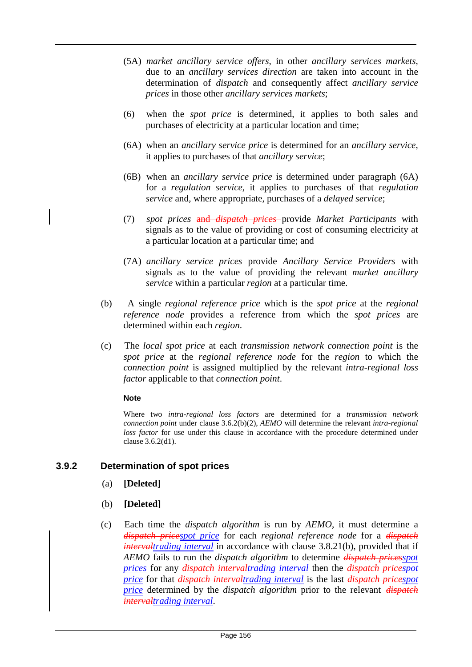- (5A) *market ancillary service offers*, in other *ancillary services markets*, due to an *ancillary services direction* are taken into account in the determination of *dispatch* and consequently affect *ancillary service prices* in those other *ancillary services markets*;
- (6) when the *spot price* is determined, it applies to both sales and purchases of electricity at a particular location and time;
- (6A) when an *ancillary service price* is determined for an *ancillary service*, it applies to purchases of that *ancillary service*;
- (6B) when an *ancillary service price* is determined under paragraph (6A) for a *regulation service*, it applies to purchases of that *regulation service* and, where appropriate, purchases of a *delayed service*;
- (7) *spot prices* and *dispatch prices* provide *Market Participants* with signals as to the value of providing or cost of consuming electricity at a particular location at a particular time; and
- (7A) *ancillary service prices* provide *Ancillary Service Providers* with signals as to the value of providing the relevant *market ancillary service* within a particular *region* at a particular time.
- (b) A single *regional reference price* which is the *spot price* at the *regional reference node* provides a reference from which the *spot prices* are determined within each *region*.
- (c) The *local spot price* at each *transmission network connection point* is the *spot price* at the *regional reference node* for the *region* to which the *connection point* is assigned multiplied by the relevant *intra-regional loss factor* applicable to that *connection point*.

#### **Note**

Where two *intra-regional loss factors* are determined for a *transmission network connection point* under clause 3.6.2(b)(2), *AEMO* will determine the relevant *intra-regional loss factor* for use under this clause in accordance with the procedure determined under clause 3.6.2(d1).

#### **3.9.2 Determination of spot prices**

- (a) **[Deleted]**
- (b) **[Deleted]**
- (c) Each time the *dispatch algorithm* is run by *AEMO*, it must determine a *dispatch pricespot price* for each *regional reference node* for a *dispatch intervaltrading interval* in accordance with clause 3.8.21(b), provided that if *AEMO* fails to run the *dispatch algorithm* to determine *dispatch pricesspot prices* for any *dispatch intervaltrading interval* then the *dispatch pricespot price* for that *dispatch intervaltrading interval* is the last *dispatch pricespot price* determined by the *dispatch algorithm* prior to the relevant *dispatch intervaltrading interval*.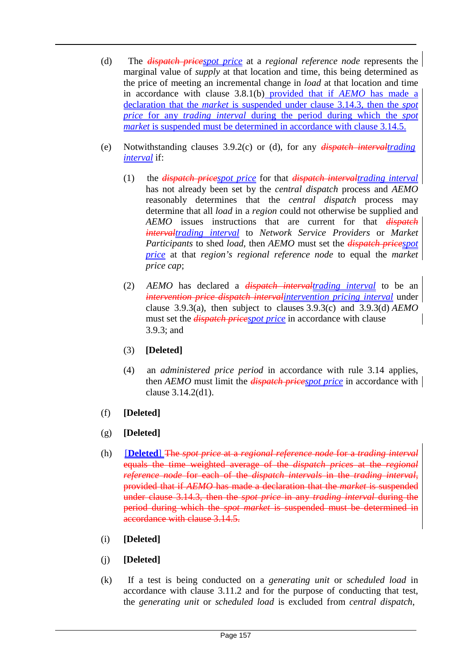- (d) The *dispatch pricespot price* at a *regional reference node* represents the marginal value of *supply* at that location and time, this being determined as the price of meeting an incremental change in *load* at that location and time in accordance with clause 3.8.1(b) provided that if *AEMO* has made a declaration that the *market* is suspended under clause 3.14.3, then the *spot price* for any *trading interval* during the period during which the *spot market* is suspended must be determined in accordance with clause 3.14.5.
- (e) Notwithstanding clauses 3.9.2(c) or (d), for any *dispatch intervaltrading interval* if:
	- (1) the *dispatch pricespot price* for that *dispatch intervaltrading interval* has not already been set by the *central dispatch* process and *AEMO*  reasonably determines that the *central dispatch* process may determine that all *load* in a *region* could not otherwise be supplied and *AEMO* issues instructions that are current for that *dispatch intervaltrading interval* to *Network Service Providers* or *Market Participants* to shed *load*, then *AEMO* must set the *dispatch pricespot price* at that *region's regional reference node* to equal the *market price cap*;
	- (2) *AEMO* has declared a *dispatch intervaltrading interval* to be an *intervention price dispatch intervalintervention pricing interval* under clause 3.9.3(a), then subject to clauses 3.9.3(c) and 3.9.3(d) *AEMO* must set the *dispatch pricespot price* in accordance with clause 3.9.3; and
	- (3) **[Deleted]**
	- (4) an *administered price period* in accordance with rule 3.14 applies, then *AEMO* must limit the *dispatch pricespot price* in accordance with clause 3.14.2(d1).
- (f) **[Deleted]**
- (g) **[Deleted]**
- (h) [**Deleted**] The *spot price* at a *regional reference node* for a *trading interval* equals the time weighted average of the *dispatch prices* at the *regional reference node* for each of the *dispatch intervals* in the *trading interval*, provided that if *AEMO* has made a declaration that the *market* is suspended under clause 3.14.3, then the *spot price* in any *trading interval* during the period during which the *spot market* is suspended must be determined in accordance with clause 3.14.5.
- (i) **[Deleted]**
- (j) **[Deleted]**
- (k) If a test is being conducted on a *generating unit* or *scheduled load* in accordance with clause 3.11.2 and for the purpose of conducting that test, the *generating unit* or *scheduled load* is excluded from *central dispatch*,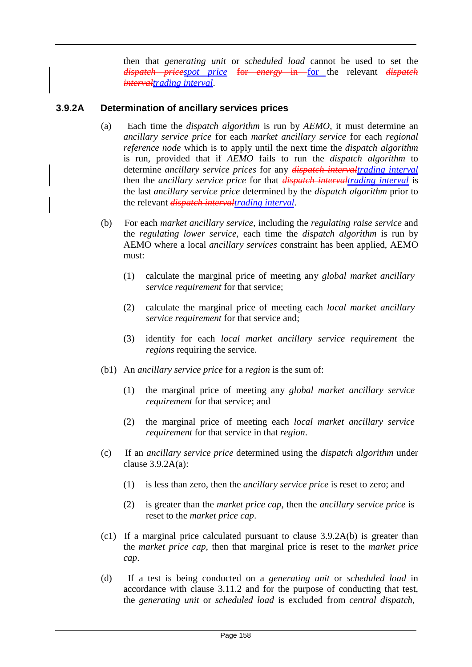then that *generating unit* or *scheduled load* cannot be used to set the *dispatch pricespot price* for *energy* in for the relevant *dispatch intervaltrading interval*.

# **3.9.2A Determination of ancillary services prices**

- (a) Each time the *dispatch algorithm* is run by *AEMO*, it must determine an *ancillary service price* for each *market ancillary service* for each *regional reference node* which is to apply until the next time the *dispatch algorithm*  is run, provided that if *AEMO* fails to run the *dispatch algorithm* to determine *ancillary service prices* for any *dispatch intervaltrading interval* then the *ancillary service price* for that *dispatch intervaltrading interval* is the last *ancillary service price* determined by the *dispatch algorithm* prior to the relevant *dispatch intervaltrading interval*.
- (b) For each *market ancillary service*, including the *regulating raise service* and the *regulating lower service*, each time the *dispatch algorithm* is run by AEMO where a local *ancillary services* constraint has been applied, AEMO must:
	- (1) calculate the marginal price of meeting any *global market ancillary service requirement* for that service;
	- (2) calculate the marginal price of meeting each *local market ancillary service requirement* for that service and;
	- (3) identify for each *local market ancillary service requirement* the *regions* requiring the service.
- (b1) An *ancillary service price* for a *region* is the sum of:
	- (1) the marginal price of meeting any *global market ancillary service requirement* for that service; and
	- (2) the marginal price of meeting each *local market ancillary service requirement* for that service in that *region*.
- (c) If an *ancillary service price* determined using the *dispatch algorithm* under clause  $3.9.2A(a)$ :
	- (1) is less than zero, then the *ancillary service price* is reset to zero; and
	- (2) is greater than the *market price cap*, then the *ancillary service price* is reset to the *market price cap*.
- (c1) If a marginal price calculated pursuant to clause 3.9.2A(b) is greater than the *market price cap*, then that marginal price is reset to the *market price cap*.
- (d) If a test is being conducted on a *generating unit* or *scheduled load* in accordance with clause 3.11.2 and for the purpose of conducting that test, the *generating unit* or *scheduled load* is excluded from *central dispatch*,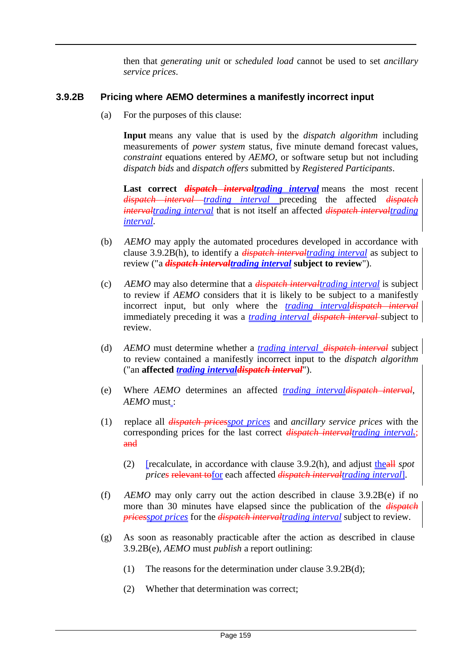then that *generating unit* or *scheduled load* cannot be used to set *ancillary service prices*.

# **3.9.2B Pricing where AEMO determines a manifestly incorrect input**

(a) For the purposes of this clause:

**Input** means any value that is used by the *dispatch algorithm* including measurements of *power system* status, five minute demand forecast values, *constraint* equations entered by *AEMO*, or software setup but not including *dispatch bids* and *dispatch offers* submitted by *Registered Participants*.

Last correct *dispatch intervaltrading interval* means the most recent *dispatch interval trading interval* preceding the affected *dispatch intervaltrading interval* that is not itself an affected *dispatch intervaltrading interval*.

- (b) *AEMO* may apply the automated procedures developed in accordance with clause 3.9.2B(h), to identify a *dispatch intervaltrading interval* as subject to review ("a *dispatch intervaltrading interval* **subject to review**").
- (c) *AEMO* may also determine that a *dispatch intervaltrading interval* is subject to review if *AEMO* considers that it is likely to be subject to a manifestly incorrect input, but only where the *trading intervaldispatch interval* immediately preceding it was a *trading interval dispatch interval* subject to review.
- (d) *AEMO* must determine whether a *trading interval dispatch interval* subject to review contained a manifestly incorrect input to the *dispatch algorithm*  ("an **affected** *trading intervaldispatch interval*").
- (e) Where *AEMO* determines an affected *trading intervaldispatch interval*, *AEMO* must :
- (1) replace all *dispatch pricesspot prices* and *ancillary service prices* with the corresponding prices for the last correct *dispatch intervaltrading interval.*; and
	- (2) [recalculate, in accordance with clause 3.9.2(h), and adjust theall *spot prices* relevant tofor each affected *dispatch intervaltrading interval*].
- (f) *AEMO* may only carry out the action described in clause 3.9.2B(e) if no more than 30 minutes have elapsed since the publication of the *dispatch pricesspot prices* for the *dispatch intervaltrading interval* subject to review.
- (g) As soon as reasonably practicable after the action as described in clause 3.9.2B(e), *AEMO* must *publish* a report outlining:
	- (1) The reasons for the determination under clause 3.9.2B(d);
	- (2) Whether that determination was correct;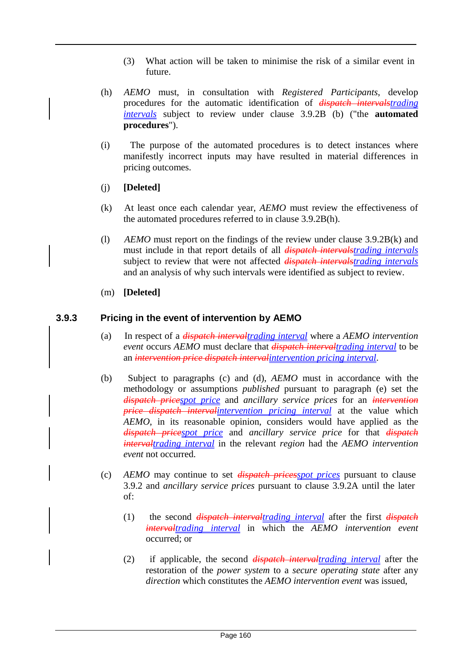- (3) What action will be taken to minimise the risk of a similar event in future.
- (h) *AEMO* must, in consultation with *Registered Participants*, develop procedures for the automatic identification of *dispatch intervalstrading intervals* subject to review under clause 3.9.2B (b) ("the **automated procedures**").
- (i) The purpose of the automated procedures is to detect instances where manifestly incorrect inputs may have resulted in material differences in pricing outcomes.
- (j) **[Deleted]**
- (k) At least once each calendar year, *AEMO* must review the effectiveness of the automated procedures referred to in clause 3.9.2B(h).
- (l) *AEMO* must report on the findings of the review under clause 3.9.2B(k) and must include in that report details of all *dispatch intervalstrading intervals* subject to review that were not affected *dispatch intervalstrading intervals* and an analysis of why such intervals were identified as subject to review.
- (m) **[Deleted]**

# **3.9.3 Pricing in the event of intervention by AEMO**

- (a) In respect of a *dispatch intervaltrading interval* where a *AEMO intervention event* occurs *AEMO* must declare that *dispatch intervaltrading interval* to be an *intervention price dispatch intervalintervention pricing interval*.
- (b) Subject to paragraphs (c) and (d), *AEMO* must in accordance with the methodology or assumptions *published* pursuant to paragraph (e) set the *dispatch pricespot price* and *ancillary service prices* for an *intervention price dispatch intervalintervention pricing interval* at the value which *AEMO*, in its reasonable opinion, considers would have applied as the *dispatch pricespot price* and *ancillary service price* for that *dispatch intervaltrading interval* in the relevant *region* had the *AEMO intervention event* not occurred.
- (c) *AEMO* may continue to set *dispatch pricesspot prices* pursuant to clause 3.9.2 and *ancillary service prices* pursuant to clause 3.9.2A until the later of:
	- (1) the second *dispatch intervaltrading interval* after the first *dispatch intervaltrading interval* in which the *AEMO intervention event*  occurred; or
	- (2) if applicable, the second *dispatch intervaltrading interval* after the restoration of the *power system* to a *secure operating state* after any *direction* which constitutes the *AEMO intervention event* was issued,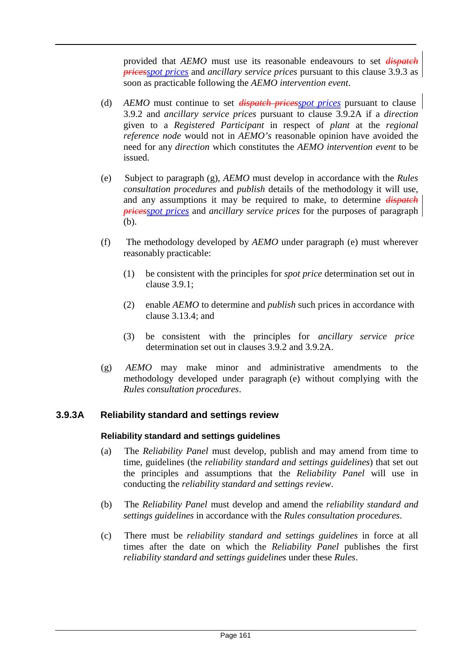provided that *AEMO* must use its reasonable endeavours to set *dispatch pricesspot prices* and *ancillary service prices* pursuant to this clause 3.9.3 as soon as practicable following the *AEMO intervention event*.

- (d) *AEMO* must continue to set *dispatch pricesspot prices* pursuant to clause 3.9.2 and *ancillary service prices* pursuant to clause 3.9.2A if a *direction*  given to a *Registered Participant* in respect of *plant* at the *regional reference node* would not in *AEMO's* reasonable opinion have avoided the need for any *direction* which constitutes the *AEMO intervention event* to be issued.
- (e) Subject to paragraph (g), *AEMO* must develop in accordance with the *Rules consultation procedures* and *publish* details of the methodology it will use, and any assumptions it may be required to make, to determine *dispatch pricesspot prices* and *ancillary service prices* for the purposes of paragraph (b).
- (f) The methodology developed by *AEMO* under paragraph (e) must wherever reasonably practicable:
	- (1) be consistent with the principles for *spot price* determination set out in clause 3.9.1;
	- (2) enable *AEMO* to determine and *publish* such prices in accordance with clause 3.13.4; and
	- (3) be consistent with the principles for *ancillary service price* determination set out in clauses 3.9.2 and 3.9.2A.
- (g) *AEMO* may make minor and administrative amendments to the methodology developed under paragraph (e) without complying with the *Rules consultation procedures*.

#### **3.9.3A Reliability standard and settings review**

#### **Reliability standard and settings guidelines**

- (a) The *Reliability Panel* must develop, publish and may amend from time to time, guidelines (the *reliability standard and settings guidelines*) that set out the principles and assumptions that the *Reliability Panel* will use in conducting the *reliability standard and settings review*.
- (b) The *Reliability Panel* must develop and amend the *reliability standard and settings guidelines* in accordance with the *Rules consultation procedures*.
- (c) There must be *reliability standard and settings guidelines* in force at all times after the date on which the *Reliability Panel* publishes the first *reliability standard and settings guidelines* under these *Rules*.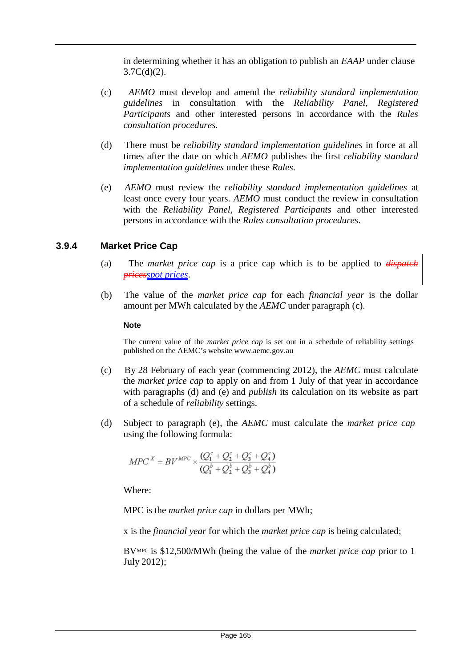in determining whether it has an obligation to publish an *EAAP* under clause  $3.7C(d)(2)$ .

- (c) *AEMO* must develop and amend the *reliability standard implementation guidelines* in consultation with the *Reliability Panel*, *Registered Participants* and other interested persons in accordance with the *Rules consultation procedures*.
- (d) There must be *reliability standard implementation guidelines* in force at all times after the date on which *AEMO* publishes the first *reliability standard implementation guidelines* under these *Rules*.
- (e) *AEMO* must review the *reliability standard implementation guidelines* at least once every four years. *AEMO* must conduct the review in consultation with the *Reliability Panel*, *Registered Participants* and other interested persons in accordance with the *Rules consultation procedures*.

# **3.9.4 Market Price Cap**

- (a) The *market price cap* is a price cap which is to be applied to *dispatch pricesspot prices*.
- (b) The value of the *market price cap* for each *financial year* is the dollar amount per MWh calculated by the *AEMC* under paragraph (c).

#### **Note**

The current value of the *market price cap* is set out in a schedule of reliability settings published on the AEMC's website [www.aemc.gov.au](http://www.aemc.gov.au/)

- (c) By 28 February of each year (commencing 2012), the *AEMC* must calculate the *market price cap* to apply on and from 1 July of that year in accordance with paragraphs (d) and (e) and *publish* its calculation on its website as part of a schedule of *reliability* settings.
- (d) Subject to paragraph (e), the *AEMC* must calculate the *market price cap* using the following formula:

$$
MPC^X = BV^{MPC} \times \frac{(Q_1^c + Q_2^c + Q_3^c + Q_4^c)}{(Q_1^b + Q_2^b + Q_3^b + Q_4^b)}
$$

Where:

MPC is the *market price cap* in dollars per MWh;

x is the *financial year* for which the *market price cap* is being calculated;

BVMPC is \$12,500/MWh (being the value of the *market price cap* prior to 1 July 2012);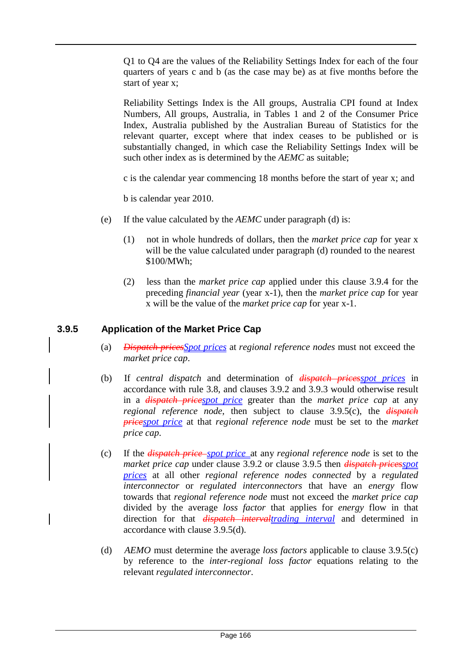Q1 to Q4 are the values of the Reliability Settings Index for each of the four quarters of years c and b (as the case may be) as at five months before the start of year x;

Reliability Settings Index is the All groups, Australia CPI found at Index Numbers, All groups, Australia, in Tables 1 and 2 of the Consumer Price Index, Australia published by the Australian Bureau of Statistics for the relevant quarter, except where that index ceases to be published or is substantially changed, in which case the Reliability Settings Index will be such other index as is determined by the *AEMC* as suitable;

c is the calendar year commencing 18 months before the start of year x; and

b is calendar year 2010.

- (e) If the value calculated by the *AEMC* under paragraph (d) is:
	- (1) not in whole hundreds of dollars, then the *market price cap* for year x will be the value calculated under paragraph (d) rounded to the nearest \$100/MWh;
	- (2) less than the *market price cap* applied under this clause 3.9.4 for the preceding *financial year* (year x-1), then the *market price cap* for year x will be the value of the *market price cap* for year x-1.

#### **3.9.5 Application of the Market Price Cap**

- (a) *Dispatch pricesSpot prices* at *regional reference nodes* must not exceed the *market price cap*.
- (b) If *central dispatch* and determination of *dispatch pricesspot prices* in accordance with rule 3.8, and clauses 3.9.2 and 3.9.3 would otherwise result in a *dispatch pricespot price* greater than the *market price cap* at any *regional reference node*, then subject to clause 3.9.5(c), the *dispatch pricespot price* at that *regional reference node* must be set to the *market price cap*.
- (c) If the *dispatch price spot price* at any *regional reference node* is set to the *market price cap* under clause 3.9.2 or clause 3.9.5 then *dispatch pricesspot prices* at all other *regional reference nodes connected* by a *regulated interconnector* or *regulated interconnectors* that have an *energy* flow towards that *regional reference node* must not exceed the *market price cap*  divided by the average *loss factor* that applies for *energy* flow in that direction for that *dispatch intervaltrading interval* and determined in accordance with clause 3.9.5(d).
- (d) *AEMO* must determine the average *loss factors* applicable to clause 3.9.5(c) by reference to the *inter-regional loss factor* equations relating to the relevant *regulated interconnector*.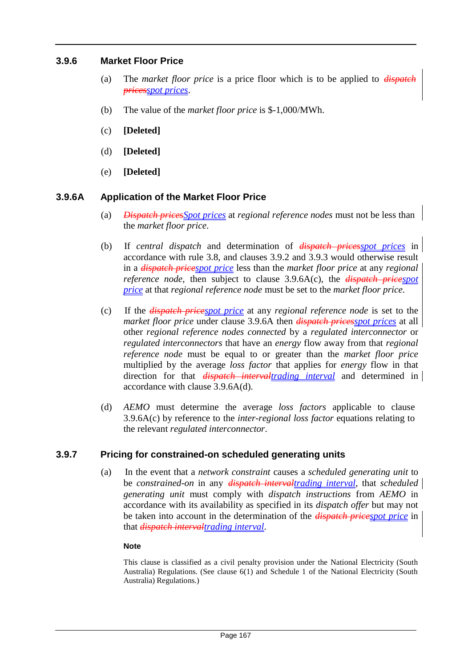#### **3.9.6 Market Floor Price**

- (a) The *market floor price* is a price floor which is to be applied to *dispatch pricesspot prices*.
- (b) The value of the *market floor price* is \$-1,000/MWh.
- (c) **[Deleted]**
- (d) **[Deleted]**
- (e) **[Deleted]**

# **3.9.6A Application of the Market Floor Price**

- (a) *Dispatch pricesSpot prices* at *regional reference nodes* must not be less than the *market floor price*.
- (b) If *central dispatch* and determination of *dispatch pricesspot prices* in accordance with rule 3.8, and clauses 3.9.2 and 3.9.3 would otherwise result in a *dispatch pricespot price* less than the *market floor price* at any *regional reference node*, then subject to clause 3.9.6A(c), the *dispatch pricespot price* at that *regional reference node* must be set to the *market floor price*.
- (c) If the *dispatch pricespot price* at any *regional reference node* is set to the *market floor price* under clause 3.9.6A then *dispatch pricesspot prices* at all other *regional reference nodes connected* by a *regulated interconnector* or *regulated interconnectors* that have an *energy* flow away from that *regional reference node* must be equal to or greater than the *market floor price*  multiplied by the average *loss factor* that applies for *energy* flow in that direction for that *dispatch intervaltrading interval* and determined in accordance with clause 3.9.6A(d).
- (d) *AEMO* must determine the average *loss factors* applicable to clause 3.9.6A(c) by reference to the *inter-regional loss factor* equations relating to the relevant *regulated interconnector*.

#### **3.9.7 Pricing for constrained-on scheduled generating units**

(a) In the event that a *network constraint* causes a *scheduled generating unit* to be *constrained-on* in any *dispatch intervaltrading interval*, that *scheduled generating unit* must comply with *dispatch instructions* from *AEMO* in accordance with its availability as specified in its *dispatch offer* but may not be taken into account in the determination of the *dispatch pricespot price* in that *dispatch intervaltrading interval*.

#### **Note**

This clause is classified as a civil penalty provision under the National Electricity (South Australia) Regulations. (See clause 6(1) and Schedule 1 of the National Electricity (South Australia) Regulations.)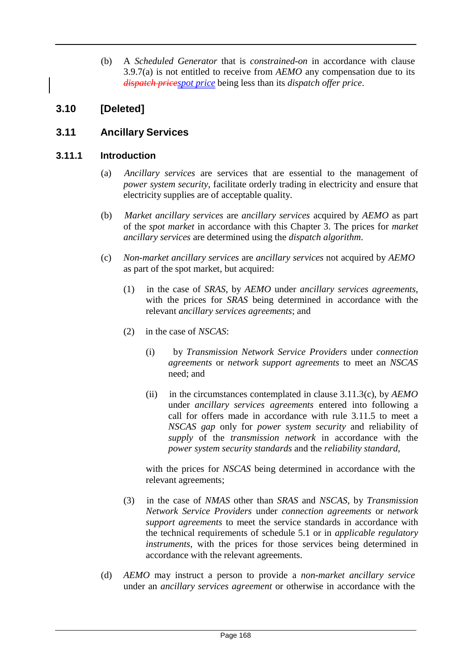(b) A *Scheduled Generator* that is *constrained-on* in accordance with clause 3.9.7(a) is not entitled to receive from *AEMO* any compensation due to its *dispatch pricespot price* being less than its *dispatch offer price*.

# **3.10 [Deleted]**

# **3.11 Ancillary Services**

# **3.11.1 Introduction**

- (a) *Ancillary services* are services that are essential to the management of *power system security*, facilitate orderly trading in electricity and ensure that electricity supplies are of acceptable quality.
- (b) *Market ancillary services* are *ancillary services* acquired by *AEMO* as part of the *spot market* in accordance with this Chapter 3. The prices for *market ancillary services* are determined using the *dispatch algorithm*.
- (c) *Non-market ancillary services* are *ancillary services* not acquired by *AEMO* as part of the spot market, but acquired:
	- (1) in the case of *SRAS*, by *AEMO* under *ancillary services agreements*, with the prices for *SRAS* being determined in accordance with the relevant *ancillary services agreements*; and
	- (2) in the case of *NSCAS*:
		- (i) by *Transmission Network Service Providers* under *connection agreements* or *network support agreements* to meet an *NSCAS*  need; and
		- (ii) in the circumstances contemplated in clause 3.11.3(c), by *AEMO*  under *ancillary services agreements* entered into following a call for offers made in accordance with rule 3.11.5 to meet a *NSCAS gap* only for *power system security* and reliability of *supply* of the *transmission network* in accordance with the *power system security standards* and the *reliability standard*,

with the prices for *NSCAS* being determined in accordance with the relevant agreements;

- (3) in the case of *NMAS* other than *SRAS* and *NSCAS*, by *Transmission Network Service Providers* under *connection agreements* or *network support agreements* to meet the service standards in accordance with the technical requirements of schedule 5.1 or in *applicable regulatory instruments*, with the prices for those services being determined in accordance with the relevant agreements.
- (d) *AEMO* may instruct a person to provide a *non-market ancillary service* under an *ancillary services agreement* or otherwise in accordance with the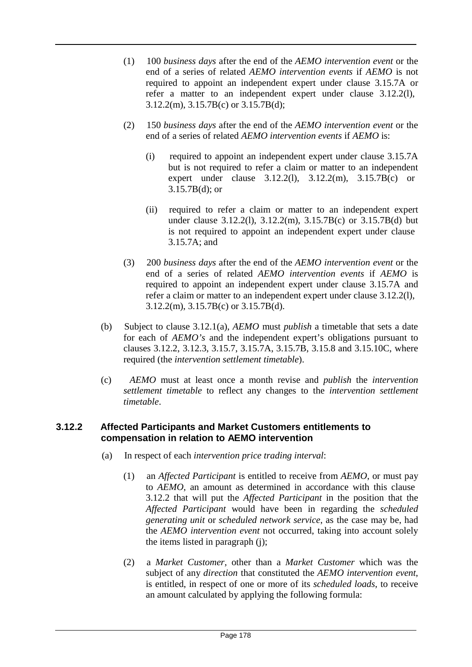- (1) 100 *business days* after the end of the *AEMO intervention event* or the end of a series of related *AEMO intervention events* if *AEMO* is not required to appoint an independent expert under clause 3.15.7A or refer a matter to an independent expert under clause 3.12.2(l), 3.12.2(m), 3.15.7B(c) or 3.15.7B(d);
- (2) 150 *business days* after the end of the *AEMO intervention event* or the end of a series of related *AEMO intervention events* if *AEMO* is:
	- (i) required to appoint an independent expert under clause 3.15.7A but is not required to refer a claim or matter to an independent expert under clause 3.12.2(l), 3.12.2(m), 3.15.7B(c) or 3.15.7B(d); or
	- (ii) required to refer a claim or matter to an independent expert under clause 3.12.2(l), 3.12.2(m), 3.15.7B(c) or 3.15.7B(d) but is not required to appoint an independent expert under clause 3.15.7A; and
- (3) 200 *business days* after the end of the *AEMO intervention event* or the end of a series of related *AEMO intervention events* if *AEMO* is required to appoint an independent expert under clause 3.15.7A and refer a claim or matter to an independent expert under clause 3.12.2(l), 3.12.2(m), 3.15.7B(c) or 3.15.7B(d).
- (b) Subject to clause 3.12.1(a), *AEMO* must *publish* a timetable that sets a date for each of *AEMO's* and the independent expert's obligations pursuant to clauses 3.12.2, 3.12.3, 3.15.7, 3.15.7A, 3.15.7B, 3.15.8 and 3.15.10C, where required (the *intervention settlement timetable*).
- (c) *AEMO* must at least once a month revise and *publish* the *intervention settlement timetable* to reflect any changes to the *intervention settlement timetable*.

# **3.12.2 Affected Participants and Market Customers entitlements to compensation in relation to AEMO intervention**

- (a) In respect of each *intervention price trading interval*:
	- (1) an *Affected Participant* is entitled to receive from *AEMO*, or must pay to *AEMO*, an amount as determined in accordance with this clause 3.12.2 that will put the *Affected Participant* in the position that the *Affected Participant* would have been in regarding the *scheduled generating unit* or *scheduled network service*, as the case may be, had the *AEMO intervention event* not occurred, taking into account solely the items listed in paragraph (j);
	- (2) a *Market Customer*, other than a *Market Customer* which was the subject of any *direction* that constituted the *AEMO intervention event*, is entitled, in respect of one or more of its *scheduled loads*, to receive an amount calculated by applying the following formula: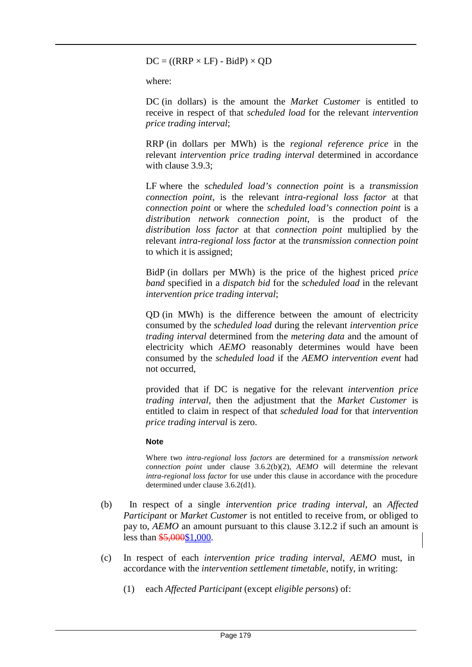$DC = ((RRP \times LF) - BidP) \times QD$ 

where:

DC (in dollars) is the amount the *Market Customer* is entitled to receive in respect of that *scheduled load* for the relevant *intervention price trading interval*;

RRP (in dollars per MWh) is the *regional reference price* in the relevant *intervention price trading interval* determined in accordance with clause 3.9.3;

LF where the *scheduled load's connection point* is a *transmission connection point*, is the relevant *intra-regional loss factor* at that *connection point* or where the *scheduled load's connection point* is a *distribution network connection point*, is the product of the *distribution loss factor* at that *connection point* multiplied by the relevant *intra-regional loss factor* at the *transmission connection point*  to which it is assigned;

BidP (in dollars per MWh) is the price of the highest priced *price band* specified in a *dispatch bid* for the *scheduled load* in the relevant *intervention price trading interval*;

QD (in MWh) is the difference between the amount of electricity consumed by the *scheduled load* during the relevant *intervention price trading interval* determined from the *metering data* and the amount of electricity which *AEMO* reasonably determines would have been consumed by the *scheduled load* if the *AEMO intervention event* had not occurred,

provided that if DC is negative for the relevant *intervention price trading interval*, then the adjustment that the *Market Customer* is entitled to claim in respect of that *scheduled load* for that *intervention price trading interval* is zero.

#### **Note**

Where two *intra-regional loss factors* are determined for a *transmission network connection point* under clause 3.6.2(b)(2), *AEMO* will determine the relevant *intra-regional loss factor* for use under this clause in accordance with the procedure determined under clause 3.6.2(d1).

- (b) In respect of a single *intervention price trading interval*, an *Affected Participant* or *Market Customer* is not entitled to receive from, or obliged to pay to, *AEMO* an amount pursuant to this clause 3.12.2 if such an amount is less than  $$5,000$1,000$ .
- (c) In respect of each *intervention price trading interval*, *AEMO* must, in accordance with the *intervention settlement timetable*, notify, in writing:
	- (1) each *Affected Participant* (except *eligible persons*) of: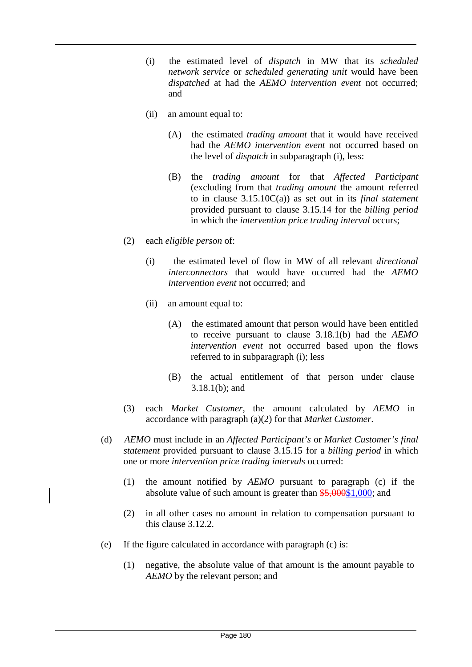- (i) the estimated level of *dispatch* in MW that its *scheduled network service* or *scheduled generating unit* would have been *dispatched* at had the *AEMO intervention event* not occurred; and
- (ii) an amount equal to:
	- (A) the estimated *trading amount* that it would have received had the *AEMO intervention event* not occurred based on the level of *dispatch* in subparagraph (i), less:
	- (B) the *trading amount* for that *Affected Participant*  (excluding from that *trading amount* the amount referred to in clause 3.15.10C(a)) as set out in its *final statement*  provided pursuant to clause 3.15.14 for the *billing period*  in which the *intervention price trading interval* occurs;
- (2) each *eligible person* of:
	- (i) the estimated level of flow in MW of all relevant *directional interconnectors* that would have occurred had the *AEMO intervention event* not occurred; and
	- (ii) an amount equal to:
		- (A) the estimated amount that person would have been entitled to receive pursuant to clause 3.18.1(b) had the *AEMO intervention event* not occurred based upon the flows referred to in subparagraph (i); less
		- (B) the actual entitlement of that person under clause 3.18.1(b); and
- (3) each *Market Customer*, the amount calculated by *AEMO* in accordance with paragraph (a)(2) for that *Market Customer*.
- (d) *AEMO* must include in an *Affected Participant's* or *Market Customer's final statement* provided pursuant to clause 3.15.15 for a *billing period* in which one or more *intervention price trading intervals* occurred:
	- (1) the amount notified by *AEMO* pursuant to paragraph (c) if the absolute value of such amount is greater than  $\frac{$5,000$1,000}{5}$ ; and
	- (2) in all other cases no amount in relation to compensation pursuant to this clause 3.12.2.
- (e) If the figure calculated in accordance with paragraph (c) is:
	- (1) negative, the absolute value of that amount is the amount payable to *AEMO* by the relevant person; and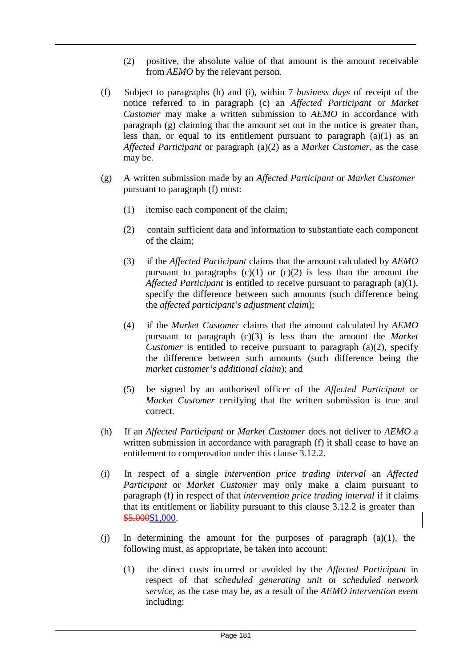- (2) positive, the absolute value of that amount is the amount receivable from *AEMO* by the relevant person.
- (f) Subject to paragraphs (h) and (i), within 7 *business days* of receipt of the notice referred to in paragraph (c) an *Affected Participant* or *Market Customer* may make a written submission to *AEMO* in accordance with paragraph (g) claiming that the amount set out in the notice is greater than, less than, or equal to its entitlement pursuant to paragraph (a)(1) as an *Affected Participant* or paragraph (a)(2) as a *Market Customer*, as the case may be.
- (g) A written submission made by an *Affected Participant* or *Market Customer* pursuant to paragraph (f) must:
	- (1) itemise each component of the claim;
	- (2) contain sufficient data and information to substantiate each component of the claim;
	- (3) if the *Affected Participant* claims that the amount calculated by *AEMO*  pursuant to paragraphs  $(c)(1)$  or  $(c)(2)$  is less than the amount the *Affected Participant* is entitled to receive pursuant to paragraph (a)(1), specify the difference between such amounts (such difference being the *affected participant's adjustment claim*);
	- (4) if the *Market Customer* claims that the amount calculated by *AEMO*  pursuant to paragraph (c)(3) is less than the amount the *Market Customer* is entitled to receive pursuant to paragraph (a)(2), specify the difference between such amounts (such difference being the *market customer's additional claim*); and
	- (5) be signed by an authorised officer of the *Affected Participant* or *Market Customer* certifying that the written submission is true and correct.
- (h) If an *Affected Participant* or *Market Customer* does not deliver to *AEMO* a written submission in accordance with paragraph (f) it shall cease to have an entitlement to compensation under this clause 3.12.2.
- (i) In respect of a single *intervention price trading interval* an *Affected Participant* or *Market Customer* may only make a claim pursuant to paragraph (f) in respect of that *intervention price trading interval* if it claims that its entitlement or liability pursuant to this clause 3.12.2 is greater than \$5,000\$1,000.
- (j) In determining the amount for the purposes of paragraph (a)(1), the following must, as appropriate, be taken into account:
	- (1) the direct costs incurred or avoided by the *Affected Participant* in respect of that *scheduled generating unit* or *scheduled network service*, as the case may be, as a result of the *AEMO intervention event*  including: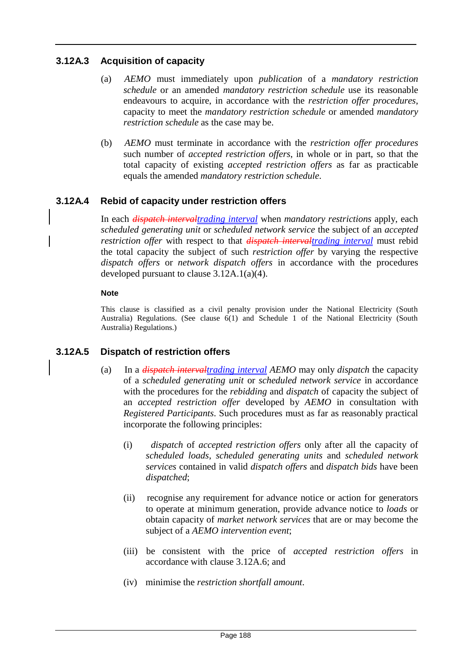# **3.12A.3 Acquisition of capacity**

- (a) *AEMO* must immediately upon *publication* of a *mandatory restriction schedule* or an amended *mandatory restriction schedule* use its reasonable endeavours to acquire, in accordance with the *restriction offer procedures*, capacity to meet the *mandatory restriction schedule* or amended *mandatory restriction schedule* as the case may be.
- (b) *AEMO* must terminate in accordance with the *restriction offer procedures*  such number of *accepted restriction offers*, in whole or in part, so that the total capacity of existing *accepted restriction offers* as far as practicable equals the amended *mandatory restriction schedule*.

# **3.12A.4 Rebid of capacity under restriction offers**

In each *dispatch intervaltrading interval* when *mandatory restrictions* apply, each *scheduled generating unit* or *scheduled network service* the subject of an *accepted restriction offer* with respect to that *dispatch intervaltrading interval* must rebid the total capacity the subject of such *restriction offer* by varying the respective *dispatch offers* or *network dispatch offers* in accordance with the procedures developed pursuant to clause 3.12A.1(a)(4).

## **Note**

This clause is classified as a civil penalty provision under the National Electricity (South Australia) Regulations. (See clause 6(1) and Schedule 1 of the National Electricity (South Australia) Regulations.)

# **3.12A.5 Dispatch of restriction offers**

- (a) In a *dispatch intervaltrading interval AEMO* may only *dispatch* the capacity of a *scheduled generating unit* or *scheduled network service* in accordance with the procedures for the *rebidding* and *dispatch* of capacity the subject of an *accepted restriction offer* developed by *AEMO* in consultation with *Registered Participants*. Such procedures must as far as reasonably practical incorporate the following principles:
	- (i) *dispatch* of *accepted restriction offers* only after all the capacity of *scheduled loads*, *scheduled generating units* and *scheduled network services* contained in valid *dispatch offers* and *dispatch bids* have been *dispatched*;
	- (ii) recognise any requirement for advance notice or action for generators to operate at minimum generation, provide advance notice to *loads* or obtain capacity of *market network services* that are or may become the subject of a *AEMO intervention event*;
	- (iii) be consistent with the price of *accepted restriction offers* in accordance with clause 3.12A.6; and
	- (iv) minimise the *restriction shortfall amount*.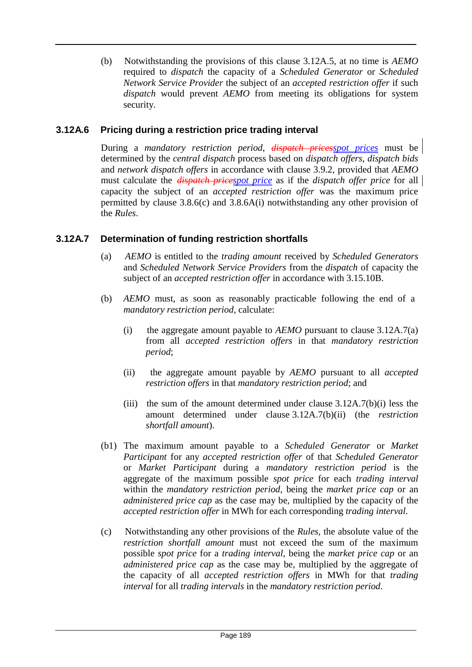(b) Notwithstanding the provisions of this clause 3.12A.5, at no time is *AEMO*  required to *dispatch* the capacity of a *Scheduled Generator* or *Scheduled Network Service Provider* the subject of an *accepted restriction offer* if such *dispatch* would prevent *AEMO* from meeting its obligations for system security.

# **3.12A.6 Pricing during a restriction price trading interval**

During a *mandatory restriction period*, *dispatch pricesspot prices* must be determined by the *central dispatch* process based on *dispatch offers*, *dispatch bids*  and *network dispatch offers* in accordance with clause 3.9.2, provided that *AEMO*  must calculate the *dispatch pricespot price* as if the *dispatch offer price* for all capacity the subject of an *accepted restriction offer* was the maximum price permitted by clause 3.8.6(c) and 3.8.6A(i) notwithstanding any other provision of the *Rules*.

# **3.12A.7 Determination of funding restriction shortfalls**

- (a) *AEMO* is entitled to the *trading amount* received by *Scheduled Generators*  and *Scheduled Network Service Providers* from the *dispatch* of capacity the subject of an *accepted restriction offer* in accordance with 3.15.10B.
- (b) *AEMO* must, as soon as reasonably practicable following the end of a *mandatory restriction period*, calculate:
	- (i) the aggregate amount payable to *AEMO* pursuant to clause 3.12A.7(a) from all *accepted restriction offers* in that *mandatory restriction period*;
	- (ii) the aggregate amount payable by *AEMO* pursuant to all *accepted restriction offers* in that *mandatory restriction period*; and
	- (iii) the sum of the amount determined under clause  $3.12A.7(b)(i)$  less the amount determined under clause 3.12A.7(b)(ii) (the *restriction shortfall amount*).
- (b1) The maximum amount payable to a *Scheduled Generator* or *Market Participant* for any *accepted restriction offer* of that *Scheduled Generator*  or *Market Participant* during a *mandatory restriction period* is the aggregate of the maximum possible *spot price* for each *trading interval*  within the *mandatory restriction period*, being the *market price cap* or an *administered price cap* as the case may be, multiplied by the capacity of the *accepted restriction offer* in MWh for each corresponding *trading interval*.
- (c) Notwithstanding any other provisions of the *Rules*, the absolute value of the *restriction shortfall amount* must not exceed the sum of the maximum possible *spot price* for a *trading interval*, being the *market price cap* or an *administered price cap* as the case may be, multiplied by the aggregate of the capacity of all *accepted restriction offers* in MWh for that *trading interval* for all *trading intervals* in the *mandatory restriction period*.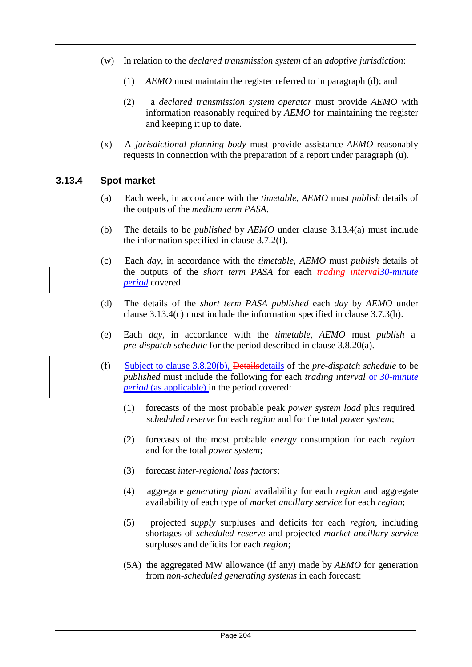- (w) In relation to the *declared transmission system* of an *adoptive jurisdiction*:
	- (1) *AEMO* must maintain the register referred to in paragraph (d); and
	- (2) a *declared transmission system operator* must provide *AEMO* with information reasonably required by *AEMO* for maintaining the register and keeping it up to date.
- (x) A *jurisdictional planning body* must provide assistance *AEMO* reasonably requests in connection with the preparation of a report under paragraph (u).

#### **3.13.4 Spot market**

- (a) Each week, in accordance with the *timetable*, *AEMO* must *publish* details of the outputs of the *medium term PASA*.
- (b) The details to be *published* by *AEMO* under clause 3.13.4(a) must include the information specified in clause 3.7.2(f).
- (c) Each *day*, in accordance with the *timetable*, *AEMO* must *publish* details of the outputs of the *short term PASA* for each *trading interval30-minute period* covered.
- (d) The details of the *short term PASA published* each *day* by *AEMO* under clause 3.13.4(c) must include the information specified in clause 3.7.3(h).
- (e) Each *day*, in accordance with the *timetable*, *AEMO* must *publish* a *pre-dispatch schedule* for the period described in clause 3.8.20(a).
- (f) Subject to clause 3.8.20(b), Detailsdetails of the *pre-dispatch schedule* to be *published* must include the following for each *trading interval* or *30-minute period* (as applicable) in the period covered:
	- (1) forecasts of the most probable peak *power system load* plus required *scheduled reserve* for each *region* and for the total *power system*;
	- (2) forecasts of the most probable *energy* consumption for each *region* and for the total *power system*;
	- (3) forecast *inter-regional loss factors*;
	- (4) aggregate *generating plant* availability for each *region* and aggregate availability of each type of *market ancillary service* for each *region*;
	- (5) projected *supply* surpluses and deficits for each *region*, including shortages of *scheduled reserve* and projected *market ancillary service*  surpluses and deficits for each *region*;
	- (5A) the aggregated MW allowance (if any) made by *AEMO* for generation from *non-scheduled generating systems* in each forecast: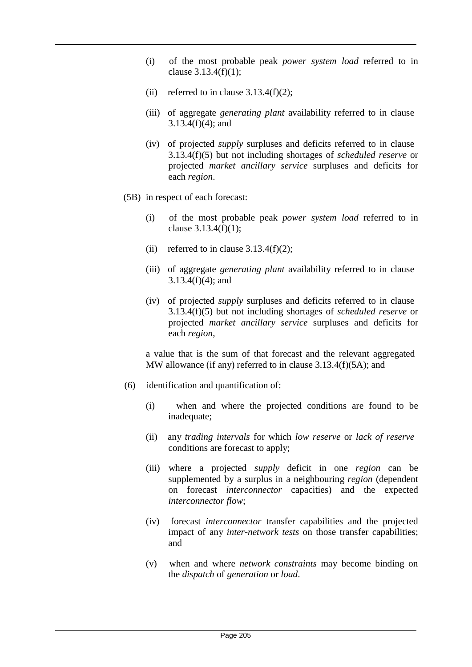- (i) of the most probable peak *power system load* referred to in clause 3.13.4(f)(1);
- (ii) referred to in clause  $3.13.4(f)(2)$ ;
- (iii) of aggregate *generating plant* availability referred to in clause 3.13.4(f)(4); and
- (iv) of projected *supply* surpluses and deficits referred to in clause 3.13.4(f)(5) but not including shortages of *scheduled reserve* or projected *market ancillary service* surpluses and deficits for each *region*.
- (5B) in respect of each forecast:
	- (i) of the most probable peak *power system load* referred to in clause 3.13.4(f)(1);
	- (ii) referred to in clause  $3.13.4(f)(2)$ ;
	- (iii) of aggregate *generating plant* availability referred to in clause 3.13.4(f)(4); and
	- (iv) of projected *supply* surpluses and deficits referred to in clause 3.13.4(f)(5) but not including shortages of *scheduled reserve* or projected *market ancillary service* surpluses and deficits for each *region*,

a value that is the sum of that forecast and the relevant aggregated MW allowance (if any) referred to in clause 3.13.4(f)(5A); and

- (6) identification and quantification of:
	- (i) when and where the projected conditions are found to be inadequate;
	- (ii) any *trading intervals* for which *low reserve* or *lack of reserve* conditions are forecast to apply;
	- (iii) where a projected *supply* deficit in one *region* can be supplemented by a surplus in a neighbouring *region* (dependent on forecast *interconnector* capacities) and the expected *interconnector flow*;
	- (iv) forecast *interconnector* transfer capabilities and the projected impact of any *inter-network tests* on those transfer capabilities; and
	- (v) when and where *network constraints* may become binding on the *dispatch* of *generation* or *load*.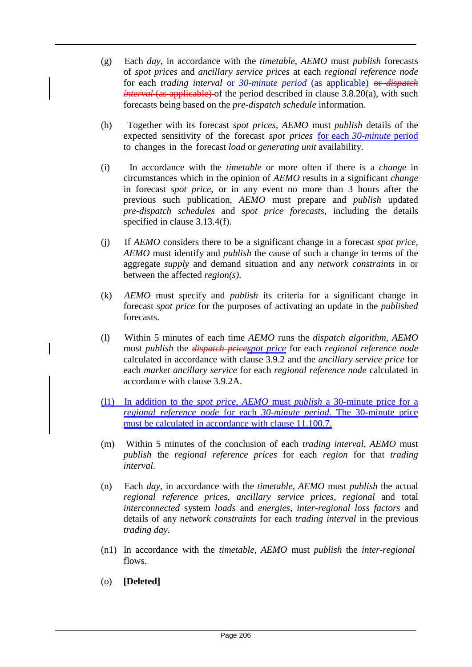- (g) Each *day*, in accordance with the *timetable*, *AEMO* must *publish* forecasts of *spot prices* and *ancillary service prices* at each *regional reference node*  for each *trading interval* or *30-minute period* (as applicable) or *dispatch interval* (as applicable) of the period described in clause 3.8.20(a), with such forecasts being based on the *pre-dispatch schedule* information.
- (h) Together with its forecast *spot prices*, *AEMO* must *publish* details of the expected sensitivity of the forecast *spot prices* for each *30-minute* period to changes in the forecast *load* or *generating unit* availability.
- (i) In accordance with the *timetable* or more often if there is a *change* in circumstances which in the opinion of *AEMO* results in a significant *change*  in forecast *spot price*, or in any event no more than 3 hours after the previous such publication, *AEMO* must prepare and *publish* updated *pre-dispatch schedules* and *spot price forecasts*, including the details specified in clause 3.13.4(f).
- (j) If *AEMO* considers there to be a significant change in a forecast *spot price*, *AEMO* must identify and *publish* the cause of such a change in terms of the aggregate *supply* and demand situation and any *network constraints* in or between the affected *region(s)*.
- (k) *AEMO* must specify and *publish* its criteria for a significant change in forecast *spot price* for the purposes of activating an update in the *published*  forecasts.
- (l) Within 5 minutes of each time *AEMO* runs the *dispatch algorithm*, *AEMO*  must *publish* the *dispatch pricespot price* for each *regional reference node*  calculated in accordance with clause 3.9.2 and the *ancillary service price* for each *market ancillary service* for each *regional reference node* calculated in accordance with clause 3.9.2A.
- (l1) In addition to the *spot price*, *AEMO* must *publish* a 30-minute price for a *regional reference node* for each *30-minute period*. The 30-minute price must be calculated in accordance with clause 11.100.7.
- (m) Within 5 minutes of the conclusion of each *trading interval*, *AEMO* must *publish* the *regional reference prices* for each *region* for that *trading interval*.
- (n) Each *day*, in accordance with the *timetable*, *AEMO* must *publish* the actual *regional reference prices*, *ancillary service prices*, *regional* and total *interconnected* system *loads* and *energies*, *inter-regional loss factors* and details of any *network constraints* for each *trading interval* in the previous *trading day*.
- (n1) In accordance with the *timetable*, *AEMO* must *publish* the *inter-regional* flows.
- (o) **[Deleted]**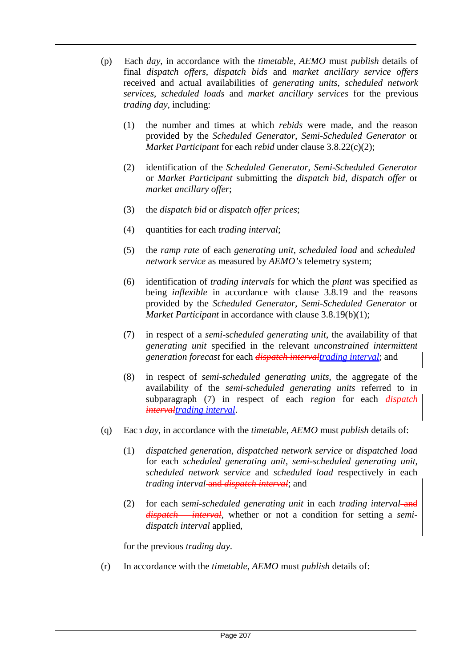- (p) Each *day*, in accordance with the *timetable*, *AEMO* must *publish* details of final *dispatch offers*, *dispatch bids* and *market ancillary service offers*  received and actual availabilities of *generating units*, *scheduled network services*, *scheduled loads* and *market ancillary services* for the previous *trading day*, including:
	- (1) the number and times at which *rebids* were made, and the reason provided by the *Scheduled Generator*, *Semi-Scheduled Generator* or *Market Participant* for each *rebid* under clause 3.8.22(c)(2);
	- (2) identification of the *Scheduled Generator*, *Semi-Scheduled Generator*  or *Market Participant* submitting the *dispatch bid*, *dispatch offer* or *market ancillary offer*;
	- (3) the *dispatch bid* or *dispatch offer prices*;
	- (4) quantities for each *trading interval*;
	- (5) the *ramp rate* of each *generating unit*, *scheduled load* and *scheduled network service* as measured by *AEMO's* telemetry system;
	- (6) identification of *trading intervals* for which the *plant* was specified as being *inflexible* in accordance with clause 3.8.19 and the reasons provided by the *Scheduled Generator*, *Semi-Scheduled Generator* or *Market Participant* in accordance with clause 3.8.19(b)(1);
	- (7) in respect of a *semi-scheduled generating unit*, the availability of that *generating unit* specified in the relevant *unconstrained intermittent generation forecast* for each *dispatch intervaltrading interval*; and
	- (8) in respect of *semi-scheduled generating units*, the aggregate of the availability of the *semi-scheduled generating units* referred to in subparagraph (7) in respect of each *region* for each *dispatch intervaltrading interval*.
- (q) Each *day*, in accordance with the *timetable*, *AEMO* must *publish* details of:
	- (1) *dispatched generation*, *dispatched network service* or *dispatched load*  for each *scheduled generating unit*, *semi-scheduled generating unit*, *scheduled network service* and *scheduled load* respectively in each *trading interval*-and *dispatch interval*; and
	- (2) for each *semi-scheduled generating unit* in each *trading interval* and *dispatch interval*, whether or not a condition for setting a *semidispatch interval* applied,

for the previous *trading day*.

(r) In accordance with the *timetable*, *AEMO* must *publish* details of: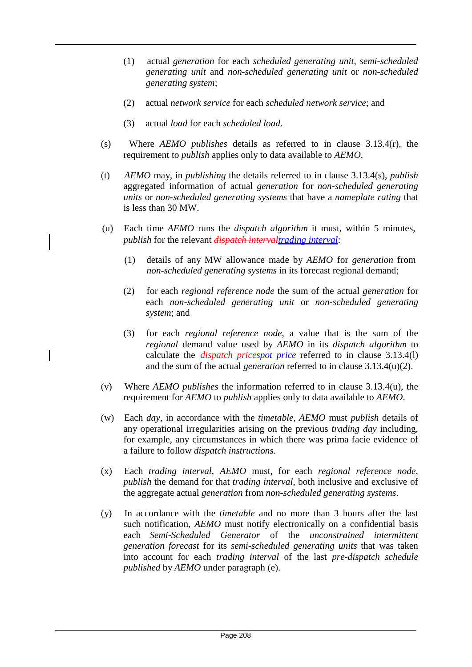- (1) actual *generation* for each *scheduled generating unit*, *semi-scheduled generating unit* and *non-scheduled generating unit* or *non-scheduled generating system*;
- (2) actual *network service* for each *scheduled network service*; and
- (3) actual *load* for each *scheduled load*.

 $\overline{\phantom{a}}$ 

- (s) Where *AEMO publishes* details as referred to in clause 3.13.4(r), the requirement to *publish* applies only to data available to *AEMO*.
- (t) *AEMO* may, in *publishing* the details referred to in clause 3.13.4(s), *publish*  aggregated information of actual *generation* for *non-scheduled generating units* or *non-scheduled generating systems* that have a *nameplate rating* that is less than 30 MW.
- (u) Each time *AEMO* runs the *dispatch algorithm* it must, within 5 minutes, *publish* for the relevant *dispatch intervaltrading interval*:
	- (1) details of any MW allowance made by *AEMO* for *generation* from *non-scheduled generating systems* in its forecast regional demand;
	- (2) for each *regional reference node* the sum of the actual *generation* for each *non-scheduled generating unit* or *non-scheduled generating system*; and
	- (3) for each *regional reference node*, a value that is the sum of the *regional* demand value used by *AEMO* in its *dispatch algorithm* to calculate the *dispatch pricespot price* referred to in clause 3.13.4(l) and the sum of the actual *generation* referred to in clause 3.13.4(u)(2).
- (v) Where *AEMO publishes* the information referred to in clause 3.13.4(u), the requirement for *AEMO* to *publish* applies only to data available to *AEMO*.
- (w) Each *day*, in accordance with the *timetable*, *AEMO* must *publish* details of any operational irregularities arising on the previous *trading day* including, for example, any circumstances in which there was prima facie evidence of a failure to follow *dispatch instructions*.
- (x) Each *trading interval*, *AEMO* must, for each *regional reference node*, *publish* the demand for that *trading interval*, both inclusive and exclusive of the aggregate actual *generation* from *non-scheduled generating systems*.
- (y) In accordance with the *timetable* and no more than 3 hours after the last such notification, *AEMO* must notify electronically on a confidential basis each *Semi-Scheduled Generator* of the *unconstrained intermittent generation forecast* for its *semi-scheduled generating units* that was taken into account for each *trading interval* of the last *pre-dispatch schedule published* by *AEMO* under paragraph (e).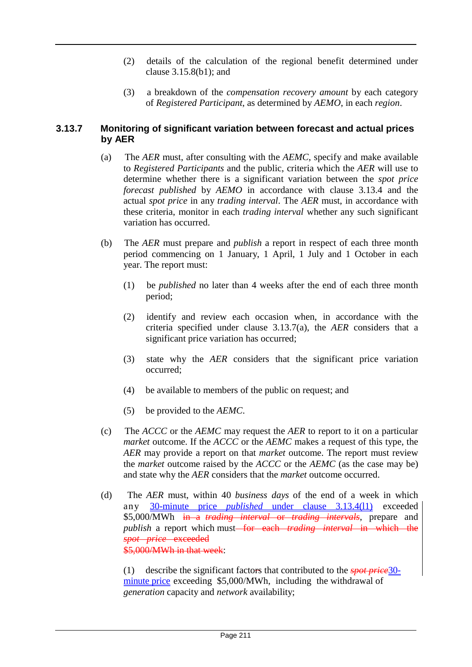- (2) details of the calculation of the regional benefit determined under clause 3.15.8(b1); and
- (3) a breakdown of the *compensation recovery amount* by each category of *Registered Participant*, as determined by *AEMO*, in each *region*.

## **3.13.7 Monitoring of significant variation between forecast and actual prices by AER**

- (a) The *AER* must, after consulting with the *AEMC*, specify and make available to *Registered Participants* and the public, criteria which the *AER* will use to determine whether there is a significant variation between the *spot price forecast published* by *AEMO* in accordance with clause 3.13.4 and the actual *spot price* in any *trading interval*. The *AER* must, in accordance with these criteria, monitor in each *trading interval* whether any such significant variation has occurred.
- (b) The *AER* must prepare and *publish* a report in respect of each three month period commencing on 1 January, 1 April, 1 July and 1 October in each year. The report must:
	- (1) be *published* no later than 4 weeks after the end of each three month period;
	- (2) identify and review each occasion when, in accordance with the criteria specified under clause 3.13.7(a), the *AER* considers that a significant price variation has occurred;
	- (3) state why the *AER* considers that the significant price variation occurred;
	- (4) be available to members of the public on request; and
	- (5) be provided to the *AEMC*.
- (c) The *ACCC* or the *AEMC* may request the *AER* to report to it on a particular *market* outcome. If the *ACCC* or the *AEMC* makes a request of this type, the *AER* may provide a report on that *market* outcome. The report must review the *market* outcome raised by the *ACCC* or the *AEMC* (as the case may be) and state why the *AER* considers that the *market* outcome occurred.
- (d) The *AER* must, within 40 *business days* of the end of a week in which any 30-minute price *published* under clause 3.13.4(l1) exceeded \$5,000/MWh in a *trading interval* or *trading intervals*, prepare and *publish* a report which must<del> for each *trading interval* in which the</del> *spot price* exceeded \$5,000/MWh in that week:

(1) describe the significant factors that contributed to the *spot price*30 minute price exceeding \$5,000/MWh, including the withdrawal of *generation* capacity and *network* availability;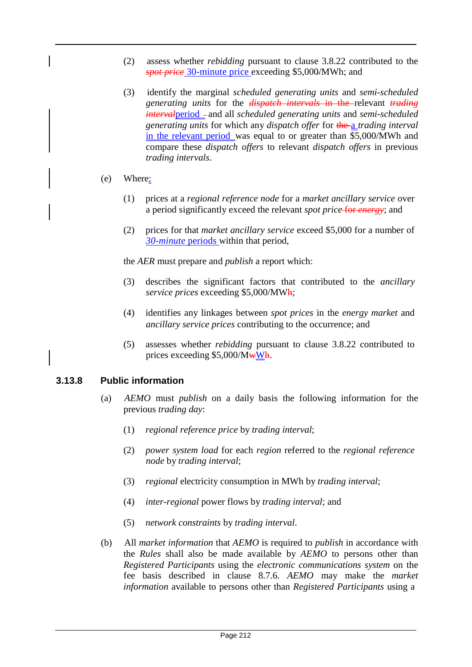- (2) assess whether *rebidding* pursuant to clause 3.8.22 contributed to the *spot price* 30-minute price exceeding \$5,000/MWh; and
- (3) identify the marginal *scheduled generating units* and *semi-scheduled generating units* for the *dispatch intervals* in the relevant *trading intervalperiod* - and all *scheduled generating units* and *semi-scheduled generating units* for which any *dispatch offer* for the a *trading interval*  in the relevant period was equal to or greater than \$5,000/MWh and compare these *dispatch offers* to relevant *dispatch offers* in previous *trading intervals*.
- (e) Where:
	- (1) prices at a *regional reference node* for a *market ancillary service* over a period significantly exceed the relevant *spot price* for *energy*; and
	- (2) prices for that *market ancillary service* exceed \$5,000 for a number of *30-minute* periods within that period,

the *AER* must prepare and *publish* a report which:

- (3) describes the significant factors that contributed to the *ancillary service prices* exceeding \$5,000/MWh;
- (4) identifies any linkages between *spot prices* in the *energy market* and *ancillary service prices* contributing to the occurrence; and
- (5) assesses whether *rebidding* pursuant to clause 3.8.22 contributed to prices exceeding  $$5,000/M\text{wWh}$ .

## **3.13.8 Public information**

- (a) *AEMO* must *publish* on a daily basis the following information for the previous *trading day*:
	- (1) *regional reference price* by *trading interval*;
	- (2) *power system load* for each *region* referred to the *regional reference node* by *trading interval*;
	- (3) *regional* electricity consumption in MWh by *trading interval*;
	- (4) *inter-regional* power flows by *trading interval*; and
	- (5) *network constraints* by *trading interval*.
- (b) All *market information* that *AEMO* is required to *publish* in accordance with the *Rules* shall also be made available by *AEMO* to persons other than *Registered Participants* using the *electronic communications system* on the fee basis described in clause 8.7.6. *AEMO* may make the *market information* available to persons other than *Registered Participants* using a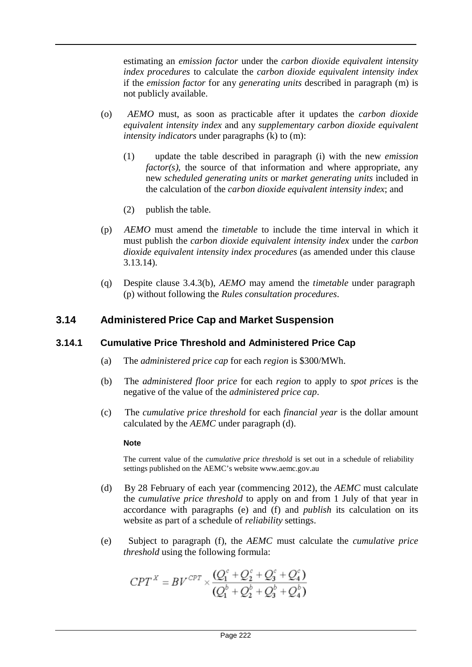estimating an *emission factor* under the *carbon dioxide equivalent intensity index procedures* to calculate the *carbon dioxide equivalent intensity index*  if the *emission factor* for any *generating units* described in paragraph (m) is not publicly available.

- (o) *AEMO* must, as soon as practicable after it updates the *carbon dioxide equivalent intensity index* and any *supplementary carbon dioxide equivalent intensity indicators* under paragraphs (k) to (m):
	- (1) update the table described in paragraph (i) with the new *emission factor(s)*, the source of that information and where appropriate, any new *scheduled generating units* or *market generating units* included in the calculation of the *carbon dioxide equivalent intensity index*; and
	- (2) publish the table.
- (p) *AEMO* must amend the *timetable* to include the time interval in which it must publish the *carbon dioxide equivalent intensity index* under the *carbon dioxide equivalent intensity index procedures* (as amended under this clause 3.13.14).
- (q) Despite clause 3.4.3(b), *AEMO* may amend the *timetable* under paragraph (p) without following the *Rules consultation procedures*.

# **3.14 Administered Price Cap and Market Suspension**

## **3.14.1 Cumulative Price Threshold and Administered Price Cap**

- (a) The *administered price cap* for each *region* is \$300/MWh.
- (b) The *administered floor price* for each *region* to apply to *spot prices* is the negative of the value of the *administered price cap*.
- (c) The *cumulative price threshold* for each *financial year* is the dollar amount calculated by the *AEMC* under paragraph (d).

#### **Note**

The current value of the *cumulative price threshold* is set out in a schedule of reliability settings published on the AEMC's website [www.aemc.gov.au](http://www.aemc.gov.au/)

- (d) By 28 February of each year (commencing 2012), the *AEMC* must calculate the *cumulative price threshold* to apply on and from 1 July of that year in accordance with paragraphs (e) and (f) and *publish* its calculation on its website as part of a schedule of *reliability* settings.
- (e) Subject to paragraph (f), the *AEMC* must calculate the *cumulative price threshold* using the following formula:

$$
CPT^{X} = BV^{CPT} \times \frac{(Q_{1}^{c} + Q_{2}^{c} + Q_{3}^{c} + Q_{4}^{c})}{(Q_{1}^{b} + Q_{2}^{b} + Q_{3}^{b} + Q_{4}^{b})}
$$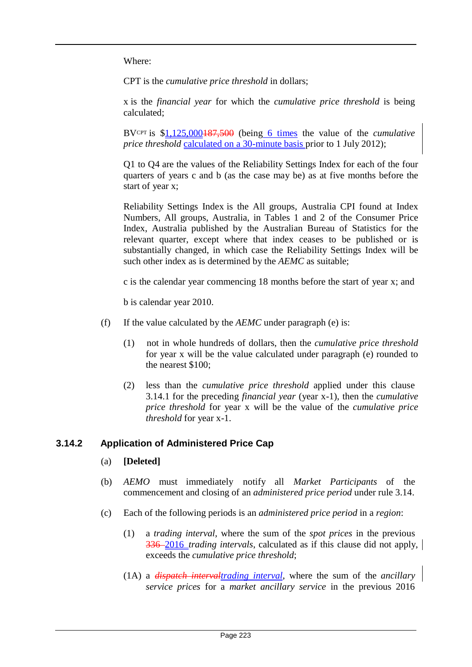Where:

CPT is the *cumulative price threshold* in dollars;

x is the *financial year* for which the *cumulative price threshold* is being calculated;

BVCPT is \$1,125,000187,500 (being 6 times the value of the *cumulative price threshold* calculated on a 30-minute basis prior to 1 July 2012);

Q1 to Q4 are the values of the Reliability Settings Index for each of the four quarters of years c and b (as the case may be) as at five months before the start of year x;

Reliability Settings Index is the All groups, Australia CPI found at Index Numbers, All groups, Australia, in Tables 1 and 2 of the Consumer Price Index, Australia published by the Australian Bureau of Statistics for the relevant quarter, except where that index ceases to be published or is substantially changed, in which case the Reliability Settings Index will be such other index as is determined by the *AEMC* as suitable;

c is the calendar year commencing 18 months before the start of year x; and

b is calendar year 2010.

- (f) If the value calculated by the *AEMC* under paragraph (e) is:
	- (1) not in whole hundreds of dollars, then the *cumulative price threshold*  for year x will be the value calculated under paragraph (e) rounded to the nearest \$100;
	- (2) less than the *cumulative price threshold* applied under this clause 3.14.1 for the preceding *financial year* (year x-1), then the *cumulative price threshold* for year x will be the value of the *cumulative price threshold* for year x-1.

## **3.14.2 Application of Administered Price Cap**

- (a) **[Deleted]**
- (b) *AEMO* must immediately notify all *Market Participants* of the commencement and closing of an *administered price period* under rule 3.14.
- (c) Each of the following periods is an *administered price period* in a *region*:
	- (1) a *trading interval*, where the sum of the *spot prices* in the previous 336 2016 *trading intervals*, calculated as if this clause did not apply, exceeds the *cumulative price threshold*;
	- (1A) a *dispatch intervaltrading interval*, where the sum of the *ancillary service prices* for a *market ancillary service* in the previous 2016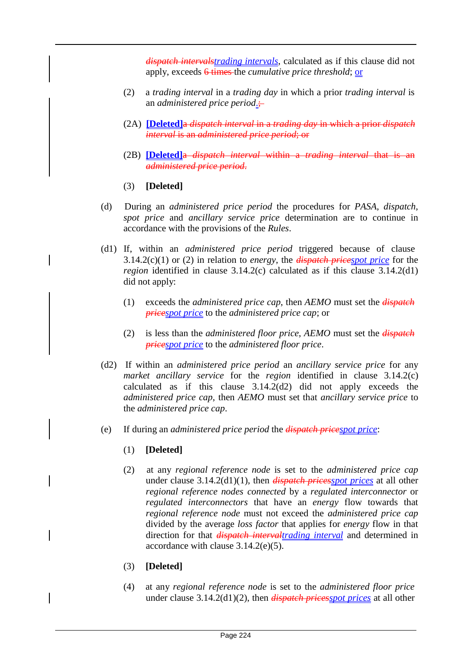*dispatch intervalstrading intervals*, calculated as if this clause did not apply, exceeds 6 times the *cumulative price threshold*; or

- (2) a *trading interval* in a *trading day* in which a prior *trading interval* is an *administered price period*.;
- (2A) **[Deleted]**a *dispatch interval* in a *trading day* in which a prior *dispatch interval* is an *administered price period*; or
- (2B) **[Deleted]**a *dispatch interval* within a *trading interval* that is an *administered price period*.
- (3) **[Deleted]**
- (d) During an *administered price period* the procedures for *PASA*, *dispatch*, *spot price* and *ancillary service price* determination are to continue in accordance with the provisions of the *Rules*.
- (d1) If, within an *administered price period* triggered because of clause 3.14.2(c)(1) or (2) in relation to *energy*, the *dispatch pricespot price* for the *region* identified in clause 3.14.2(c) calculated as if this clause 3.14.2(d1) did not apply:
	- (1) exceeds the *administered price cap*, then *AEMO* must set the *dispatch pricespot price* to the *administered price cap*; or
	- (2) is less than the *administered floor price*, *AEMO* must set the *dispatch pricespot price* to the *administered floor price*.
- (d2) If within an *administered price period* an *ancillary service price* for any *market ancillary service* for the *region* identified in clause 3.14.2(c) calculated as if this clause 3.14.2(d2) did not apply exceeds the *administered price cap*, then *AEMO* must set that *ancillary service price* to the *administered price cap*.
- (e) If during an *administered price period* the *dispatch pricespot price*:
	- (1) **[Deleted]**
	- (2) at any *regional reference node* is set to the *administered price cap*  under clause 3.14.2(d1)(1), then *dispatch pricesspot prices* at all other *regional reference nodes connected* by a *regulated interconnector* or *regulated interconnectors* that have an *energy* flow towards that *regional reference node* must not exceed the *administered price cap*  divided by the average *loss factor* that applies for *energy* flow in that direction for that *dispatch intervaltrading interval* and determined in accordance with clause 3.14.2(e)(5).
	- (3) **[Deleted]**
	- (4) at any *regional reference node* is set to the *administered floor price* under clause 3.14.2(d1)(2), then *dispatch pricesspot prices* at all other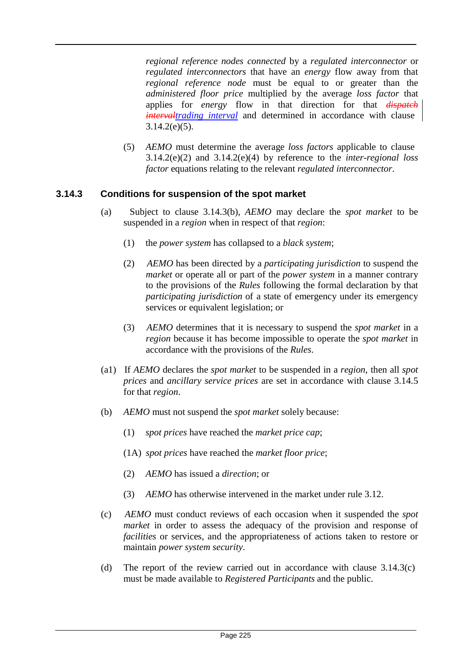*regional reference nodes connected* by a *regulated interconnector* or *regulated interconnectors* that have an *energy* flow away from that *regional reference node* must be equal to or greater than the *administered floor price* multiplied by the average *loss factor* that applies for *energy* flow in that direction for that *dispatch intervaltrading interval* and determined in accordance with clause  $3.14.2(e)(5)$ .

(5) *AEMO* must determine the average *loss factors* applicable to clause 3.14.2(e)(2) and 3.14.2(e)(4) by reference to the *inter-regional loss factor* equations relating to the relevant *regulated interconnector*.

## **3.14.3 Conditions for suspension of the spot market**

- (a) Subject to clause 3.14.3(b), *AEMO* may declare the *spot market* to be suspended in a *region* when in respect of that *region*:
	- (1) the *power system* has collapsed to a *black system*;
	- (2) *AEMO* has been directed by a *participating jurisdiction* to suspend the *market* or operate all or part of the *power system* in a manner contrary to the provisions of the *Rules* following the formal declaration by that *participating jurisdiction* of a state of emergency under its emergency services or equivalent legislation; or
	- (3) *AEMO* determines that it is necessary to suspend the *spot market* in a *region* because it has become impossible to operate the *spot market* in accordance with the provisions of the *Rules*.
- (a1) If *AEMO* declares the *spot market* to be suspended in a *region*, then all *spot prices* and *ancillary service prices* are set in accordance with clause 3.14.5 for that *region*.
- (b) *AEMO* must not suspend the *spot market* solely because:
	- (1) *spot prices* have reached the *market price cap*;
	- (1A) *spot prices* have reached the *market floor price*;
	- (2) *AEMO* has issued a *direction*; or
	- (3) *AEMO* has otherwise intervened in the market under rule 3.12.
- (c) *AEMO* must conduct reviews of each occasion when it suspended the *spot market* in order to assess the adequacy of the provision and response of *facilities* or services, and the appropriateness of actions taken to restore or maintain *power system security*.
- (d) The report of the review carried out in accordance with clause 3.14.3(c) must be made available to *Registered Participants* and the public.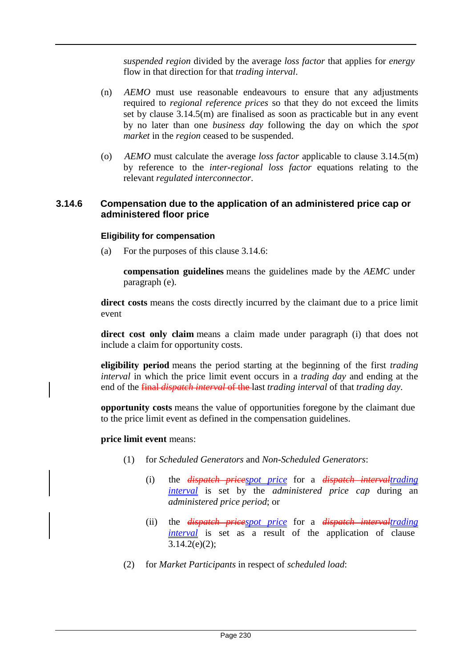*suspended region* divided by the average *loss factor* that applies for *energy* flow in that direction for that *trading interval*.

- (n) *AEMO* must use reasonable endeavours to ensure that any adjustments required to *regional reference prices* so that they do not exceed the limits set by clause 3.14.5(m) are finalised as soon as practicable but in any event by no later than one *business day* following the day on which the *spot market* in the *region* ceased to be suspended.
- (o) *AEMO* must calculate the average *loss factor* applicable to clause 3.14.5(m) by reference to the *inter-regional loss factor* equations relating to the relevant *regulated interconnector*.

## **3.14.6 Compensation due to the application of an administered price cap or administered floor price**

#### **Eligibility for compensation**

(a) For the purposes of this clause 3.14.6:

**compensation guidelines** means the guidelines made by the *AEMC* under paragraph (e).

**direct costs** means the costs directly incurred by the claimant due to a price limit event

**direct cost only claim** means a claim made under paragraph (i) that does not include a claim for opportunity costs.

**eligibility period** means the period starting at the beginning of the first *trading interval* in which the price limit event occurs in a *trading day* and ending at the end of the final *dispatch interval* of the last *trading interval* of that *trading day*.

**opportunity costs** means the value of opportunities foregone by the claimant due to the price limit event as defined in the compensation guidelines.

#### **price limit event** means:

- (1) for *Scheduled Generators* and *Non-Scheduled Generators*:
	- (i) the *dispatch pricespot price* for a *dispatch intervaltrading interval* is set by the *administered price cap* during an *administered price period*; or
	- (ii) the *dispatch pricespot price* for a *dispatch intervaltrading interval* is set as a result of the application of clause  $3.14.2(e)(2);$
- (2) for *Market Participants* in respect of *scheduled load*: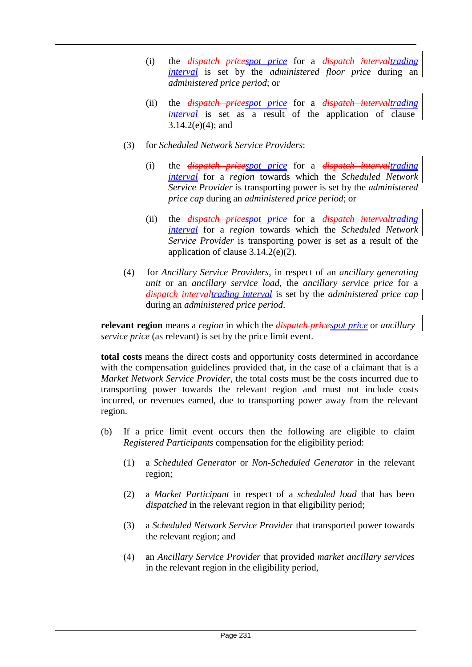- (i) the *dispatch pricespot price* for a *dispatch intervaltrading interval* is set by the *administered floor price* during an *administered price period*; or
- (ii) the *dispatch pricespot price* for a *dispatch intervaltrading interval* is set as a result of the application of clause 3.14.2(e)(4); and
- (3) for *Scheduled Network Service Providers*:
	- (i) the *dispatch pricespot price* for a *dispatch intervaltrading interval* for a *region* towards which the *Scheduled Network Service Provider* is transporting power is set by the *administered price cap* during an *administered price period*; or
	- (ii) the *dispatch pricespot price* for a *dispatch intervaltrading interval* for a *region* towards which the *Scheduled Network Service Provider* is transporting power is set as a result of the application of clause 3.14.2(e)(2).
- (4) for *Ancillary Service Providers*, in respect of an *ancillary generating unit* or an *ancillary service load*, the *ancillary service price* for a *dispatch intervaltrading interval* is set by the *administered price cap*  during an *administered price period*.

**relevant region** means a *region* in which the *dispatch pricespot price* or *ancillary service price* (as relevant) is set by the price limit event.

**total costs** means the direct costs and opportunity costs determined in accordance with the compensation guidelines provided that, in the case of a claimant that is a *Market Network Service Provider*, the total costs must be the costs incurred due to transporting power towards the relevant region and must not include costs incurred, or revenues earned, due to transporting power away from the relevant region.

- (b) If a price limit event occurs then the following are eligible to claim *Registered Participants* compensation for the eligibility period:
	- (1) a *Scheduled Generator* or *Non-Scheduled Generator* in the relevant region;
	- (2) a *Market Participant* in respect of a *scheduled load* that has been *dispatched* in the relevant region in that eligibility period;
	- (3) a *Scheduled Network Service Provider* that transported power towards the relevant region; and
	- (4) an *Ancillary Service Provider* that provided *market ancillary services* in the relevant region in the eligibility period,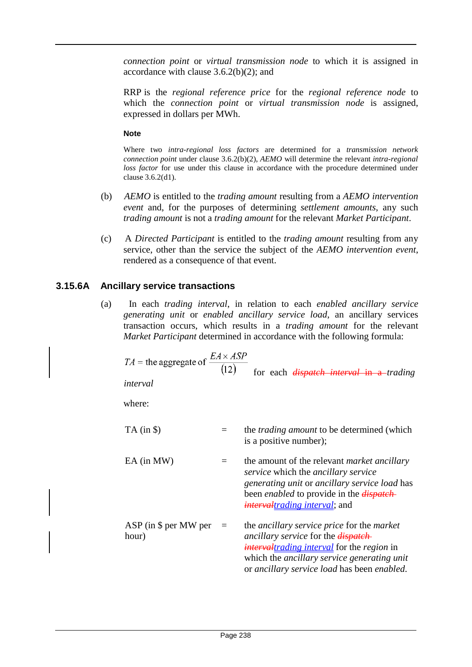*connection point* or *virtual transmission node* to which it is assigned in accordance with clause  $3.6.2(b)(2)$ ; and

RRP is the *regional reference price* for the *regional reference node* to which the *connection point* or *virtual transmission node* is assigned, expressed in dollars per MWh.

#### **Note**

Where two *intra-regional loss factors* are determined for a *transmission network connection point* under clause 3.6.2(b)(2), *AEMO* will determine the relevant *intra-regional loss factor* for use under this clause in accordance with the procedure determined under clause 3.6.2(d1).

- (b) *AEMO* is entitled to the *trading amount* resulting from a *AEMO intervention event* and, for the purposes of determining *settlement amounts*, any such *trading amount* is not a *trading amount* for the relevant *Market Participant*.
- (c) A *Directed Participant* is entitled to the *trading amount* resulting from any service, other than the service the subject of the *AEMO intervention event*, rendered as a consequence of that event.

# **3.15.6A Ancillary service transactions**

(a) In each *trading interval*, in relation to each *enabled ancillary service generating unit* or *enabled ancillary service load*, an ancillary services transaction occurs, which results in a *trading amount* for the relevant *Market Participant* determined in accordance with the following formula:

| $TA =$ the aggregate of $\frac{EA \times ASP}{(12)}$<br>interval |     | for each <i>dispatch interval</i> in a- <i>trading</i>                                                                                                                                                                                                                   |
|------------------------------------------------------------------|-----|--------------------------------------------------------------------------------------------------------------------------------------------------------------------------------------------------------------------------------------------------------------------------|
| where:                                                           |     |                                                                                                                                                                                                                                                                          |
| $TA$ (in $\$\$ )                                                 |     | the <i>trading amount</i> to be determined (which<br>is a positive number);                                                                                                                                                                                              |
| EA (in MW)                                                       | $=$ | the amount of the relevant <i>market ancillary</i><br><i>service</i> which the <i>ancillary service</i><br>generating unit or ancillary service load has<br>been <i>enabled</i> to provide in the <i>dispatch</i><br><i>intervaltrading interval</i> ; and               |
| $ASP$ (in \$ per MW per =<br>hour)                               |     | the <i>ancillary service price</i> for the <i>market</i><br>ancillary service for the <i>dispatch</i> -<br><i>intervaltrading interval</i> for the <i>region</i> in<br>which the <i>ancillary service generating unit</i><br>or ancillary service load has been enabled. |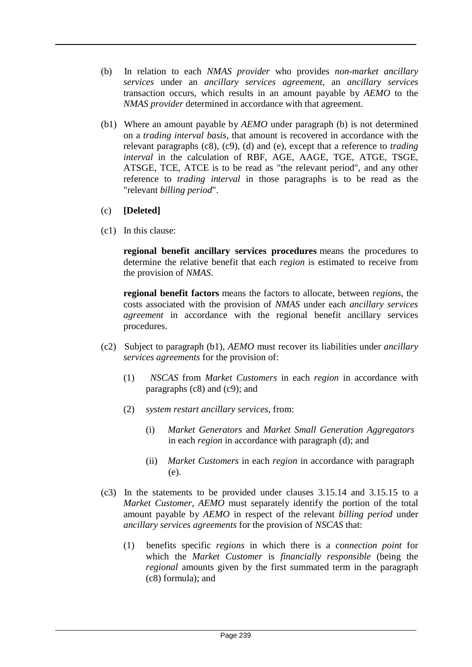- (b) In relation to each *NMAS provider* who provides *non-market ancillary services* under an *ancillary services agreement*, an *ancillary services*  transaction occurs, which results in an amount payable by *AEMO* to the *NMAS provider* determined in accordance with that agreement.
- (b1) Where an amount payable by *AEMO* under paragraph (b) is not determined on a *trading interval basis*, that amount is recovered in accordance with the relevant paragraphs (c8), (c9), (d) and (e), except that a reference to *trading interval* in the calculation of RBF, AGE, AAGE, TGE, ATGE, TSGE, ATSGE, TCE, ATCE is to be read as "the relevant period", and any other reference to *trading interval* in those paragraphs is to be read as the "relevant *billing period*".
- (c) **[Deleted]**
- (c1) In this clause:

**regional benefit ancillary services procedures** means the procedures to determine the relative benefit that each *region* is estimated to receive from the provision of *NMAS*.

**regional benefit factors** means the factors to allocate, between *regions*, the costs associated with the provision of *NMAS* under each *ancillary services agreement* in accordance with the regional benefit ancillary services procedures.

- (c2) Subject to paragraph (b1), *AEMO* must recover its liabilities under *ancillary services agreements* for the provision of:
	- (1) *NSCAS* from *Market Customers* in each *region* in accordance with paragraphs (c8) and (c9); and
	- (2) *system restart ancillary services*, from:
		- (i) *Market Generators* and *Market Small Generation Aggregators* in each *region* in accordance with paragraph (d); and
		- (ii) *Market Customers* in each *region* in accordance with paragraph (e).
- (c3) In the statements to be provided under clauses 3.15.14 and 3.15.15 to a *Market Customer*, *AEMO* must separately identify the portion of the total amount payable by *AEMO* in respect of the relevant *billing period* under *ancillary services agreements* for the provision of *NSCAS* that:
	- (1) benefits specific *regions* in which there is a *connection point* for which the *Market Customer* is *financially responsible* (being the *regional* amounts given by the first summated term in the paragraph (c8) formula); and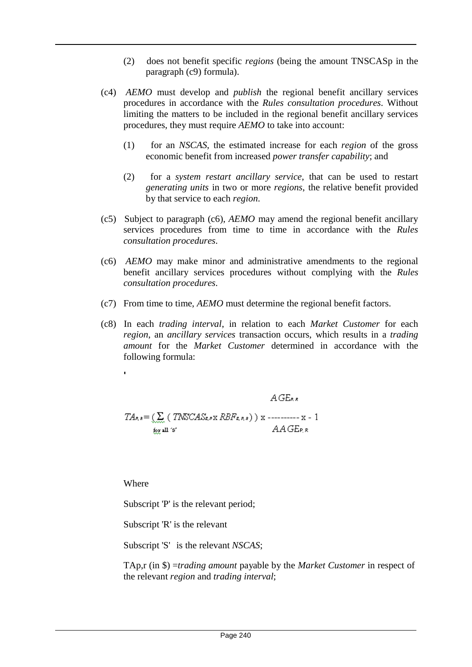- (2) does not benefit specific *regions* (being the amount TNSCASp in the paragraph (c9) formula).
- (c4) *AEMO* must develop and *publish* the regional benefit ancillary services procedures in accordance with the *Rules consultation procedures*. Without limiting the matters to be included in the regional benefit ancillary services procedures, they must require *AEMO* to take into account:
	- (1) for an *NSCAS*, the estimated increase for each *region* of the gross economic benefit from increased *power transfer capability*; and
	- (2) for a *system restart ancillary service*, that can be used to restart *generating units* in two or more *regions*, the relative benefit provided by that service to each *region*.
- (c5) Subject to paragraph (c6), *AEMO* may amend the regional benefit ancillary services procedures from time to time in accordance with the *Rules consultation procedures*.
- (c6) *AEMO* may make minor and administrative amendments to the regional benefit ancillary services procedures without complying with the *Rules consultation procedures*.
- (c7) From time to time, *AEMO* must determine the regional benefit factors.
- (c8) In each *trading interval*, in relation to each *Market Customer* for each *region*, an *ancillary services* transaction occurs, which results in a *trading amount* for the *Market Customer* determined in accordance with the following formula:

$$
A\, G E_{\text{R,R}}
$$

$$
TA_{P,S} = (\sum_{k \ge 1} (TNSCAS_{R,P} \times RBF_{R,P,S}) ) \times \text{---} \times - 1
$$
  
for all 's'

Where

Subscript 'P' is the relevant period;

Subscript 'R' is the relevant

Subscript 'S' is the relevant *NSCAS*;

TAp,r (in \$) =*trading amount* payable by the *Market Customer* in respect of the relevant *region* and *trading interval*;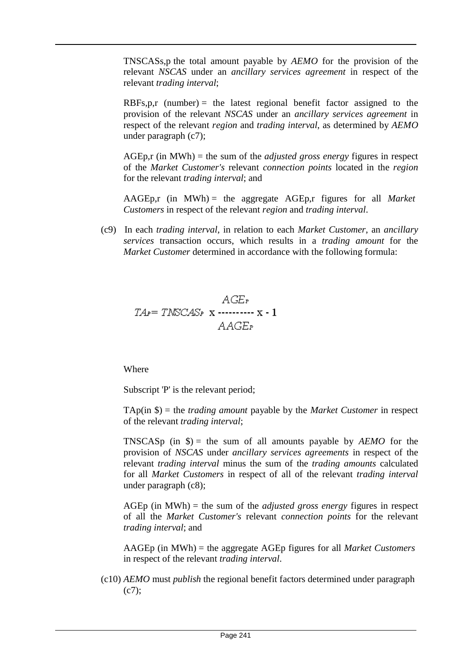TNSCASs,p the total amount payable by *AEMO* for the provision of the relevant *NSCAS* under an *ancillary services agreement* in respect of the relevant *trading interval*;

 $RBFs, p, r$  (number) = the latest regional benefit factor assigned to the provision of the relevant *NSCAS* under an *ancillary services agreement* in respect of the relevant *region* and *trading interval*, as determined by *AEMO*  under paragraph (c7);

AGEp,r (in MWh) = the sum of the *adjusted gross energy* figures in respect of the *Market Customer's* relevant *connection points* located in the *region*  for the relevant *trading interval*; and

AAGEp,r (in MWh) = the aggregate AGEp,r figures for all *Market Customers* in respect of the relevant *region* and *trading interval*.

(c9) In each *trading interval*, in relation to each *Market Customer*, an *ancillary services* transaction occurs, which results in a *trading amount* for the *Market Customer* determined in accordance with the following formula:

$$
AGE_r
$$
  

$$
TA_P = TNSCAS_P \times \cdots \cdots \cdots \times \cdot 1
$$
  

$$
AAGE_P
$$

Where

Subscript 'P' is the relevant period;

TAp(in \$) = the *trading amount* payable by the *Market Customer* in respect of the relevant *trading interval*;

TNSCASp (in  $\phi$ ) = the sum of all amounts payable by *AEMO* for the provision of *NSCAS* under *ancillary services agreements* in respect of the relevant *trading interval* minus the sum of the *trading amounts* calculated for all *Market Customers* in respect of all of the relevant *trading interval*  under paragraph (c8);

AGEp (in MWh) = the sum of the *adjusted gross energy* figures in respect of all the *Market Customer's* relevant *connection points* for the relevant *trading interval*; and

AAGEp (in MWh) = the aggregate AGEp figures for all *Market Customers* in respect of the relevant *trading interval*.

(c10) *AEMO* must *publish* the regional benefit factors determined under paragraph  $(c7);$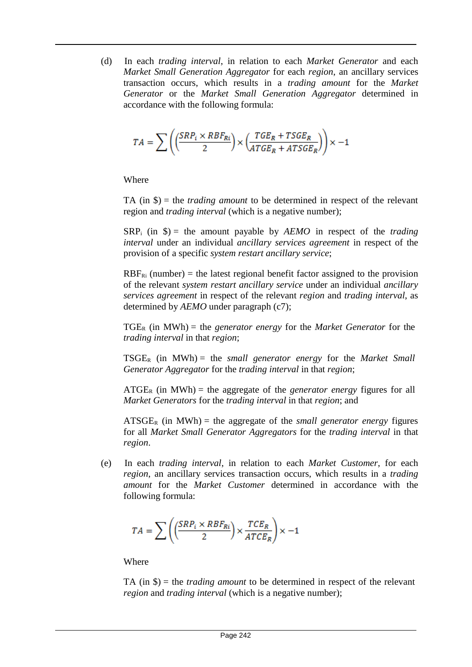(d) In each *trading interval*, in relation to each *Market Generator* and each *Market Small Generation Aggregator* for each *region*, an ancillary services transaction occurs, which results in a *trading amount* for the *Market Generator* or the *Market Small Generation Aggregator* determined in accordance with the following formula:

$$
TA=\sum\limits \left(\!\left(\!\frac{SRP_i\times RBF_{Ri}}{2}\!\right)\!\times\!\left(\!\frac{TGE_R+TSGE_R}{ATGE_R+ATSGE_R}\!\right)\!\right)\!\times\!-\!1
$$

Where

TA (in \$) = the *trading amount* to be determined in respect of the relevant region and *trading interval* (which is a negative number);

 $SRP_i$  (in  $\hat{S}$ ) = the amount payable by *AEMO* in respect of the *trading interval* under an individual *ancillary services agreement* in respect of the provision of a specific *system restart ancillary service*;

 $RBF_{Ri}$  (number) = the latest regional benefit factor assigned to the provision of the relevant *system restart ancillary service* under an individual *ancillary services agreement* in respect of the relevant *region* and *trading interval*, as determined by *AEMO* under paragraph (c7);

 $TGE_R$  (in MWh) = the *generator energy* for the *Market Generator* for the *trading interval* in that *region*;

TSGER (in MWh) = the *small generator energy* for the *Market Small Generator Aggregator* for the *trading interval* in that *region*;

 $ATGE<sub>R</sub>$  (in MWh) = the aggregate of the *generator energy* figures for all *Market Generators* for the *trading interval* in that *region*; and

 $\text{ATSGE}_R$  (in MWh) = the aggregate of the *small generator energy* figures for all *Market Small Generator Aggregators* for the *trading interval* in that *region*.

(e) In each *trading interval*, in relation to each *Market Customer*, for each *region*, an ancillary services transaction occurs, which results in a *trading amount* for the *Market Customer* determined in accordance with the following formula:

$$
TA = \sum \left(\left(\frac{SRP_i \times RBF_{Ri}}{2}\right) \times \frac{TCE_R}{ATCE_R}\right) \times -1
$$

Where

TA (in \$) = the *trading amount* to be determined in respect of the relevant *region* and *trading interval* (which is a negative number);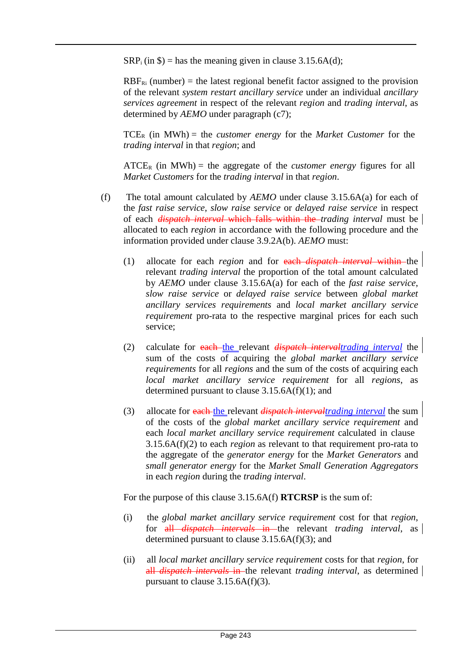$SRP_i$  (in \$) = has the meaning given in clause 3.15.6A(d);

 $RBF_{Ri}$  (number) = the latest regional benefit factor assigned to the provision of the relevant *system restart ancillary service* under an individual *ancillary services agreement* in respect of the relevant *region* and *trading interval*, as determined by *AEMO* under paragraph (c7);

 $TCE_R$  (in MWh) = the *customer energy* for the *Market Customer* for the *trading interval* in that *region*; and

 $\textrm{ATCE}_R$  (in MWh) = the aggregate of the *customer energy* figures for all *Market Customers* for the *trading interval* in that *region*.

- (f) The total amount calculated by *AEMO* under clause 3.15.6A(a) for each of the *fast raise service*, *slow raise service* or *delayed raise service* in respect of each *dispatch interval* which falls within the *trading interval* must be allocated to each *region* in accordance with the following procedure and the information provided under clause 3.9.2A(b). *AEMO* must:
	- (1) allocate for each *region* and for each *dispatch interval* within the relevant *trading interval* the proportion of the total amount calculated by *AEMO* under clause 3.15.6A(a) for each of the *fast raise service*, *slow raise service* or *delayed raise service* between *global market ancillary services requirements* and *local market ancillary service requirement* pro-rata to the respective marginal prices for each such service;
	- (2) calculate for each the relevant *dispatch intervaltrading interval* the sum of the costs of acquiring the *global market ancillary service requirements* for all *regions* and the sum of the costs of acquiring each *local market ancillary service requirement* for all *regions*, as determined pursuant to clause  $3.15.6A(f)(1)$ ; and
	- (3) allocate for each the relevant *dispatch intervaltrading interval* the sum of the costs of the *global market ancillary service requirement* and each *local market ancillary service requirement* calculated in clause 3.15.6A(f)(2) to each *region* as relevant to that requirement pro-rata to the aggregate of the *generator energy* for the *Market Generators* and *small generator energy* for the *Market Small Generation Aggregators*  in each *region* during the *trading interval*.

For the purpose of this clause 3.15.6A(f) **RTCRSP** is the sum of:

- (i) the *global market ancillary service requirement* cost for that *region*, for all *dispatch intervals* in the relevant *trading interval*, as determined pursuant to clause 3.15.6A(f)(3); and
- (ii) all *local market ancillary service requirement* costs for that *region*, for all *dispatch intervals* in the relevant *trading interval*, as determined pursuant to clause 3.15.6A(f)(3).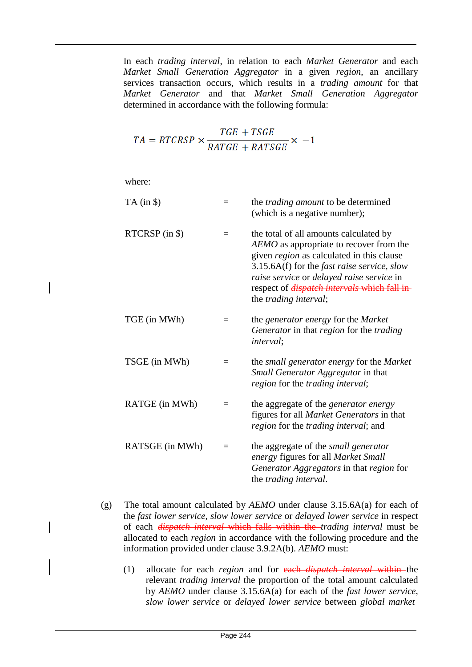In each *trading interval*, in relation to each *Market Generator* and each *Market Small Generation Aggregator* in a given *region*, an ancillary services transaction occurs, which results in a *trading amount* for that *Market Generator* and that *Market Small Generation Aggregator*  determined in accordance with the following formula:

$$
TA = RTCRSP \times \frac{TGE + TSGE}{RATGE + RATSGE} \times -1
$$

where:

 $\overline{\phantom{a}}$ 

| $TA$ (in $\$ )  | $=$ | the <i>trading amount</i> to be determined<br>(which is a negative number);                                                                                                                                                                                                                                               |
|-----------------|-----|---------------------------------------------------------------------------------------------------------------------------------------------------------------------------------------------------------------------------------------------------------------------------------------------------------------------------|
| RTCRSP (in \$)  | $=$ | the total of all amounts calculated by<br>AEMO as appropriate to recover from the<br>given <i>region</i> as calculated in this clause<br>3.15.6A(f) for the fast raise service, slow<br>raise service or delayed raise service in<br>respect of <i>dispatch intervals</i> which fall in-<br>the <i>trading interval</i> ; |
| TGE (in MWh)    |     | the <i>generator</i> energy for the <i>Market</i><br>Generator in that region for the trading<br><i>interval</i> ;                                                                                                                                                                                                        |
| TSGE (in MWh)   | $=$ | the <i>small generator energy</i> for the <i>Market</i><br>Small Generator Aggregator in that<br>region for the trading interval;                                                                                                                                                                                         |
| RATGE (in MWh)  | $=$ | the aggregate of the generator energy<br>figures for all <i>Market Generators</i> in that<br>region for the trading interval; and                                                                                                                                                                                         |
| RATSGE (in MWh) | $=$ | the aggregate of the <i>small generator</i><br>energy figures for all Market Small<br>Generator Aggregators in that region for<br>the trading interval.                                                                                                                                                                   |

- (g) The total amount calculated by *AEMO* under clause 3.15.6A(a) for each of the *fast lower service*, *slow lower service* or *delayed lower service* in respect of each *dispatch interval* which falls within the *trading interval* must be allocated to each *region* in accordance with the following procedure and the information provided under clause 3.9.2A(b). *AEMO* must:
	- (1) allocate for each *region* and for each *dispatch interval* within the relevant *trading interval* the proportion of the total amount calculated by *AEMO* under clause 3.15.6A(a) for each of the *fast lower service*, *slow lower service* or *delayed lower service* between *global market*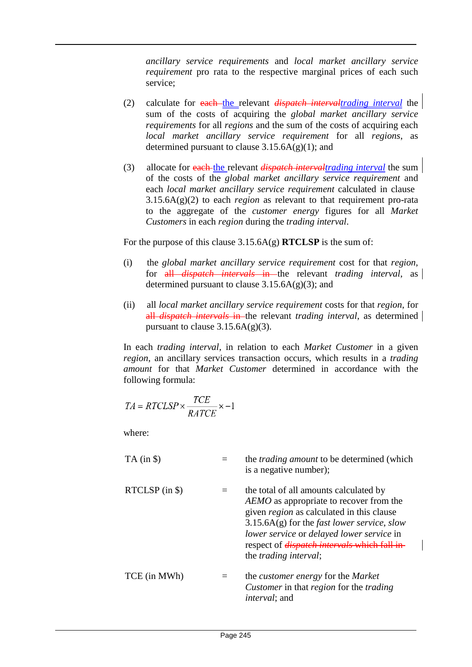*ancillary service requirements* and *local market ancillary service requirement* pro rata to the respective marginal prices of each such service;

- (2) calculate for each the relevant *dispatch intervaltrading interval* the sum of the costs of acquiring the *global market ancillary service requirements* for all *regions* and the sum of the costs of acquiring each *local market ancillary service requirement* for all *regions*, as determined pursuant to clause  $3.15.6A(g)(1)$ ; and
- (3) allocate for each the relevant *dispatch intervaltrading interval* the sum of the costs of the *global market ancillary service requirement* and each *local market ancillary service requirement* calculated in clause 3.15.6A(g)(2) to each *region* as relevant to that requirement pro-rata to the aggregate of the *customer energy* figures for all *Market Customers* in each *region* during the *trading interval*.

For the purpose of this clause 3.15.6A(g) **RTCLSP** is the sum of:

- (i) the *global market ancillary service requirement* cost for that *region*, for all *dispatch intervals* in the relevant *trading interval*, as determined pursuant to clause  $3.15.6A(g)(3)$ ; and
- (ii) all *local market ancillary service requirement* costs for that *region*, for all *dispatch intervals* in the relevant *trading interval*, as determined pursuant to clause  $3.15.6A(g)(3)$ .

In each *trading interval*, in relation to each *Market Customer* in a given *region*, an ancillary services transaction occurs, which results in a *trading amount* for that *Market Customer* determined in accordance with the following formula:

$$
TA = RTCLSP \times \frac{TCE}{RATCE} \times -1
$$

where:

| $TA$ (in $\$ )     | the <i>trading amount</i> to be determined (which<br>is a negative number);                                                                                                                                                                                                                                                               |
|--------------------|-------------------------------------------------------------------------------------------------------------------------------------------------------------------------------------------------------------------------------------------------------------------------------------------------------------------------------------------|
| $RTCLSP$ (in $\$ ) | the total of all amounts calculated by<br>AEMO as appropriate to recover from the<br>given <i>region</i> as calculated in this clause<br>$3.15.6A(g)$ for the <i>fast lower service</i> , <i>slow</i><br>lower service or delayed lower service in<br>respect of <i>dispatch intervals</i> which fall in<br>the <i>trading interval</i> ; |
| TCE (in MWh)       | the <i>customer</i> energy for the <i>Market</i><br><i>Customer</i> in that <i>region</i> for the <i>trading</i><br><i>interval</i> ; and                                                                                                                                                                                                 |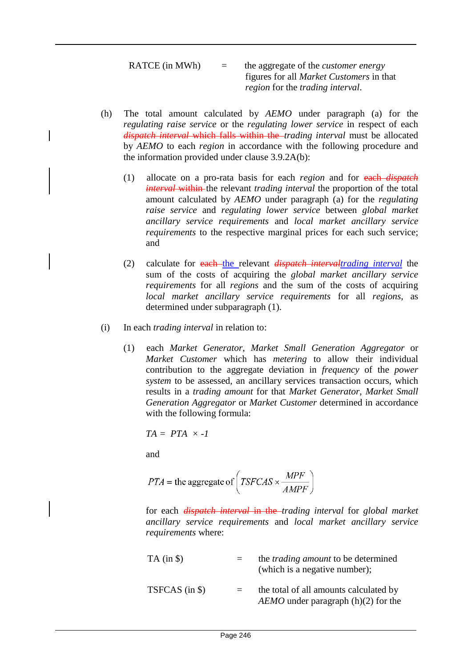RATCE (in MWh) = the aggregate of the *customer energy*  figures for all *Market Customers* in that *region* for the *trading interval*.

- (h) The total amount calculated by *AEMO* under paragraph (a) for the *regulating raise service* or the *regulating lower service* in respect of each *dispatch interval* which falls within the *trading interval* must be allocated by *AEMO* to each *region* in accordance with the following procedure and the information provided under clause 3.9.2A(b):
	- (1) allocate on a pro-rata basis for each *region* and for each *dispatch interval* within the relevant *trading interval* the proportion of the total amount calculated by *AEMO* under paragraph (a) for the *regulating raise service* and *regulating lower service* between *global market ancillary service requirements* and *local market ancillary service requirements* to the respective marginal prices for each such service; and
	- (2) calculate for each the relevant *dispatch intervaltrading interval* the sum of the costs of acquiring the *global market ancillary service requirements* for all *regions* and the sum of the costs of acquiring *local market ancillary service requirements* for all *regions*, as determined under subparagraph (1).
- (i) In each *trading interval* in relation to:
	- (1) each *Market Generator*, *Market Small Generation Aggregator* or *Market Customer* which has *metering* to allow their individual contribution to the aggregate deviation in *frequency* of the *power system* to be assessed, an ancillary services transaction occurs, which results in a *trading amount* for that *Market Generator*, *Market Small Generation Aggregator* or *Market Customer* determined in accordance with the following formula:

$$
TA = PTA \times -I
$$

and

$$
PTA = \text{the aggregate of}\left(TSFCAS \times \frac{MPF}{AMPF}\right)
$$

for each *dispatch interval* in the *trading interval* for *global market ancillary service requirements* and *local market ancillary service requirements* where:

| $TA$ (in $\})$ | the <i>trading amount</i> to be determined<br>(which is a negative number);     |
|----------------|---------------------------------------------------------------------------------|
| TSFCAS (in \$) | the total of all amounts calculated by<br>$AEMO$ under paragraph (h)(2) for the |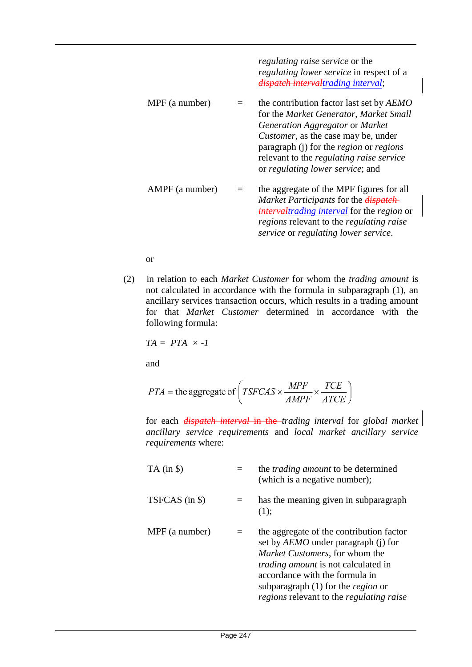|                 | <i>regulating raise service</i> or the<br><i>regulating lower service</i> in respect of a<br>dispatch intervaltrading interval;                                                                                                                                                                                      |
|-----------------|----------------------------------------------------------------------------------------------------------------------------------------------------------------------------------------------------------------------------------------------------------------------------------------------------------------------|
| MPF (a number)  | the contribution factor last set by AEMO<br>for the Market Generator, Market Small<br>Generation Aggregator or Market<br><i>Customer</i> , as the case may be, under<br>paragraph (j) for the <i>region</i> or <i>regions</i><br>relevant to the <i>regulating raise service</i><br>or regulating lower service; and |
| AMPF (a number) | the aggregate of the MPF figures for all<br>Market Participants for the <i>dispatch</i><br><i>intervaltrading interval</i> for the <i>region</i> or<br><i>regions</i> relevant to the <i>regulating raise</i><br>service or regulating lower service.                                                                |

or

(2) in relation to each *Market Customer* for whom the *trading amount* is not calculated in accordance with the formula in subparagraph (1), an ancillary services transaction occurs, which results in a trading amount for that *Market Customer* determined in accordance with the following formula:

$$
TA = PTA \times -I
$$

and

$$
PTA = \text{the aggregate of}\left(TSFCAS \times \frac{MPF}{AMPF} \times \frac{TCE}{ATCE}\right)
$$

for each *dispatch interval* in the *trading interval* for *global market ancillary service requirements* and *local market ancillary service requirements* where:

| $TA$ (in $\$ ) | the <i>trading amount</i> to be determined<br>(which is a negative number);                                                                                                                                                                                                                                       |
|----------------|-------------------------------------------------------------------------------------------------------------------------------------------------------------------------------------------------------------------------------------------------------------------------------------------------------------------|
| TSFCAS (in \$) | has the meaning given in subparagraph<br>(1);                                                                                                                                                                                                                                                                     |
| MPF (a number) | the aggregate of the contribution factor<br>set by <i>AEMO</i> under paragraph (j) for<br>Market Customers, for whom the<br><i>trading amount</i> is not calculated in<br>accordance with the formula in<br>subparagraph $(1)$ for the <i>region</i> or<br><i>regions</i> relevant to the <i>regulating raise</i> |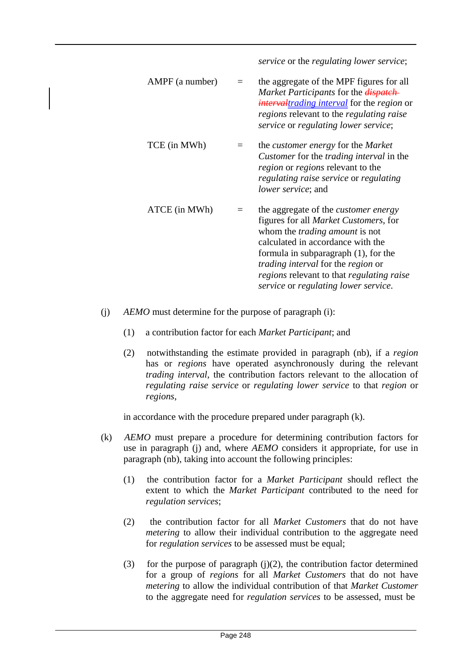*service* or the *regulating lower service*;

- $AMPF (a number) =$ the aggregate of the MPF figures for all *Market Participants* for the *dispatch intervaltrading interval* for the *region* or *regions* relevant to the *regulating raise service* or *regulating lower service*; TCE (in MWh) = the *customer energy* for the *Market Customer* for the *trading interval* in the *region* or *regions* relevant to the *regulating raise service* or *regulating lower service*; and ATCE (in MWh) = the aggregate of the *customer energy*  figures for all *Market Customers*, for whom the *trading amount* is not calculated in accordance with the formula in subparagraph (1), for the *trading interval* for the *region* or *regions* relevant to that *regulating raise service* or *regulating lower service*.
- (j) *AEMO* must determine for the purpose of paragraph (i):
	- (1) a contribution factor for each *Market Participant*; and
	- (2) notwithstanding the estimate provided in paragraph (nb), if a *region*  has or *regions* have operated asynchronously during the relevant *trading interval*, the contribution factors relevant to the allocation of *regulating raise service* or *regulating lower service* to that *region* or *regions*,

in accordance with the procedure prepared under paragraph (k).

- (k) *AEMO* must prepare a procedure for determining contribution factors for use in paragraph (j) and, where *AEMO* considers it appropriate, for use in paragraph (nb), taking into account the following principles:
	- (1) the contribution factor for a *Market Participant* should reflect the extent to which the *Market Participant* contributed to the need for *regulation services*;
	- (2) the contribution factor for all *Market Customers* that do not have *metering* to allow their individual contribution to the aggregate need for *regulation services* to be assessed must be equal;
	- (3) for the purpose of paragraph  $(j)(2)$ , the contribution factor determined for a group of *regions* for all *Market Customers* that do not have *metering* to allow the individual contribution of that *Market Customer*  to the aggregate need for *regulation services* to be assessed, must be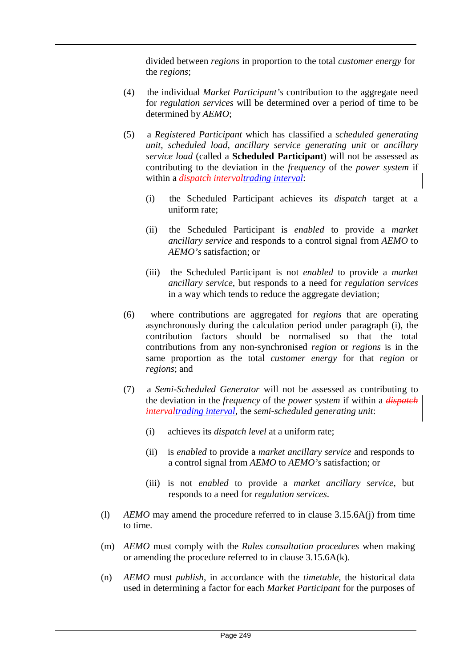divided between *regions* in proportion to the total *customer energy* for the *regions*;

- (4) the individual *Market Participant's* contribution to the aggregate need for *regulation services* will be determined over a period of time to be determined by *AEMO*;
- (5) a *Registered Participant* which has classified a *scheduled generating unit*, *scheduled load*, *ancillary service generating unit* or *ancillary service load* (called a **Scheduled Participant**) will not be assessed as contributing to the deviation in the *frequency* of the *power system* if within a *dispatch intervaltrading interval*:
	- (i) the Scheduled Participant achieves its *dispatch* target at a uniform rate;
	- (ii) the Scheduled Participant is *enabled* to provide a *market ancillary service* and responds to a control signal from *AEMO* to *AEMO's* satisfaction; or
	- (iii) the Scheduled Participant is not *enabled* to provide a *market ancillary service*, but responds to a need for *regulation services*  in a way which tends to reduce the aggregate deviation;
- (6) where contributions are aggregated for *regions* that are operating asynchronously during the calculation period under paragraph (i), the contribution factors should be normalised so that the total contributions from any non-synchronised *region* or *regions* is in the same proportion as the total *customer energy* for that *region* or *regions*; and
- (7) a *Semi-Scheduled Generator* will not be assessed as contributing to the deviation in the *frequency* of the *power system* if within a *dispatch intervaltrading interval*, the *semi-scheduled generating unit*:
	- (i) achieves its *dispatch level* at a uniform rate;
	- (ii) is *enabled* to provide a *market ancillary service* and responds to a control signal from *AEMO* to *AEMO's* satisfaction; or
	- (iii) is not *enabled* to provide a *market ancillary service*, but responds to a need for *regulation services*.
- (l) *AEMO* may amend the procedure referred to in clause 3.15.6A(j) from time to time.
- (m) *AEMO* must comply with the *Rules consultation procedures* when making or amending the procedure referred to in clause 3.15.6A(k).
- (n) *AEMO* must *publish*, in accordance with the *timetable*, the historical data used in determining a factor for each *Market Participant* for the purposes of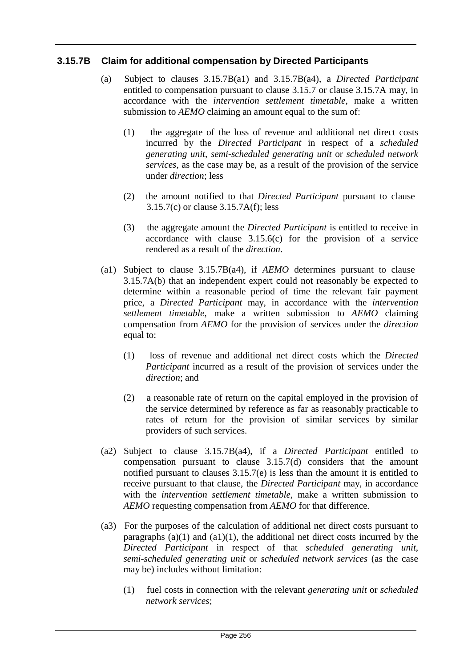# **3.15.7B Claim for additional compensation by Directed Participants**

- (a) Subject to clauses 3.15.7B(a1) and 3.15.7B(a4), a *Directed Participant*  entitled to compensation pursuant to clause 3.15.7 or clause 3.15.7A may, in accordance with the *intervention settlement timetable*, make a written submission to *AEMO* claiming an amount equal to the sum of:
	- (1) the aggregate of the loss of revenue and additional net direct costs incurred by the *Directed Participant* in respect of a *scheduled generating unit*, *semi-scheduled generating unit* or *scheduled network services*, as the case may be, as a result of the provision of the service under *direction*; less
	- (2) the amount notified to that *Directed Participant* pursuant to clause 3.15.7(c) or clause 3.15.7A(f); less
	- (3) the aggregate amount the *Directed Participant* is entitled to receive in accordance with clause 3.15.6(c) for the provision of a service rendered as a result of the *direction*.
- (a1) Subject to clause 3.15.7B(a4), if *AEMO* determines pursuant to clause 3.15.7A(b) that an independent expert could not reasonably be expected to determine within a reasonable period of time the relevant fair payment price, a *Directed Participant* may, in accordance with the *intervention settlement timetable*, make a written submission to *AEMO* claiming compensation from *AEMO* for the provision of services under the *direction*  equal to:
	- (1) loss of revenue and additional net direct costs which the *Directed Participant* incurred as a result of the provision of services under the *direction*; and
	- (2) a reasonable rate of return on the capital employed in the provision of the service determined by reference as far as reasonably practicable to rates of return for the provision of similar services by similar providers of such services.
- (a2) Subject to clause 3.15.7B(a4), if a *Directed Participant* entitled to compensation pursuant to clause 3.15.7(d) considers that the amount notified pursuant to clauses 3.15.7(e) is less than the amount it is entitled to receive pursuant to that clause, the *Directed Participant* may, in accordance with the *intervention settlement timetable*, make a written submission to *AEMO* requesting compensation from *AEMO* for that difference.
- (a3) For the purposes of the calculation of additional net direct costs pursuant to paragraphs  $(a)(1)$  and  $(a1)(1)$ , the additional net direct costs incurred by the *Directed Participant* in respect of that *scheduled generating unit*, *semi-scheduled generating unit* or *scheduled network services* (as the case may be) includes without limitation:
	- (1) fuel costs in connection with the relevant *generating unit* or *scheduled network services*;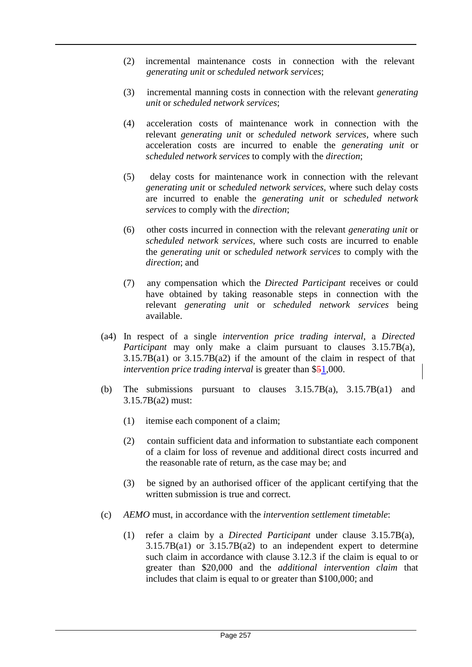- (2) incremental maintenance costs in connection with the relevant *generating unit* or *scheduled network services*;
- (3) incremental manning costs in connection with the relevant *generating unit* or *scheduled network services*;
- (4) acceleration costs of maintenance work in connection with the relevant *generating unit* or *scheduled network services*, where such acceleration costs are incurred to enable the *generating unit* or *scheduled network services* to comply with the *direction*;
- (5) delay costs for maintenance work in connection with the relevant *generating unit* or *scheduled network services*, where such delay costs are incurred to enable the *generating unit* or *scheduled network services* to comply with the *direction*;
- (6) other costs incurred in connection with the relevant *generating unit* or *scheduled network services*, where such costs are incurred to enable the *generating unit* or *scheduled network services* to comply with the *direction*; and
- (7) any compensation which the *Directed Participant* receives or could have obtained by taking reasonable steps in connection with the relevant *generating unit* or *scheduled network services* being available.
- (a4) In respect of a single *intervention price trading interval*, a *Directed Participant* may only make a claim pursuant to clauses 3.15.7B(a), 3.15.7B(a1) or 3.15.7B(a2) if the amount of the claim in respect of that *intervention price trading interval* is greater than \$51,000.
- (b) The submissions pursuant to clauses  $3.15.7B(a)$ ,  $3.15.7B(a1)$  and 3.15.7B(a2) must:
	- (1) itemise each component of a claim;
	- (2) contain sufficient data and information to substantiate each component of a claim for loss of revenue and additional direct costs incurred and the reasonable rate of return, as the case may be; and
	- (3) be signed by an authorised officer of the applicant certifying that the written submission is true and correct.
- (c) *AEMO* must, in accordance with the *intervention settlement timetable*:
	- (1) refer a claim by a *Directed Participant* under clause 3.15.7B(a),  $3.15.7B(a1)$  or  $3.15.7B(a2)$  to an independent expert to determine such claim in accordance with clause 3.12.3 if the claim is equal to or greater than \$20,000 and the *additional intervention claim* that includes that claim is equal to or greater than \$100,000; and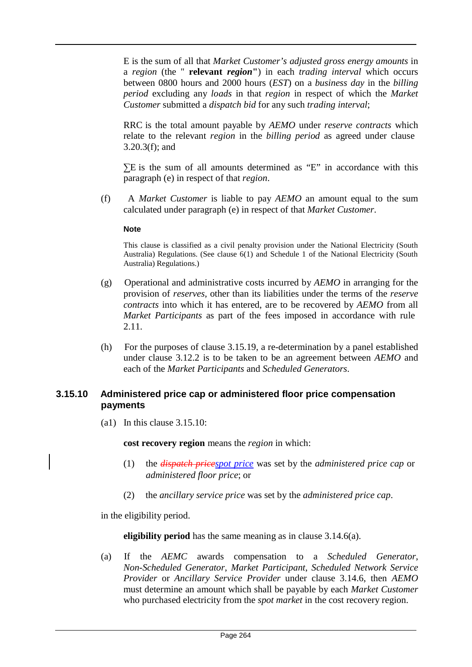E is the sum of all that *Market Customer's adjusted gross energy amounts* in a *region* (the " **relevant** *region***"**) in each *trading interval* which occurs between 0800 hours and 2000 hours (*EST*) on a *business day* in the *billing period* excluding any *loads* in that *region* in respect of which the *Market Customer* submitted a *dispatch bid* for any such *trading interval*;

RRC is the total amount payable by *AEMO* under *reserve contracts* which relate to the relevant *region* in the *billing period* as agreed under clause 3.20.3(f); and

 $\Sigma$ E is the sum of all amounts determined as "E" in accordance with this paragraph (e) in respect of that *region*.

(f) A *Market Customer* is liable to pay *AEMO* an amount equal to the sum calculated under paragraph (e) in respect of that *Market Customer*.

#### **Note**

This clause is classified as a civil penalty provision under the National Electricity (South Australia) Regulations. (See clause 6(1) and Schedule 1 of the National Electricity (South Australia) Regulations.)

- (g) Operational and administrative costs incurred by *AEMO* in arranging for the provision of *reserves*, other than its liabilities under the terms of the *reserve contracts* into which it has entered, are to be recovered by *AEMO* from all *Market Participants* as part of the fees imposed in accordance with rule 2.11.
- (h) For the purposes of clause 3.15.19, a re-determination by a panel established under clause 3.12.2 is to be taken to be an agreement between *AEMO* and each of the *Market Participants* and *Scheduled Generators*.

## **3.15.10 Administered price cap or administered floor price compensation payments**

(a1) In this clause 3.15.10:

**cost recovery region** means the *region* in which:

- (1) the *dispatch pricespot price* was set by the *administered price cap* or *administered floor price*; or
- (2) the *ancillary service price* was set by the *administered price cap*.

in the eligibility period.

**eligibility period** has the same meaning as in clause 3.14.6(a).

(a) If the *AEMC* awards compensation to a *Scheduled Generator*, *Non-Scheduled Generator*, *Market Participant*, *Scheduled Network Service Provider* or *Ancillary Service Provider* under clause 3.14.6, then *AEMO*  must determine an amount which shall be payable by each *Market Customer*  who purchased electricity from the *spot market* in the cost recovery region.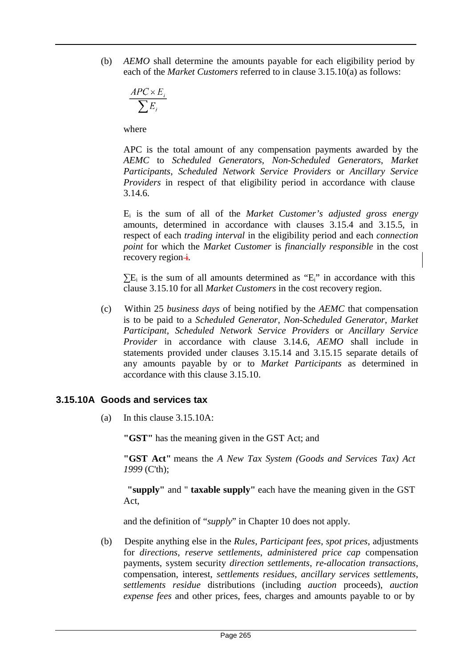(b) *AEMO* shall determine the amounts payable for each eligibility period by each of the *Market Customers* referred to in clause 3.15.10(a) as follows:

$$
\frac{\mathit{APC} \times E_i}{\sum E_i}
$$

where

APC is the total amount of any compensation payments awarded by the *AEMC* to *Scheduled Generators*, *Non-Scheduled Generators*, *Market Participants*, *Scheduled Network Service Providers* or *Ancillary Service Providers* in respect of that eligibility period in accordance with clause 3.14.6.

Ei is the sum of all of the *Market Customer's adjusted gross energy*  amounts, determined in accordance with clauses 3.15.4 and 3.15.5, in respect of each *trading interval* in the eligibility period and each *connection point* for which the *Market Customer* is *financially responsible* in the cost recovery region $\frac{1}{1}$ .

 $\Sigma$ E<sub>i</sub> is the sum of all amounts determined as "E<sub>i</sub>" in accordance with this clause 3.15.10 for all *Market Customers* in the cost recovery region.

(c) Within 25 *business days* of being notified by the *AEMC* that compensation is to be paid to a *Scheduled Generator*, *Non-Scheduled Generator*, *Market Participant*, *Scheduled Network Service Providers* or *Ancillary Service Provider* in accordance with clause 3.14.6, *AEMO* shall include in statements provided under clauses 3.15.14 and 3.15.15 separate details of any amounts payable by or to *Market Participants* as determined in accordance with this clause 3.15.10.

## **3.15.10A Goods and services tax**

(a) In this clause 3.15.10A:

**"GST"** has the meaning given in the GST Act; and

**"GST Act"** means the *A New Tax System (Goods and Services Tax) Act 1999* (C'th);

**"supply"** and " **taxable supply"** each have the meaning given in the GST Act,

and the definition of "*supply*" in Chapter 10 does not apply.

(b) Despite anything else in the *Rules*, *Participant fees*, *spot prices*, adjustments for *directions*, *reserve settlements*, *administered price cap* compensation payments, system security *direction settlements*, *re-allocation transactions*, compensation, interest, *settlements residues*, *ancillary services settlements*, *settlements residue* distributions (including *auction* proceeds), *auction expense fees* and other prices, fees, charges and amounts payable to or by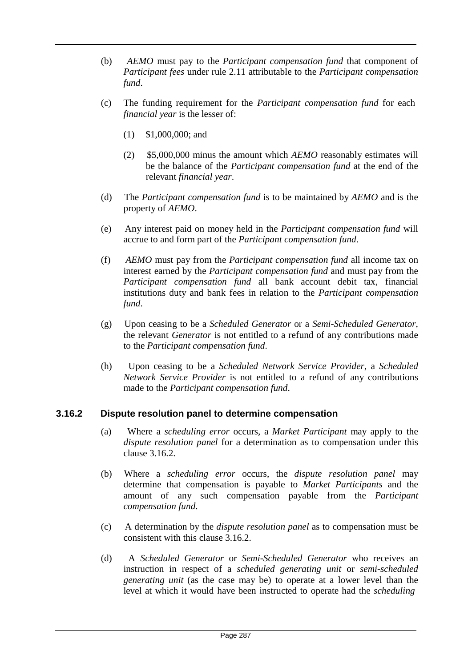- (b) *AEMO* must pay to the *Participant compensation fund* that component of *Participant fees* under rule 2.11 attributable to the *Participant compensation fund*.
- (c) The funding requirement for the *Participant compensation fund* for each *financial year* is the lesser of:
	- (1) \$1,000,000; and
	- (2) \$5,000,000 minus the amount which *AEMO* reasonably estimates will be the balance of the *Participant compensation fund* at the end of the relevant *financial year*.
- (d) The *Participant compensation fund* is to be maintained by *AEMO* and is the property of *AEMO*.
- (e) Any interest paid on money held in the *Participant compensation fund* will accrue to and form part of the *Participant compensation fund*.
- (f) *AEMO* must pay from the *Participant compensation fund* all income tax on interest earned by the *Participant compensation fund* and must pay from the *Participant compensation fund* all bank account debit tax, financial institutions duty and bank fees in relation to the *Participant compensation fund*.
- (g) Upon ceasing to be a *Scheduled Generator* or a *Semi-Scheduled Generator*, the relevant *Generator* is not entitled to a refund of any contributions made to the *Participant compensation fund*.
- (h) Upon ceasing to be a *Scheduled Network Service Provider*, a *Scheduled Network Service Provider* is not entitled to a refund of any contributions made to the *Participant compensation fund*.

## **3.16.2 Dispute resolution panel to determine compensation**

- (a) Where a *scheduling error* occurs, a *Market Participant* may apply to the *dispute resolution panel* for a determination as to compensation under this clause 3.16.2.
- (b) Where a *scheduling error* occurs, the *dispute resolution panel* may determine that compensation is payable to *Market Participants* and the amount of any such compensation payable from the *Participant compensation fund*.
- (c) A determination by the *dispute resolution panel* as to compensation must be consistent with this clause 3.16.2.
- (d) A *Scheduled Generator* or *Semi-Scheduled Generator* who receives an instruction in respect of a *scheduled generating unit* or *semi-scheduled generating unit* (as the case may be) to operate at a lower level than the level at which it would have been instructed to operate had the *scheduling*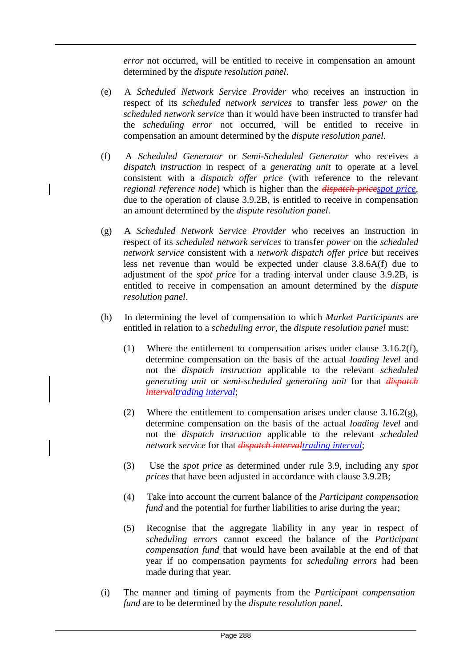*error* not occurred, will be entitled to receive in compensation an amount determined by the *dispute resolution panel*.

- (e) A *Scheduled Network Service Provider* who receives an instruction in respect of its *scheduled network services* to transfer less *power* on the *scheduled network service* than it would have been instructed to transfer had the *scheduling error* not occurred, will be entitled to receive in compensation an amount determined by the *dispute resolution panel*.
- (f) A *Scheduled Generator* or *Semi-Scheduled Generator* who receives a *dispatch instruction* in respect of a *generating unit* to operate at a level consistent with a *dispatch offer price* (with reference to the relevant *regional reference node*) which is higher than the *dispatch pricespot price*, due to the operation of clause 3.9.2B, is entitled to receive in compensation an amount determined by the *dispute resolution panel*.
- (g) A *Scheduled Network Service Provider* who receives an instruction in respect of its *scheduled network services* to transfer *power* on the *scheduled network service* consistent with a *network dispatch offer price* but receives less net revenue than would be expected under clause 3.8.6A(f) due to adjustment of the *spot price* for a trading interval under clause 3.9.2B, is entitled to receive in compensation an amount determined by the *dispute resolution panel*.
- (h) In determining the level of compensation to which *Market Participants* are entitled in relation to a *scheduling error*, the *dispute resolution panel* must:
	- (1) Where the entitlement to compensation arises under clause 3.16.2(f), determine compensation on the basis of the actual *loading level* and not the *dispatch instruction* applicable to the relevant *scheduled generating unit* or *semi-scheduled generating unit* for that *dispatch intervaltrading interval*;
	- (2) Where the entitlement to compensation arises under clause  $3.16.2(g)$ , determine compensation on the basis of the actual *loading level* and not the *dispatch instruction* applicable to the relevant *scheduled network service* for that *dispatch intervaltrading interval*;
	- (3) Use the *spot price* as determined under rule 3.9, including any *spot prices* that have been adjusted in accordance with clause 3.9.2B;
	- (4) Take into account the current balance of the *Participant compensation fund* and the potential for further liabilities to arise during the year;
	- (5) Recognise that the aggregate liability in any year in respect of *scheduling errors* cannot exceed the balance of the *Participant compensation fund* that would have been available at the end of that year if no compensation payments for *scheduling errors* had been made during that year.
- (i) The manner and timing of payments from the *Participant compensation fund* are to be determined by the *dispute resolution panel*.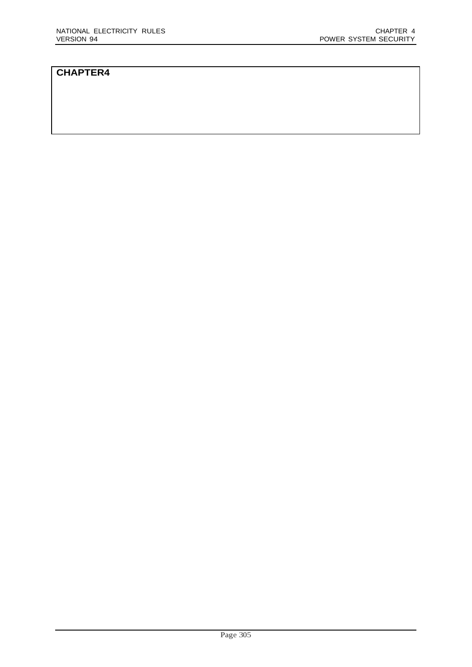#### **CHAPTER4**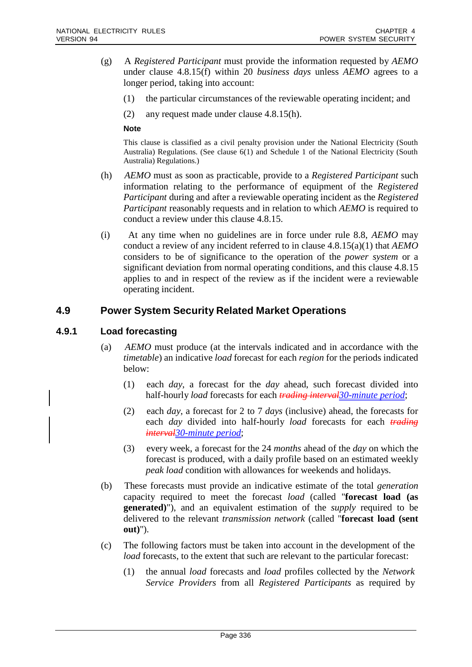- (g) A *Registered Participant* must provide the information requested by *AEMO*  under clause 4.8.15(f) within 20 *business days* unless *AEMO* agrees to a longer period, taking into account:
	- (1) the particular circumstances of the reviewable operating incident; and
	- (2) any request made under clause 4.8.15(h).

#### **Note**

This clause is classified as a civil penalty provision under the National Electricity (South Australia) Regulations. (See clause 6(1) and Schedule 1 of the National Electricity (South Australia) Regulations.)

- (h) *AEMO* must as soon as practicable, provide to a *Registered Participant* such information relating to the performance of equipment of the *Registered Participant* during and after a reviewable operating incident as the *Registered Participant* reasonably requests and in relation to which *AEMO* is required to conduct a review under this clause 4.8.15.
- (i) At any time when no guidelines are in force under rule 8.8, *AEMO* may conduct a review of any incident referred to in clause 4.8.15(a)(1) that *AEMO*  considers to be of significance to the operation of the *power system* or a significant deviation from normal operating conditions, and this clause 4.8.15 applies to and in respect of the review as if the incident were a reviewable operating incident.

# **4.9 Power System Security Related Market Operations**

#### **4.9.1 Load forecasting**

- (a) *AEMO* must produce (at the intervals indicated and in accordance with the *timetable*) an indicative *load* forecast for each *region* for the periods indicated below:
	- (1) each *day*, a forecast for the *day* ahead, such forecast divided into half-hourly *load* forecasts for each *trading interval30-minute period*;
	- (2) each *day*, a forecast for 2 to 7 *days* (inclusive) ahead, the forecasts for each *day* divided into half-hourly *load* forecasts for each *trading interval30-minute period*;
	- (3) every week, a forecast for the 24 *months* ahead of the *day* on which the forecast is produced, with a daily profile based on an estimated weekly *peak load* condition with allowances for weekends and holidays.
- (b) These forecasts must provide an indicative estimate of the total *generation*  capacity required to meet the forecast *load* (called "**forecast load (as generated)**"), and an equivalent estimation of the *supply* required to be delivered to the relevant *transmission network* (called "**forecast load (sent out)**").
- (c) The following factors must be taken into account in the development of the *load* forecasts, to the extent that such are relevant to the particular forecast:
	- (1) the annual *load* forecasts and *load* profiles collected by the *Network Service Providers* from all *Registered Participants* as required by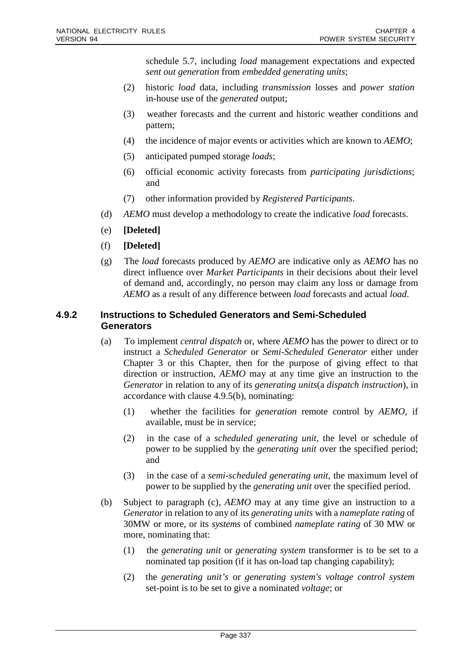schedule 5.7, including *load* management expectations and expected *sent out generation* from *embedded generating units*;

- (2) historic *load* data, including *transmission* losses and *power station* in-house use of the *generated* output;
- (3) weather forecasts and the current and historic weather conditions and pattern;
- (4) the incidence of major events or activities which are known to *AEMO*;
- (5) anticipated pumped storage *loads*;
- (6) official economic activity forecasts from *participating jurisdictions*; and
- (7) other information provided by *Registered Participants*.
- (d) *AEMO* must develop a methodology to create the indicative *load* forecasts.
- (e) **[Deleted]**
- (f) **[Deleted]**
- (g) The *load* forecasts produced by *AEMO* are indicative only as *AEMO* has no direct influence over *Market Participants* in their decisions about their level of demand and, accordingly, no person may claim any loss or damage from *AEMO* as a result of any difference between *load* forecasts and actual *load*.

#### **4.9.2 Instructions to Scheduled Generators and Semi-Scheduled Generators**

- (a) To implement *central dispatch* or, where *AEMO* has the power to direct or to instruct a *Scheduled Generator* or *Semi-Scheduled Generator* either under Chapter 3 or this Chapter, then for the purpose of giving effect to that direction or instruction, *AEMO* may at any time give an instruction to the *Generator* in relation to any of its *generating units*(a *dispatch instruction*), in accordance with clause 4.9.5(b), nominating:
	- (1) whether the facilities for *generation* remote control by *AEMO*, if available, must be in service;
	- (2) in the case of a *scheduled generating unit*, the level or schedule of power to be supplied by the *generating unit* over the specified period; and
	- (3) in the case of a *semi-scheduled generating unit*, the maximum level of power to be supplied by the *generating unit* over the specified period.
- (b) Subject to paragraph (c), *AEMO* may at any time give an instruction to a *Generator* in relation to any of its *generating units* with a *nameplate rating* of 30MW or more, or its *systems* of combined *nameplate rating* of 30 MW or more, nominating that:
	- (1) the *generating unit* or *generating system* transformer is to be set to a nominated tap position (if it has on-load tap changing capability);
	- (2) the *generating unit's* or *generating system's voltage control system* set-point is to be set to give a nominated *voltage*; or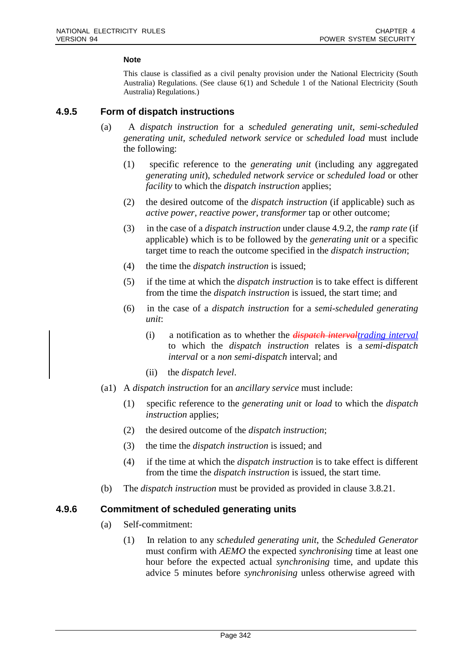#### **Note**

This clause is classified as a civil penalty provision under the National Electricity (South Australia) Regulations. (See clause 6(1) and Schedule 1 of the National Electricity (South Australia) Regulations.)

#### **4.9.5 Form of dispatch instructions**

- (a) A *dispatch instruction* for a *scheduled generating unit*, *semi-scheduled generating unit*, *scheduled network service* or *scheduled load* must include the following:
	- (1) specific reference to the *generating unit* (including any aggregated *generating unit*), *scheduled network service* or *scheduled load* or other *facility* to which the *dispatch instruction* applies;
	- (2) the desired outcome of the *dispatch instruction* (if applicable) such as *active power*, *reactive power*, *transformer* tap or other outcome;
	- (3) in the case of a *dispatch instruction* under clause 4.9.2, the *ramp rate* (if applicable) which is to be followed by the *generating unit* or a specific target time to reach the outcome specified in the *dispatch instruction*;
	- (4) the time the *dispatch instruction* is issued;
	- (5) if the time at which the *dispatch instruction* is to take effect is different from the time the *dispatch instruction* is issued, the start time; and
	- (6) in the case of a *dispatch instruction* for a *semi-scheduled generating unit*:
		- (i) a notification as to whether the *dispatch intervaltrading interval* to which the *dispatch instruction* relates is a *semi-dispatch interval* or a *non semi-dispatch* interval; and
		- (ii) the *dispatch level*.
- (a1) A *dispatch instruction* for an *ancillary service* must include:
	- (1) specific reference to the *generating unit* or *load* to which the *dispatch instruction* applies;
	- (2) the desired outcome of the *dispatch instruction*;
	- (3) the time the *dispatch instruction* is issued; and
	- (4) if the time at which the *dispatch instruction* is to take effect is different from the time the *dispatch instruction* is issued, the start time.
- (b) The *dispatch instruction* must be provided as provided in clause 3.8.21.

#### **4.9.6 Commitment of scheduled generating units**

- (a) Self-commitment:
	- (1) In relation to any *scheduled generating unit*, the *Scheduled Generator*  must confirm with *AEMO* the expected *synchronising* time at least one hour before the expected actual *synchronising* time, and update this advice 5 minutes before *synchronising* unless otherwise agreed with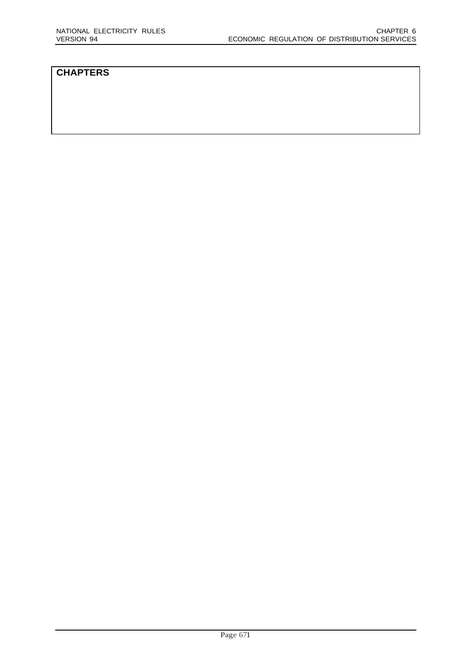# **CHAPTERS**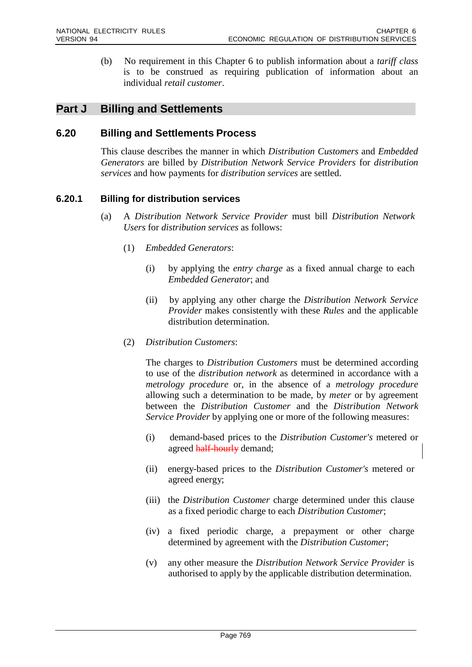(b) No requirement in this Chapter 6 to publish information about a *tariff class*  is to be construed as requiring publication of information about an individual *retail customer*.

# **Part J Billing and Settlements**

#### **6.20 Billing and Settlements Process**

This clause describes the manner in which *Distribution Customers* and *Embedded Generators* are billed by *Distribution Network Service Providers* for *distribution services* and how payments for *distribution services* are settled.

#### **6.20.1 Billing for distribution services**

- (a) A *Distribution Network Service Provider* must bill *Distribution Network Users* for *distribution services* as follows:
	- (1) *Embedded Generators*:
		- (i) by applying the *entry charge* as a fixed annual charge to each *Embedded Generator*; and
		- (ii) by applying any other charge the *Distribution Network Service Provider* makes consistently with these *Rules* and the applicable distribution determination.
	- (2) *Distribution Customers*:

The charges to *Distribution Customers* must be determined according to use of the *distribution network* as determined in accordance with a *metrology procedure* or, in the absence of a *metrology procedure*  allowing such a determination to be made, by *meter* or by agreement between the *Distribution Customer* and the *Distribution Network Service Provider* by applying one or more of the following measures:

- (i) demand-based prices to the *Distribution Customer's* metered or agreed half-hourly demand;
- (ii) energy-based prices to the *Distribution Customer's* metered or agreed energy;
- (iii) the *Distribution Customer* charge determined under this clause as a fixed periodic charge to each *Distribution Customer*;
- (iv) a fixed periodic charge, a prepayment or other charge determined by agreement with the *Distribution Customer*;
- (v) any other measure the *Distribution Network Service Provider* is authorised to apply by the applicable distribution determination.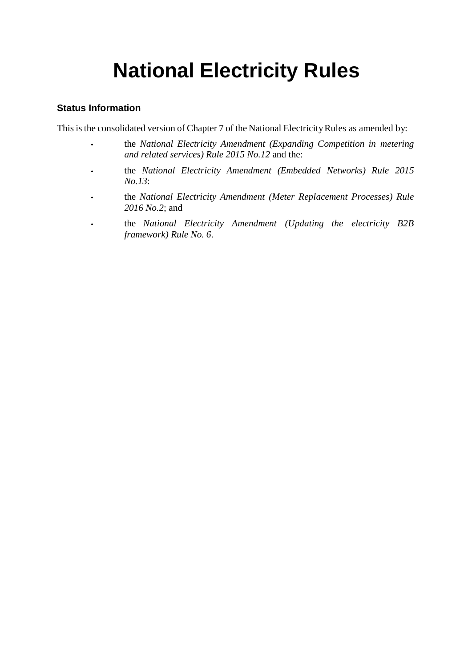# **National Electricity Rules**

# **Status Information**

This is the consolidated version of Chapter 7 of the National Electricity Rules as amended by:

- the *National Electricity Amendment (Expanding Competition in metering and related services) Rule 2015 No.12* and the:
- the *National Electricity Amendment (Embedded Networks) Rule 2015 No.13*:
- the *National Electricity Amendment (Meter Replacement Processes) Rule 2016 No.2*; and
- the *National Electricity Amendment (Updating the electricity B2B framework) Rule No. 6*.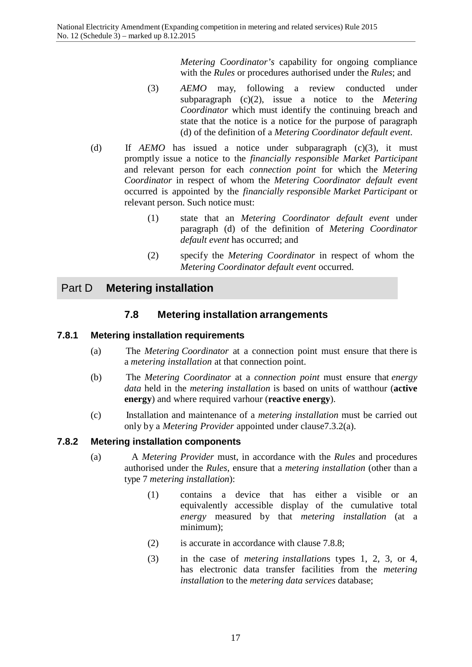*Metering Coordinator's* capability for ongoing compliance with the *Rules* or procedures authorised under the *Rules*; and

- (3) *AEMO* may, following a review conducted under subparagraph (c)(2), issue a notice to the *Metering Coordinator* which must identify the continuing breach and state that the notice is a notice for the purpose of paragraph (d) of the definition of a *Metering Coordinator default event*.
- (d) If *AEMO* has issued a notice under subparagraph (c)(3), it must promptly issue a notice to the *financially responsible Market Participant*  and relevant person for each *connection point* for which the *Metering Coordinator* in respect of whom the *Metering Coordinator default event*  occurred is appointed by the *financially responsible Market Participant* or relevant person. Such notice must:
	- (1) state that an *Metering Coordinator default event* under paragraph (d) of the definition of *Metering Coordinator default event* has occurred; and
	- (2) specify the *Metering Coordinator* in respect of whom the *Metering Coordinator default event* occurred.

# Part D **Metering installation**

# **7.8 Metering installation arrangements**

#### **7.8.1 Metering installation requirements**

- (a) The *Metering Coordinator* at a connection point must ensure that there is a *metering installation* at that connection point.
- (b) The *Metering Coordinator* at a *connection point* must ensure that *energy data* held in the *metering installation* is based on units of watthour (**active energy**) and where required varhour (**reactive energy**).
- (c) Installation and maintenance of a *metering installation* must be carried out only by a *Metering Provider* appointed under clause7.3.2(a).

#### **7.8.2 Metering installation components**

- (a) A *Metering Provider* must, in accordance with the *Rules* and procedures authorised under the *Rules*, ensure that a *metering installation* (other than a type 7 *metering installation*):
	- (1) contains a device that has either a visible or an equivalently accessible display of the cumulative total *energy* measured by that *metering installation* (at a minimum);
	- (2) is accurate in accordance with clause 7.8.8;
	- (3) in the case of *metering installation*s types 1, 2, 3, or 4, has electronic data transfer facilities from the *metering installation* to the *metering data services* database;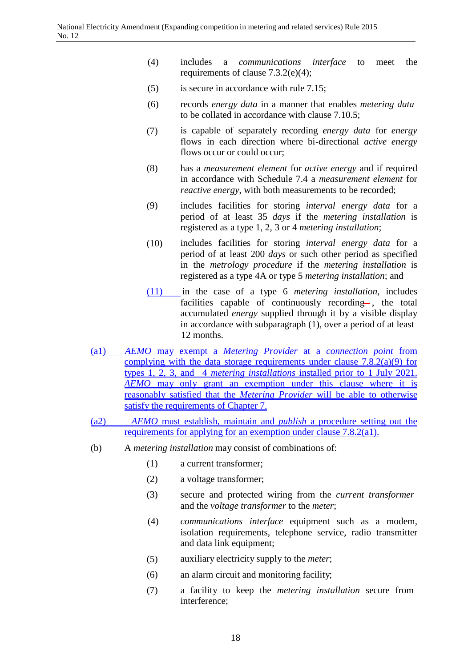- (4) includes a *communications interface* to meet the requirements of clause 7.3.2(e)(4);
- (5) is secure in accordance with rule 7.15;
- (6) records *energy data* in a manner that enables *metering data* to be collated in accordance with clause 7.10.5;
- (7) is capable of separately recording *energy data* for *energy*  flows in each direction where bi-directional *active energy*  flows occur or could occur;
- (8) has a *measurement element* for *active energy* and if required in accordance with Schedule 7.4 a *measurement element* for *reactive energy*, with both measurements to be recorded;
- (9) includes facilities for storing *interval energy data* for a period of at least 35 *days* if the *metering installation* is registered as a type 1, 2, 3 or 4 *metering installation*;
- (10) includes facilities for storing *interval energy data* for a period of at least 200 *days* or such other period as specified in the *metrology procedure* if the *metering installation* is registered as a type 4A or type 5 *metering installation*; and
- (11) in the case of a type 6 *metering installation*, includes facilities capable of continuously recording , the total accumulated *energy* supplied through it by a visible display in accordance with subparagraph (1), over a period of at least 12 months.
- (a1) *AEMO* may exempt a *Metering Provider* at a *connection point* from complying with the data storage requirements under clause  $7.8.2(a)(9)$  for types 1, 2, 3, and 4 *metering installations* installed prior to 1 July 2021. *AEMO* may only grant an exemption under this clause where it is reasonably satisfied that the *Metering Provider* will be able to otherwise satisfy the requirements of Chapter 7.
- (a2) *AEMO* must establish, maintain and *publish* a procedure setting out the requirements for applying for an exemption under clause 7.8.2(a1).
- (b) A *metering installation* may consist of combinations of:
	- (1) a current transformer;
	- (2) a voltage transformer;
	- (3) secure and protected wiring from the *current transformer* and the *voltage transformer* to the *meter*;
	- (4) *communications interface* equipment such as a modem, isolation requirements, telephone service, radio transmitter and data link equipment;
	- (5) auxiliary electricity supply to the *meter*;
	- (6) an alarm circuit and monitoring facility;
	- (7) a facility to keep the *metering installation* secure from interference;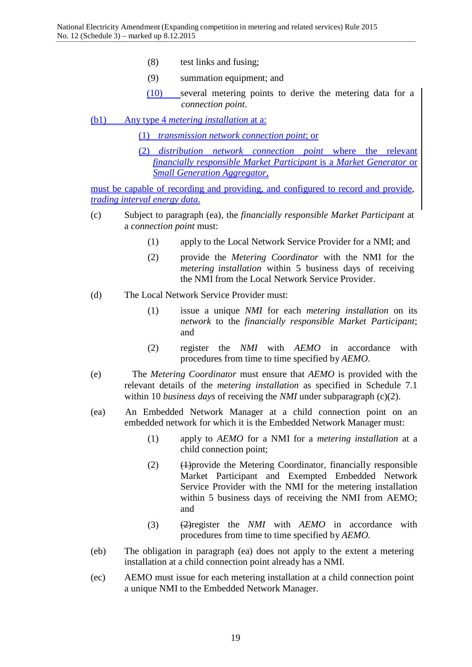- (8) test links and fusing;
- (9) summation equipment; and
- (10) several metering points to derive the metering data for a *connection point*.
- (b1) Any type 4 *metering installation* at a:

(1) *transmission network connection point*; or

(2) *distribution network connection point* where the relevant *financially responsible Market Participant* is a *Market Generator* or *Small Generation Aggregator*,

must be capable of recording and providing, and configured to record and provide, *trading interval energy data*.

- (c) Subject to paragraph (ea), the *financially responsible Market Participant* at a *connection point* must:
	- (1) apply to the Local Network Service Provider for a NMI; and
	- (2) provide the *Metering Coordinator* with the NMI for the *metering installation* within 5 business days of receiving the NMI from the Local Network Service Provider.
- (d) The Local Network Service Provider must:
	- (1) issue a unique *NMI* for each *metering installation* on its *network* to the *financially responsible Market Participant*; and
	- (2) register the *NMI* with *AEMO* in accordance with procedures from time to time specified by *AEMO*.
- (e) The *Metering Coordinator* must ensure that *AEMO* is provided with the relevant details of the *metering installation* as specified in Schedule 7.1 within 10 *business days* of receiving the *NMI* under subparagraph (c)(2).
- (ea) An Embedded Network Manager at a child connection point on an embedded network for which it is the Embedded Network Manager must:
	- (1) apply to *AEMO* for a NMI for a *metering installation* at a child connection point;
	- (2) (1)provide the Metering Coordinator, financially responsible Market Participant and Exempted Embedded Network Service Provider with the NMI for the metering installation within 5 business days of receiving the NMI from AEMO; and
	- (3) (2)register the *NMI* with *AEMO* in accordance with procedures from time to time specified by *AEMO.*
- (eb) The obligation in paragraph (ea) does not apply to the extent a metering installation at a child connection point already has a NMI.
- (ec) AEMO must issue for each metering installation at a child connection point a unique NMI to the Embedded Network Manager.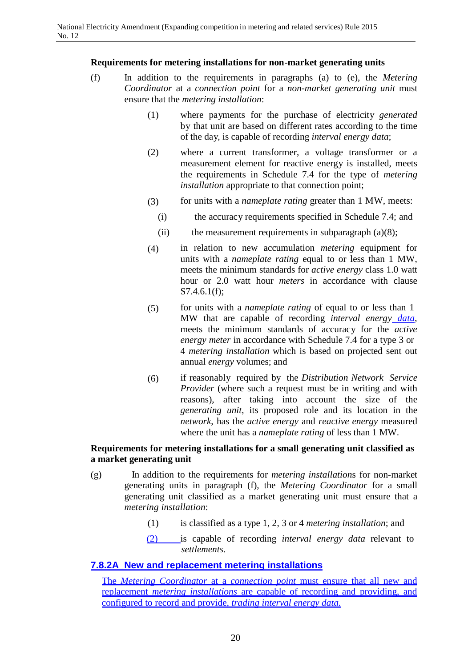#### **Requirements for metering installations for non-market generating units**

- (f) In addition to the requirements in paragraphs (a) to (e), the *Metering Coordinator* at a *connection point* for a *non-market generating unit* must ensure that the *metering installation*:
	- (1) where payments for the purchase of electricity *generated*  by that unit are based on different rates according to the time of the day, is capable of recording *interval energy data*;
	- (2) where a current transformer, a voltage transformer or a measurement element for reactive energy is installed, meets the requirements in Schedule 7.4 for the type of *metering installation* appropriate to that connection point;
	- (3) for units with a *nameplate rating* greater than 1 MW, meets:
		- (i) the accuracy requirements specified in Schedule 7.4; and
		- (ii) the measurement requirements in subparagraph  $(a)(8)$ ;
	- (4) in relation to new accumulation *metering* equipment for units with a *nameplate rating* equal to or less than 1 MW, meets the minimum standards for *active energy* class 1.0 watt hour or 2.0 watt hour *meters* in accordance with clause S7.4.6.1(f);
	- (5) for units with a *nameplate rating* of equal to or less than 1 MW that are capable of recording *interval energy data*, meets the minimum standards of accuracy for the *active energy meter* in accordance with Schedule 7.4 for a type 3 or 4 *metering installation* which is based on projected sent out annual *energy* volumes; and
	- (6) if reasonably required by the *Distribution Network Service Provider* (where such a request must be in writing and with reasons), after taking into account the size of the *generating unit*, its proposed role and its location in the *network*, has the *active energy* and *reactive energy* measured where the unit has a *nameplate rating* of less than 1 MW.

# **Requirements for metering installations for a small generating unit classified as a market generating unit**

- (g) In addition to the requirements for *metering installation*s for non-market generating units in paragraph (f), the *Metering Coordinator* for a small generating unit classified as a market generating unit must ensure that a *metering installation*:
	- (1) is classified as a type 1, 2, 3 or 4 *metering installation*; and
	- (2) is capable of recording *interval energy data* relevant to *settlements*.

# **7.8.2A New and replacement metering installations**

The *Metering Coordinator* at a *connection point* must ensure that all new and replacement *metering installations* are capable of recording and providing, and configured to record and provide, *trading interval energy data.*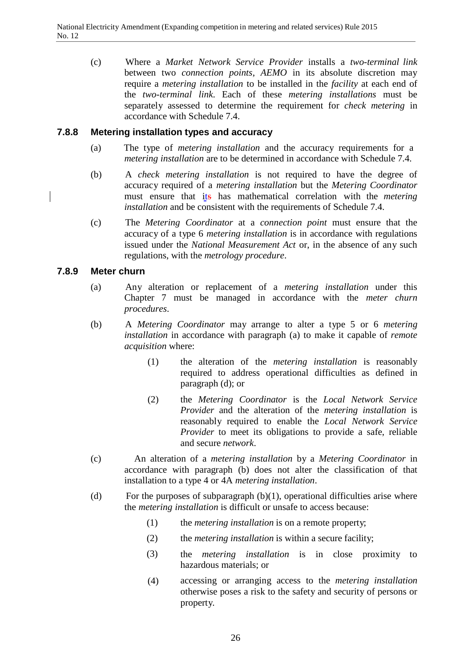(c) Where a *Market Network Service Provider* installs a *two-terminal link*  between two *connection points*, *AEMO* in its absolute discretion may require a *metering installation* to be installed in the *facility* at each end of the *two-terminal link*. Each of these *metering installations* must be separately assessed to determine the requirement for *check metering* in accordance with Schedule 7.4.

#### **7.8.8 Metering installation types and accuracy**

- (a) The type of *metering installation* and the accuracy requirements for a *metering installation* are to be determined in accordance with Schedule 7.4.
- (b) A *check metering installation* is not required to have the degree of accuracy required of a *metering installation* but the *Metering Coordinator*  must ensure that its has mathematical correlation with the *metering installation* and be consistent with the requirements of Schedule 7.4.
- (c) The *Metering Coordinator* at a *connection point* must ensure that the accuracy of a type 6 *metering installation* is in accordance with regulations issued under the *National Measurement Act* or, in the absence of any such regulations, with the *metrology procedure*.

#### **7.8.9 Meter churn**

- (a) Any alteration or replacement of a *metering installation* under this Chapter 7 must be managed in accordance with the *meter churn procedures*.
- (b) A *Metering Coordinator* may arrange to alter a type 5 or 6 *metering installation* in accordance with paragraph (a) to make it capable of *remote acquisition* where:
	- (1) the alteration of the *metering installation* is reasonably required to address operational difficulties as defined in paragraph (d); or
	- (2) the *Metering Coordinator* is the *Local Network Service Provider* and the alteration of the *metering installation* is reasonably required to enable the *Local Network Service Provider* to meet its obligations to provide a safe, reliable and secure *network*.
- (c) An alteration of a *metering installation* by a *Metering Coordinator* in accordance with paragraph (b) does not alter the classification of that installation to a type 4 or 4A *metering installation*.
- (d) For the purposes of subparagraph  $(b)(1)$ , operational difficulties arise where the *metering installation* is difficult or unsafe to access because:
	- (1) the *metering installation* is on a remote property;
	- (2) the *metering installation* is within a secure facility;
	- (3) the *metering installation* is in close proximity to hazardous materials; or
	- (4) accessing or arranging access to the *metering installation*  otherwise poses a risk to the safety and security of persons or property.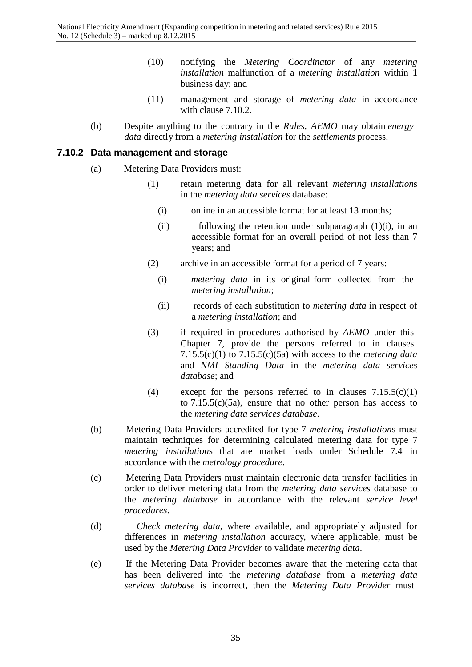- $(10)$ notifying the *Metering Coordinator* of any *metering installation* malfunction of a *metering installation* within 1 business day; and
- (11) management and storage of *metering data* in accordance with clause 7.10.2.
- (b) Despite anything to the contrary in the *Rules*, *AEMO* may obtain *energy data* directly from a *metering installation* for the *settlements* process.

# **7.10.2 Data management and storage**

- (a) Metering Data Providers must:
	- (1) retain metering data for all relevant *metering installation*s in the *metering data services* database:
		- (i) online in an accessible format for at least 13 months;
		- (ii) following the retention under subparagraph  $(1)(i)$ , in an accessible format for an overall period of not less than 7 years; and
	- (2) archive in an accessible format for a period of 7 years:
		- (i) *metering data* in its original form collected from the *metering installation*;
		- (ii) records of each substitution to *metering data* in respect of a *metering installation*; and
	- (3) if required in procedures authorised by *AEMO* under this Chapter 7, provide the persons referred to in clauses 7.15.5(c)(1) to 7.15.5(c)(5a) with access to the *metering data*  and *NMI Standing Data* in the *metering data services database*; and
	- (4) except for the persons referred to in clauses  $7.15.5(c)(1)$ to 7.15.5(c)(5a), ensure that no other person has access to the *metering data services database*.
- (b) Metering Data Providers accredited for type 7 *metering installation*s must maintain techniques for determining calculated metering data for type 7 *metering installation*s that are market loads under Schedule 7.4 in accordance with the *metrology procedure*.
- (c) Metering Data Providers must maintain electronic data transfer facilities in order to deliver metering data from the *metering data services* database to the *metering database* in accordance with the relevant *service level procedures*.
- (d) *Check metering data*, where available, and appropriately adjusted for differences in *metering installation* accuracy, where applicable, must be used by the *Metering Data Provider* to validate *metering data*.
- (e) If the Metering Data Provider becomes aware that the metering data that has been delivered into the *metering database* from a *metering data services database* is incorrect, then the *Metering Data Provider* must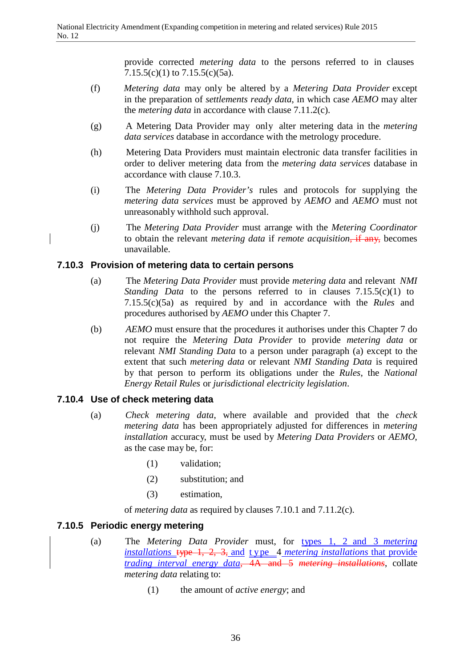provide corrected *metering data* to the persons referred to in clauses 7.15.5(c)(1) to  $7.15.5(c)(5a)$ .

- (f) *Metering data* may only be altered by a *Metering Data Provider* except in the preparation of *settlements ready data*, in which case *AEMO* may alter the *metering data* in accordance with clause 7.11.2(c).
- (g) A Metering Data Provider may only alter metering data in the *metering data services* database in accordance with the metrology procedure.
- (h) Metering Data Providers must maintain electronic data transfer facilities in order to deliver metering data from the *metering data services* database in accordance with clause 7.10.3.
- (i) The *Metering Data Provider's* rules and protocols for supplying the *metering data services* must be approved by *AEMO* and *AEMO* must not unreasonably withhold such approval.
- (j) The *Metering Data Provider* must arrange with the *Metering Coordinator*  to obtain the relevant *metering data* if *remote acquisition*, if any, becomes unavailable.

# **7.10.3 Provision of metering data to certain persons**

- (a) The *Metering Data Provider* must provide *metering data* and relevant *NMI Standing Data* to the persons referred to in clauses 7.15.5(c)(1) to 7.15.5(c)(5a) as required by and in accordance with the *Rules* and procedures authorised by *AEMO* under this Chapter 7.
- (b) *AEMO* must ensure that the procedures it authorises under this Chapter 7 do not require the *Metering Data Provider* to provide *metering data* or relevant *NMI Standing Data* to a person under paragraph (a) except to the extent that such *metering data* or relevant *NMI Standing Data* is required by that person to perform its obligations under the *Rules*, the *National Energy Retail Rules* or *jurisdictional electricity legislation*.

# **7.10.4 Use of check metering data**

- (a) *Check metering data*, where available and provided that the *check metering data* has been appropriately adjusted for differences in *metering installation* accuracy, must be used by *Metering Data Providers* or *AEMO*, as the case may be, for:
	- (1) validation;
	- (2) substitution; and
	- (3) estimation,

of *metering data* as required by clauses 7.10.1 and 7.11.2(c).

# **7.10.5 Periodic energy metering**

- (a) The *Metering Data Provider* must, for types 1, 2 and 3 *metering installations* type 1, 2, 3, and t ype 4 *metering installations* that provide *trading interval energy data*, 4A and 5 *metering installations*, collate *metering data* relating to:
	- (1) the amount of *active energy*; and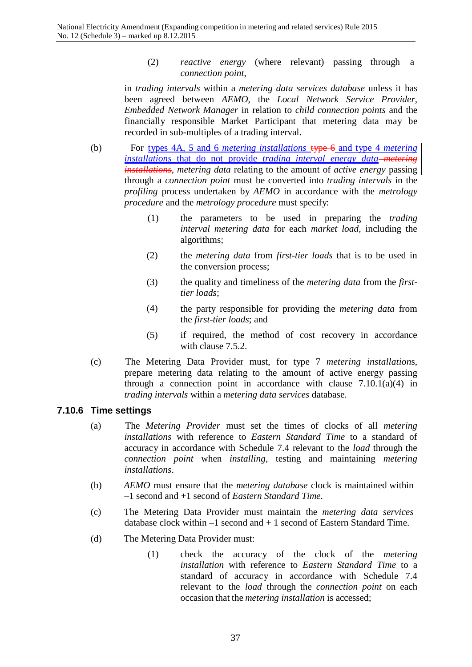(2) *reactive energy* (where relevant) passing through a *connection point*,

in *trading intervals* within a *metering data services database* unless it has been agreed between *AEMO*, the *Local Network Service Provider*, *Embedded Network Manager* in relation to *child connection points* and the financially responsible Market Participant that metering data may be recorded in sub-multiples of a trading interval.

- (b) For types 4A, 5 and 6 *metering installations* type 6 and type 4 *metering installations* that do not provide *trading interval energy data metering installations*, *metering data* relating to the amount of *active energy* passing through a *connection point* must be converted into *trading intervals* in the *profiling* process undertaken by *AEMO* in accordance with the *metrology procedure* and the *metrology procedure* must specify:
	- (1) the parameters to be used in preparing the *trading interval metering data* for each *market load*, including the algorithms;
	- (2) the *metering data* from *first-tier loads* that is to be used in the conversion process;
	- (3) the quality and timeliness of the *metering data* from the *firsttier loads*;
	- (4) the party responsible for providing the *metering data* from the *first-tier loads*; and
	- (5) if required, the method of cost recovery in accordance with clause 7.5.2.
- (c) The Metering Data Provider must, for type 7 *metering installation*s, prepare metering data relating to the amount of active energy passing through a connection point in accordance with clause  $7.10.1(a)(4)$  in *trading intervals* within a *metering data services* database.

# **7.10.6 Time settings**

- (a) The *Metering Provider* must set the times of clocks of all *metering installations* with reference to *Eastern Standard Time* to a standard of accuracy in accordance with Schedule 7.4 relevant to the *load* through the *connection point* when *installing*, testing and maintaining *metering installations*.
- (b) *AEMO* must ensure that the *metering database* clock is maintained within –1 second and +1 second of *Eastern Standard Time*.
- (c) The Metering Data Provider must maintain the *metering data services* database clock within  $-1$  second and  $+1$  second of Eastern Standard Time.
- (d) The Metering Data Provider must:
	- (1) check the accuracy of the clock of the *metering installation* with reference to *Eastern Standard Time* to a standard of accuracy in accordance with Schedule 7.4 relevant to the *load* through the *connection point* on each occasion that the *metering installation* is accessed;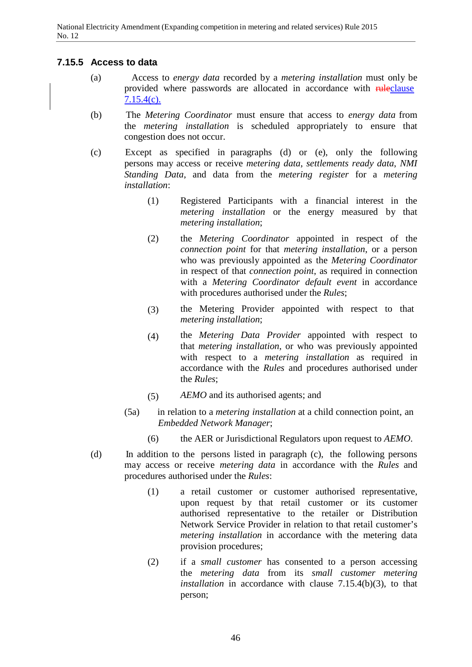# **7.15.5 Access to data**

- (a) Access to *energy data* recorded by a *metering installation* must only be provided where passwords are allocated in accordance with **rule**clause  $7.15.4(c)$ .
- (b) The *Metering Coordinator* must ensure that access to *energy data* from the *metering installation* is scheduled appropriately to ensure that congestion does not occur.
- (c) Except as specified in paragraphs (d) or (e), only the following persons may access or receive *metering data*, *settlements ready data*, *NMI Standing Data*, and data from the *metering register* for a *metering installation*:
	- (1) Registered Participants with a financial interest in the *metering installation* or the energy measured by that *metering installation*;
	- (2) the *Metering Coordinator* appointed in respect of the *connection point* for that *metering installation*, or a person who was previously appointed as the *Metering Coordinator*  in respect of that *connection point*, as required in connection with a *Metering Coordinator default event* in accordance with procedures authorised under the *Rules*;
	- (3) the Metering Provider appointed with respect to that *metering installation*;
	- (4) the *Metering Data Provider* appointed with respect to that *metering installation*, or who was previously appointed with respect to a *metering installation* as required in accordance with the *Rules* and procedures authorised under the *Rules*;
	- (5) *AEMO* and its authorised agents; and
	- (5a) in relation to a *metering installation* at a child connection point, an *Embedded Network Manager*;
		- (6) the AER or Jurisdictional Regulators upon request to *AEMO*.
- (d) In addition to the persons listed in paragraph (c), the following persons may access or receive *metering data* in accordance with the *Rules* and procedures authorised under the *Rules*:
	- (1) a retail customer or customer authorised representative, upon request by that retail customer or its customer authorised representative to the retailer or Distribution Network Service Provider in relation to that retail customer's *metering installation* in accordance with the metering data provision procedures;
	- (2) if a *small customer* has consented to a person accessing the *metering data* from its *small customer metering installation* in accordance with clause 7.15.4(b)(3), to that person;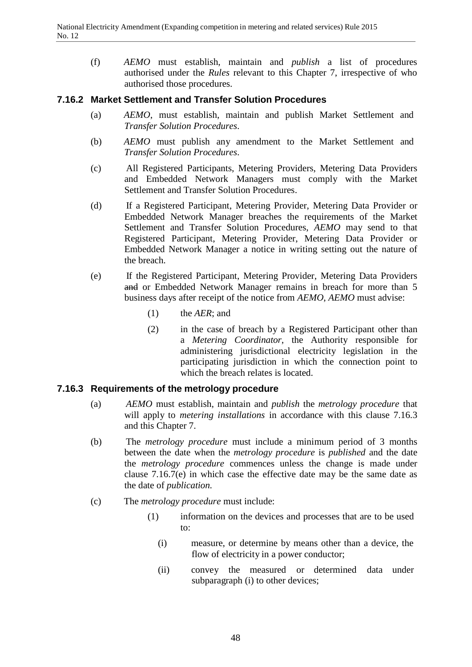(f) *AEMO* must establish, maintain and *publish* a list of procedures authorised under the *Rules* relevant to this Chapter 7, irrespective of who authorised those procedures.

# **7.16.2 Market Settlement and Transfer Solution Procedures**

- (a) *AEMO*, must establish, maintain and publish Market Settlement and *Transfer Solution Procedures*.
- (b) *AEMO* must publish any amendment to the Market Settlement and *Transfer Solution Procedures*.
- (c) All Registered Participants, Metering Providers, Metering Data Providers and Embedded Network Managers must comply with the Market Settlement and Transfer Solution Procedures.
- (d) If a Registered Participant, Metering Provider, Metering Data Provider or Embedded Network Manager breaches the requirements of the Market Settlement and Transfer Solution Procedures, *AEMO* may send to that Registered Participant, Metering Provider, Metering Data Provider or Embedded Network Manager a notice in writing setting out the nature of the breach.
- (e) If the Registered Participant, Metering Provider, Metering Data Providers and or Embedded Network Manager remains in breach for more than 5 business days after receipt of the notice from *AEMO*, *AEMO* must advise:
	- (1) the *AER*; and
	- (2) in the case of breach by a Registered Participant other than a *Metering Coordinator*, the Authority responsible for administering jurisdictional electricity legislation in the participating jurisdiction in which the connection point to which the breach relates is located.

#### **7.16.3 Requirements of the metrology procedure**

- (a) *AEMO* must establish, maintain and *publish* the *metrology procedure* that will apply to *metering installations* in accordance with this clause 7.16.3 and this Chapter 7.
- (b) The *metrology procedure* must include a minimum period of 3 months between the date when the *metrology procedure* is *published* and the date the *metrology procedure* commences unless the change is made under clause 7.16.7(e) in which case the effective date may be the same date as the date of *publication.*
- (c) The *metrology procedure* must include:
	- (1) information on the devices and processes that are to be used to:
		- (i) measure, or determine by means other than a device, the flow of electricity in a power conductor;
		- (ii) convey the measured or determined data under subparagraph (i) to other devices;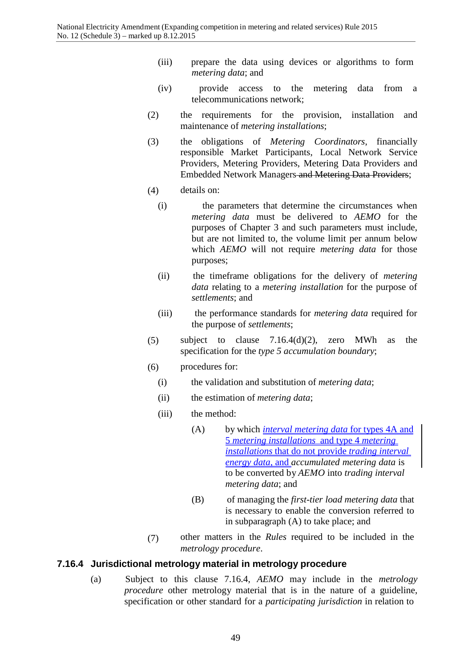- (iii) prepare the data using devices or algorithms to form *metering data*; and
- (iv) provide access to the metering data from a telecommunications network;
- (2) the requirements for the provision, installation and maintenance of *metering installations*;
- (3) the obligations of *Metering Coordinators*, financially responsible Market Participants, Local Network Service Providers, Metering Providers, Metering Data Providers and Embedded Network Managers and Metering Data Providers;
- (4) details on:
	- (i) the parameters that determine the circumstances when *metering data* must be delivered to *AEMO* for the purposes of Chapter 3 and such parameters must include, but are not limited to, the volume limit per annum below which *AEMO* will not require *metering data* for those purposes;
	- (ii) the timeframe obligations for the delivery of *metering data* relating to a *metering installation* for the purpose of *settlements*; and
	- (iii) the performance standards for *metering data* required for the purpose of *settlements*;
- (5) subject to clause  $7.16.4(d)(2)$ , zero MWh as the specification for the *type 5 accumulation boundary*;
- (6) procedures for:
	- (i) the validation and substitution of *metering data*;
	- (ii) the estimation of *metering data*;
	- (iii) the method:
		- (A) by which *interval metering data* for types 4A and 5 *metering installations* and type 4 *metering installations* that do not provide *trading interval energy data*, and *accumulated metering data* is to be converted by *AEMO* into *trading interval metering data*; and
		- (B) of managing the *first-tier load metering data* that is necessary to enable the conversion referred to in subparagraph (A) to take place; and
- (7) other matters in the *Rules* required to be included in the *metrology procedure*.

#### **7.16.4 Jurisdictional metrology material in metrology procedure**

(a) Subject to this clause 7.16.4, *AEMO* may include in the *metrology procedure* other metrology material that is in the nature of a guideline, specification or other standard for a *participating jurisdiction* in relation to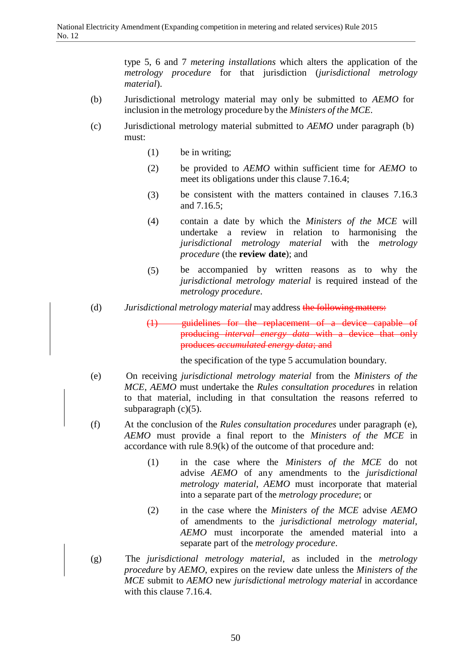type 5, 6 and 7 *metering installations* which alters the application of the *metrology procedure* for that jurisdiction (*jurisdictional metrology material*).

- (b) Jurisdictional metrology material may only be submitted to *AEMO* for inclusion in the metrology procedure by the *Ministers of the MCE*.
- (c) Jurisdictional metrology material submitted to *AEMO* under paragraph (b) must:
	- (1) be in writing;
	- (2) be provided to *AEMO* within sufficient time for *AEMO* to meet its obligations under this clause 7.16.4;
	- (3) be consistent with the matters contained in clauses 7.16.3 and 7.16.5;
	- (4) contain a date by which the *Ministers of the MCE* will undertake a review in relation to harmonising the *jurisdictional metrology material* with the *metrology procedure* (the **review date**); and
	- (5) be accompanied by written reasons as to why the *jurisdictional metrology material* is required instead of the *metrology procedure*.
- (d) *Jurisdictional metrology material* may address the following matters:
	- (1) guidelines for the replacement of a device capable of producing *interval energy data* with a device that only produces *accumulated energy data*; and

the specification of the type 5 accumulation boundary.

- (e) On receiving *jurisdictional metrology material* from the *Ministers of the MCE*, *AEMO* must undertake the *Rules consultation procedures* in relation to that material, including in that consultation the reasons referred to subparagraph  $(c)(5)$ .
- (f) At the conclusion of the *Rules consultation procedures* under paragraph (e), *AEMO* must provide a final report to the *Ministers of the MCE* in accordance with rule 8.9(k) of the outcome of that procedure and:
	- (1) in the case where the *Ministers of the MCE* do not advise *AEMO* of any amendments to the *jurisdictional metrology material*, *AEMO* must incorporate that material into a separate part of the *metrology procedure*; or
	- (2) in the case where the *Ministers of the MCE* advise *AEMO*  of amendments to the *jurisdictional metrology material*, *AEMO* must incorporate the amended material into a separate part of the *metrology procedure*.
- (g) The *jurisdictional metrology material*, as included in the *metrology procedure* by *AEMO*, expires on the review date unless the *Ministers of the MCE* submit to *AEMO* new *jurisdictional metrology material* in accordance with this clause 7.16.4.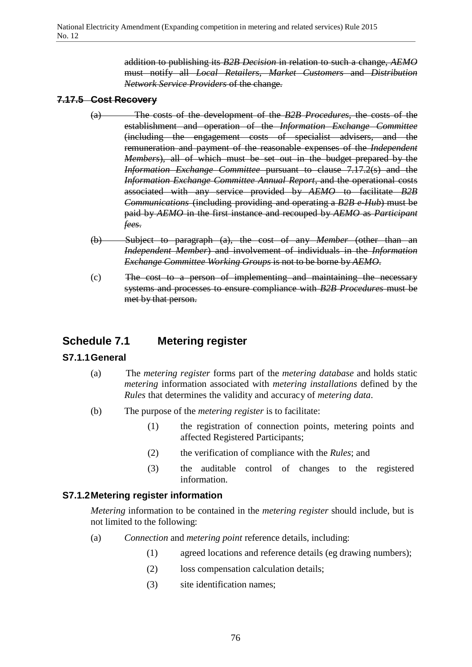addition to publishing its *B2B Decision* in relation to such a change, *AEMO* must notify all *Local Retailers*, *Market Customers* and *Distribution Network Service Providers* of the change.

# **7.17.5 Cost Recovery**

- (a) The costs of the development of the *B2B Procedures*, the costs of the establishment and operation of the *Information Exchange Committee* (including the engagement costs of specialist advisers, and the remuneration and payment of the reasonable expenses of the *Independent Members*), all of which must be set out in the budget prepared by the *Information Exchange Committee* pursuant to clause 7.17.2(s) and the *Information Exchange Committee Annual Report*, and the operational costs associated with any service provided by *AEMO* to facilitate *B2B Communications* (including providing and operating a *B2B e-Hub*) must be paid by *AEMO* in the first instance and recouped by *AEMO* as *Participant fees*.
- (b) Subject to paragraph (a), the cost of any *Member* (other than an *Independent Member*) and involvement of individuals in the *Information Exchange Committee Working Groups* is not to be borne by *AEMO*.
- (c) The cost to a person of implementing and maintaining the necessary systems and processes to ensure compliance with *B2B Procedures* must be met by that person.

# **Schedule 7.1 Metering register**

# **S7.1.1General**

- (a) The *metering register* forms part of the *metering database* and holds static *metering* information associated with *metering installations* defined by the *Rules* that determines the validity and accuracy of *metering data*.
- (b) The purpose of the *metering register* is to facilitate:
	- (1) the registration of connection points, metering points and affected Registered Participants;
	- (2) the verification of compliance with the *Rules*; and
	- (3) the auditable control of changes to the registered information.

# **S7.1.2Metering register information**

*Metering* information to be contained in the *metering register* should include, but is not limited to the following:

- (a) *Connection* and *metering point* reference details, including:
	- (1) agreed locations and reference details (eg drawing numbers);
	- (2) loss compensation calculation details;
	- (3) site identification names;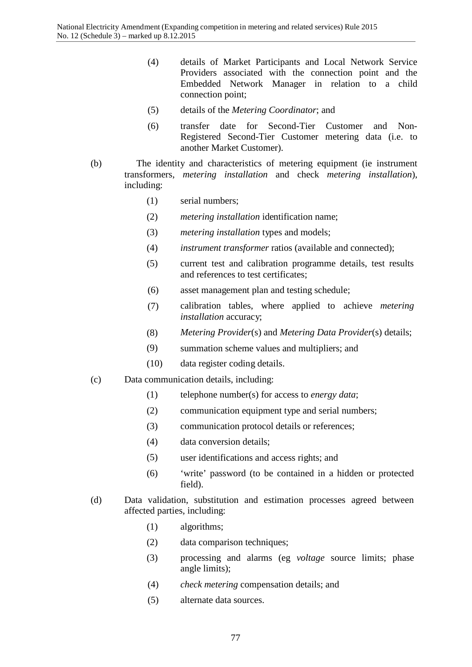- (4) details of Market Participants and Local Network Service Providers associated with the connection point and the Embedded Network Manager in relation to a child connection point;
- (5) details of the *Metering Coordinator*; and
- (6) transfer date for Second-Tier Customer and Non-Registered Second-Tier Customer metering data (i.e. to another Market Customer).
- (b) The identity and characteristics of metering equipment (ie instrument transformers, *metering installation* and check *metering installation*), including:
	- (1) serial numbers;
	- (2) *metering installation* identification name;
	- (3) *metering installation* types and models;
	- (4) *instrument transformer* ratios (available and connected);
	- (5) current test and calibration programme details, test results and references to test certificates;
	- (6) asset management plan and testing schedule;
	- (7) calibration tables, where applied to achieve *metering installation* accuracy;
	- (8) *Metering Provider*(s) and *Metering Data Provider*(s) details;
	- (9) summation scheme values and multipliers; and
	- (10) data register coding details.
- (c) Data communication details, including:
	- (1) telephone number(s) for access to *energy data*;
	- (2) communication equipment type and serial numbers;
	- (3) communication protocol details or references;
	- (4) data conversion details;
	- (5) user identifications and access rights; and
	- (6) 'write' password (to be contained in a hidden or protected field).
- (d) Data validation, substitution and estimation processes agreed between affected parties, including:
	- (1) algorithms;
	- (2) data comparison techniques;
	- (3) processing and alarms (eg *voltage* source limits; phase angle limits);
	- (4) *check metering* compensation details; and
	- (5) alternate data sources.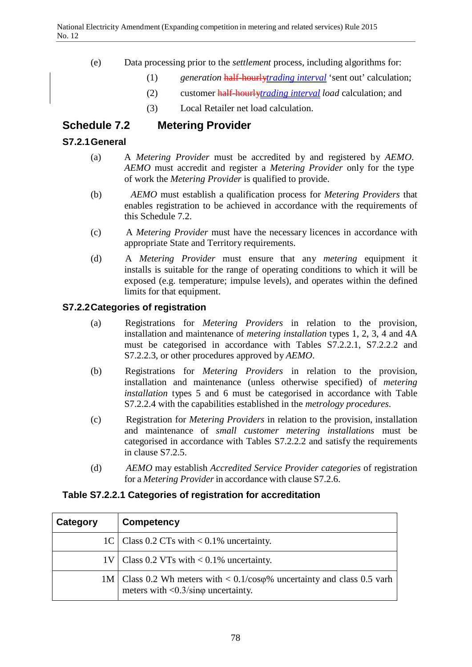- (e) Data processing prior to the *settlement* process, including algorithms for:
	- (1) *generation* half-hourly*trading interval* 'sent out' calculation;
	- (2) customer half-hourly*trading interval load* calculation; and
	- (3) Local Retailer net load calculation.

# **Schedule 7.2 Metering Provider**

# **S7.2.1General**

- (a) A *Metering Provider* must be accredited by and registered by *AEMO*. *AEMO* must accredit and register a *Metering Provider* only for the type of work the *Metering Provider* is qualified to provide.
- (b) *AEMO* must establish a qualification process for *Metering Providers* that enables registration to be achieved in accordance with the requirements of this Schedule 7.2.
- (c) A *Metering Provider* must have the necessary licences in accordance with appropriate State and Territory requirements.
- (d) A *Metering Provider* must ensure that any *metering* equipment it installs is suitable for the range of operating conditions to which it will be exposed (e.g. temperature; impulse levels), and operates within the defined limits for that equipment.

# **S7.2.2Categories of registration**

- (a) Registrations for *Metering Providers* in relation to the provision, installation and maintenance of *metering installation* types 1, 2, 3, 4 and 4A must be categorised in accordance with Tables S7.2.2.1, S7.2.2.2 and S7.2.2.3, or other procedures approved by *AEMO*.
- (b) Registrations for *Metering Providers* in relation to the provision, installation and maintenance (unless otherwise specified) of *metering installation* types 5 and 6 must be categorised in accordance with Table S7.2.2.4 with the capabilities established in the *metrology procedures*.
- (c) Registration for *Metering Providers* in relation to the provision, installation and maintenance of *small customer metering installations* must be categorised in accordance with Tables S7.2.2.2 and satisfy the requirements in clause S7.2.5.
- (d) *AEMO* may establish *Accredited Service Provider categories* of registration for a *Metering Provider* in accordance with clause S7.2.6.

# **Table S7.2.2.1 Categories of registration for accreditation**

| Category | Competency                                                                                                                                        |
|----------|---------------------------------------------------------------------------------------------------------------------------------------------------|
|          | 1C   Class 0.2 CTs with $< 0.1\%$ uncertainty.                                                                                                    |
|          | $1V$ Class 0.2 VTs with < 0.1% uncertainty.                                                                                                       |
|          | 1M   Class 0.2 Wh meters with $< 0.1$ /cos $\varphi$ % uncertainty and class 0.5 varh<br>meters with $\langle 0.3/\text{sin}\varphi$ uncertainty. |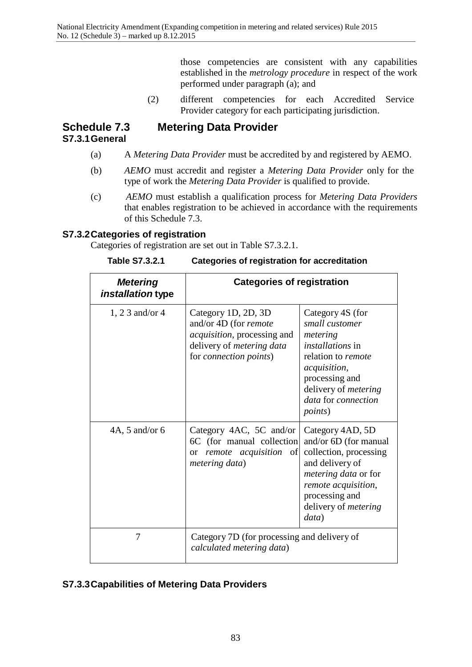those competencies are consistent with any capabilities established in the *metrology procedure* in respect of the work performed under paragraph (a); and

(2) different competencies for each Accredited Service Provider category for each participating jurisdiction.

# **Schedule 7.3 Metering Data Provider S7.3.1General**

- (a) A *Metering Data Provider* must be accredited by and registered by AEMO.
- (b) *AEMO* must accredit and register a *Metering Data Provider* only for the type of work the *Metering Data Provider* is qualified to provide.
- (c) *AEMO* must establish a qualification process for *Metering Data Providers*  that enables registration to be achieved in accordance with the requirements of this Schedule 7.3.

# **S7.3.2Categories of registration**

Categories of registration are set out in Table S7.3.2.1.

| <b>Metering</b><br><i>installation</i> type | <b>Categories of registration</b>                                                                                                                                |                                                                                                                                                                                                            |
|---------------------------------------------|------------------------------------------------------------------------------------------------------------------------------------------------------------------|------------------------------------------------------------------------------------------------------------------------------------------------------------------------------------------------------------|
| $1, 23$ and/or 4                            | Category 1D, 2D, 3D<br>and/or 4D (for <i>remote</i><br><i>acquisition</i> , processing and<br>delivery of <i>metering data</i><br>for <i>connection points</i> ) | Category 4S (for<br>small customer<br>metering<br><i>installations</i> in<br>relation to remote<br>acquisition,<br>processing and<br>delivery of <i>metering</i><br>data for connection<br><i>points</i> ) |
| $4A$ , 5 and/or 6                           | Category 4AC, 5C and/or<br>6C (for manual collection)<br><i>remote acquisition</i> of<br><sub>or</sub><br>metering data)                                         | Category 4AD, 5D<br>and/or 6D (for manual<br>collection, processing<br>and delivery of<br><i>metering data</i> or for<br>remote acquisition,<br>processing and<br>delivery of <i>metering</i><br>data)     |
| 7                                           | Category 7D (for processing and delivery of<br>calculated metering data)                                                                                         |                                                                                                                                                                                                            |

**Table S7.3.2.1 Categories of registration for accreditation**

# **S7.3.3Capabilities of Metering Data Providers**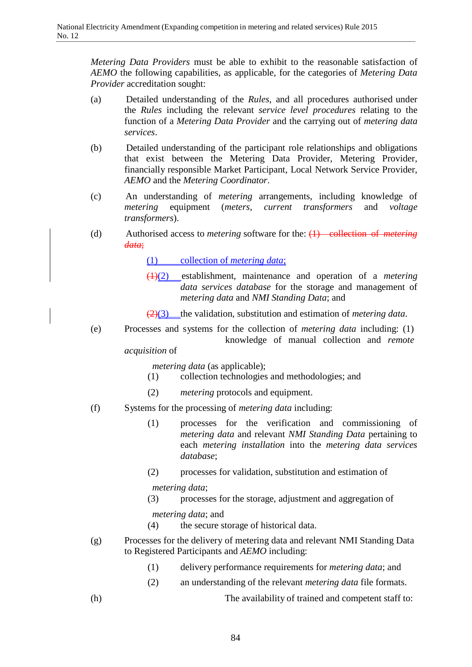*Metering Data Providers* must be able to exhibit to the reasonable satisfaction of *AEMO* the following capabilities, as applicable, for the categories of *Metering Data Provider* accreditation sought:

- (a) Detailed understanding of the *Rules*, and all procedures authorised under the *Rules* including the relevant *service level procedures* relating to the function of a *Metering Data Provider* and the carrying out of *metering data services*.
- (b) Detailed understanding of the participant role relationships and obligations that exist between the Metering Data Provider, Metering Provider, financially responsible Market Participant, Local Network Service Provider, *AEMO* and the *Metering Coordinator*.
- (c) An understanding of *metering* arrangements, including knowledge of *metering* equipment (*meters*, *current transformers* and *voltage transformers*).
- (d) Authorised access to *metering* software for the: (1) collection of *metering data*;
	- (1) collection of *metering data*;
	- (1)(2) establishment, maintenance and operation of a *metering data services database* for the storage and management of *metering data* and *NMI Standing Data*; and
	- (2)(3) the validation, substitution and estimation of *metering data*.
- (e) Processes and systems for the collection of *metering data* including: (1) knowledge of manual collection and *remote*

*acquisition* of

*metering data* (as applicable);

- (1) collection technologies and methodologies; and
- (2) *metering* protocols and equipment.
- (f) Systems for the processing of *metering data* including:
	- (1) processes for the verification and commissioning of *metering data* and relevant *NMI Standing Data* pertaining to each *metering installation* into the *metering data services database*;
	- (2) processes for validation, substitution and estimation of

*metering data*;

(3) processes for the storage, adjustment and aggregation of

*metering data*; and

(4) the secure storage of historical data.

- (g) Processes for the delivery of metering data and relevant NMI Standing Data to Registered Participants and *AEMO* including:
	- (1) delivery performance requirements for *metering data*; and
	- (2) an understanding of the relevant *metering data* file formats.
- 
- (h) The availability of trained and competent staff to: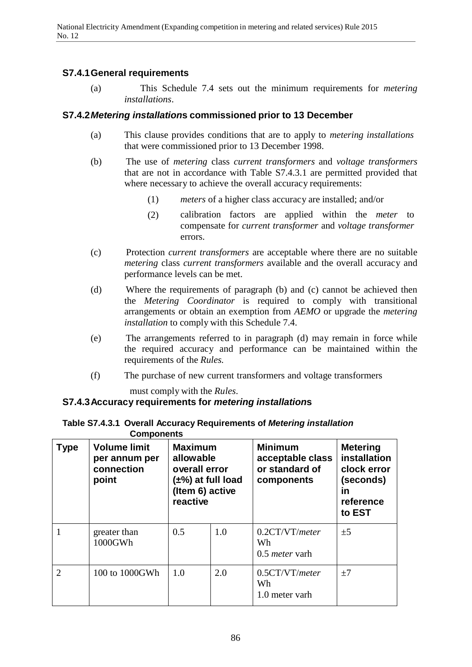# **S7.4.1General requirements**

(a) This Schedule 7.4 sets out the minimum requirements for *metering installations*.

# **S7.4.2***Metering installation***s commissioned prior to 13 December**

- (a) This clause provides conditions that are to apply to *metering installations* that were commissioned prior to 13 December 1998.
- (b) The use of *metering* class *current transformers* and *voltage transformers*  that are not in accordance with Table S7.4.3.1 are permitted provided that where necessary to achieve the overall accuracy requirements:
	- (1) *meters* of a higher class accuracy are installed; and/or
	- (2) calibration factors are applied within the *meter* to compensate for *current transformer* and *voltage transformer* errors.
- (c) Protection *current transformers* are acceptable where there are no suitable *metering* class *current transformers* available and the overall accuracy and performance levels can be met.
- (d) Where the requirements of paragraph (b) and (c) cannot be achieved then the *Metering Coordinator* is required to comply with transitional arrangements or obtain an exemption from *AEMO* or upgrade the *metering installation* to comply with this Schedule 7.4.
- (e) The arrangements referred to in paragraph (d) may remain in force while the required accuracy and performance can be maintained within the requirements of the *Rules*.
- (f) The purchase of new current transformers and voltage transformers

must comply with the *Rules*.

# **S7.4.3Accuracy requirements for** *metering installation***s**

**Table S7.4.3.1 Overall Accuracy Requirements of** *Metering installation* **Components**

| <b>Type</b>    | <b>Volume limit</b><br>per annum per<br>connection<br>point | <b>Maximum</b><br>allowable<br>overall error<br>$(\pm\%)$ at full load<br>(Item 6) active<br>reactive |     | <b>Minimum</b><br>acceptable class<br>or standard of<br>components | <b>Metering</b><br>installation<br>clock error<br>(seconds)<br>in<br>reference<br>to EST |
|----------------|-------------------------------------------------------------|-------------------------------------------------------------------------------------------------------|-----|--------------------------------------------------------------------|------------------------------------------------------------------------------------------|
|                | greater than<br>1000GWh                                     | 0.5                                                                                                   | 1.0 | 0.2CT/VT/meter<br>Wh<br>$0.5$ <i>meter</i> varh                    | $\pm 5$                                                                                  |
| $\overline{2}$ | 100 to 1000GWh                                              | 1.0                                                                                                   | 2.0 | 0.5CT/VT/meter<br>Wh<br>1.0 meter varh                             | $\pm 7$                                                                                  |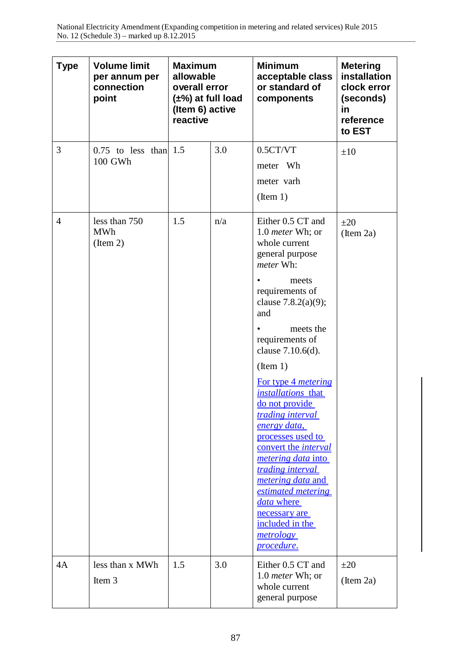| <b>Type</b>    | <b>Volume limit</b><br>per annum per<br>connection<br>point | <b>Maximum</b><br>allowable<br>overall error<br>$(\pm\%)$ at full load<br>(Item 6) active<br>reactive |     | <b>Minimum</b><br>acceptable class<br>or standard of<br>components                                                                                                                                                                                                                                                                                                                                                                                                                                                                                                                             | <b>Metering</b><br>installation<br>clock error<br>(seconds)<br>in<br>reference<br>to EST |
|----------------|-------------------------------------------------------------|-------------------------------------------------------------------------------------------------------|-----|------------------------------------------------------------------------------------------------------------------------------------------------------------------------------------------------------------------------------------------------------------------------------------------------------------------------------------------------------------------------------------------------------------------------------------------------------------------------------------------------------------------------------------------------------------------------------------------------|------------------------------------------------------------------------------------------|
| 3              | $0.75$ to less than 1.5<br>100 GWh                          |                                                                                                       | 3.0 | 0.5CT/VT<br>meter Wh<br>meter varh<br>(Item 1)                                                                                                                                                                                                                                                                                                                                                                                                                                                                                                                                                 | $\pm 10$                                                                                 |
| $\overline{4}$ | less than 750<br><b>MWh</b><br>(Item 2)                     | 1.5                                                                                                   | n/a | Either 0.5 CT and<br>1.0 <i>meter</i> Wh; or<br>whole current<br>general purpose<br>meter Wh:<br>meets<br>requirements of<br>clause $7.8.2(a)(9)$ ;<br>and<br>meets the<br>requirements of<br>clause 7.10.6(d).<br>(Item 1)<br>For type 4 <i>metering</i><br>installations that<br>do not provide<br><i><u>trading interval</u></i><br>energy data,<br>processes used to<br>convert the <i>interval</i><br><i><u>metering data into</u></i><br>trading interval<br><i>metering data and</i><br>estimated metering<br>data where<br>necessary are<br>included in the<br>metrology<br>procedure. | $\pm 20$<br>$($ Item 2a $)$                                                              |
| 4A             | less than x MWh<br>Item 3                                   | 1.5                                                                                                   | 3.0 | Either 0.5 CT and<br>1.0 meter Wh; or<br>whole current<br>general purpose                                                                                                                                                                                                                                                                                                                                                                                                                                                                                                                      | $\pm 20$<br>$($ Item 2a $)$                                                              |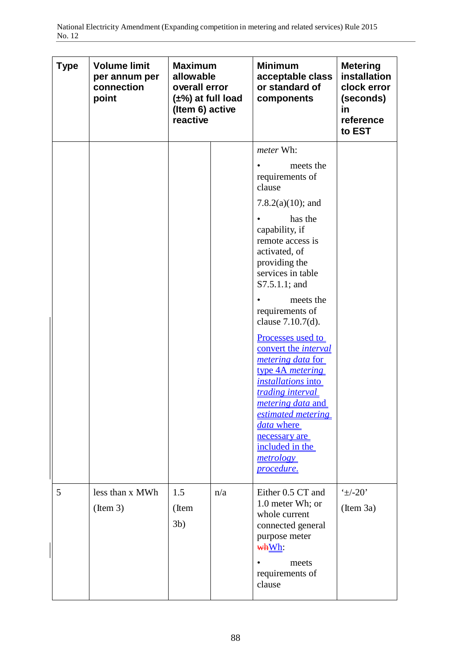| <b>Type</b> | <b>Volume limit</b><br>per annum per<br>connection<br>point | <b>Maximum</b><br>allowable<br>overall error<br>$(\pm\%)$ at full load<br>(Item 6) active<br>reactive |     | <b>Minimum</b><br>acceptable class<br>or standard of<br>components                                                                                                                                                                                                                                                                                                                                                                                                                                                                                          | <b>Metering</b><br>installation<br>clock error<br>(seconds)<br>in<br>reference<br>to EST |
|-------------|-------------------------------------------------------------|-------------------------------------------------------------------------------------------------------|-----|-------------------------------------------------------------------------------------------------------------------------------------------------------------------------------------------------------------------------------------------------------------------------------------------------------------------------------------------------------------------------------------------------------------------------------------------------------------------------------------------------------------------------------------------------------------|------------------------------------------------------------------------------------------|
|             |                                                             |                                                                                                       |     | meter Wh:<br>meets the<br>requirements of<br>clause<br>7.8.2(a)(10); and<br>has the<br>capability, if<br>remote access is<br>activated, of<br>providing the<br>services in table<br>$S7.5.1.1$ ; and<br>meets the<br>requirements of<br>clause 7.10.7(d).<br><u>Processes used to</u><br>convert the <i>interval</i><br><i>metering data</i> for<br>type 4A <i>metering</i><br><i>installations</i> into<br>trading interval<br><i>metering data and</i><br>estimated metering<br>data where<br>necessary are<br>included in the<br>metrology<br>procedure. |                                                                                          |
| 5           | less than x MWh<br>(Item 3)                                 | 1.5<br>(Item<br>$3b$ )                                                                                | n/a | Either 0.5 CT and<br>1.0 meter Wh; or<br>whole current<br>connected general<br>purpose meter<br>whWh:<br>meets<br>requirements of<br>clause                                                                                                                                                                                                                                                                                                                                                                                                                 | $\pm$ /-20'<br>(Item 3a)                                                                 |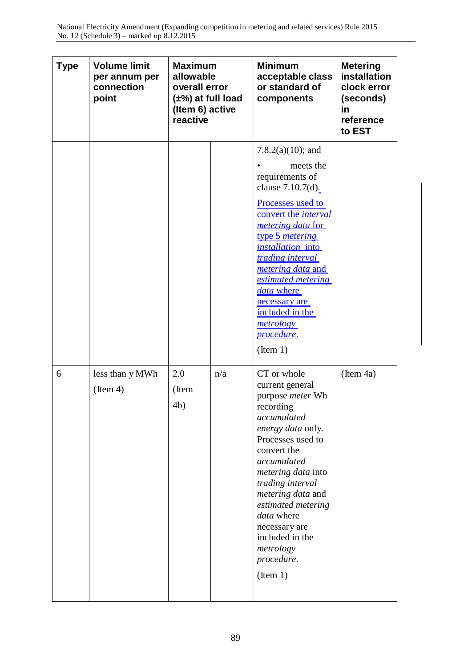| <b>Type</b> | <b>Volume limit</b><br>per annum per<br>connection<br>point | <b>Maximum</b><br>allowable<br>overall error<br>$(\pm\%)$ at full load<br>(Item 6) active<br>reactive |     | <b>Minimum</b><br>acceptable class<br>or standard of<br>components                                                                                                                                                                                                                                                                                                             | <b>Metering</b><br>installation<br>clock error<br>(seconds)<br>in<br>reference<br>to EST |
|-------------|-------------------------------------------------------------|-------------------------------------------------------------------------------------------------------|-----|--------------------------------------------------------------------------------------------------------------------------------------------------------------------------------------------------------------------------------------------------------------------------------------------------------------------------------------------------------------------------------|------------------------------------------------------------------------------------------|
|             |                                                             |                                                                                                       |     | $7.8.2(a)(10)$ ; and<br>meets the<br>requirements of<br>clause 7.10.7(d).<br>Processes used to<br>convert the <i>interval</i><br><i><u>metering data for</u></i><br>type 5 <i>metering</i><br>installation into<br>trading interval<br><i>metering data and</i><br>estimated metering<br>data where<br>necessary are<br>included in the<br>metrology<br>procedure.<br>(Item 1) |                                                                                          |
| 6           | less than y MWh<br>(Item 4)                                 | 2.0<br>(Item<br>4b)                                                                                   | n/a | CT or whole<br>current general<br>purpose meter Wh<br>recording<br>accumulated<br>energy data only.<br>Processes used to<br>convert the<br>accumulated<br>metering data into<br>trading interval<br><i>metering data</i> and<br>estimated metering<br>data where<br>necessary are<br>included in the<br>metrology<br>procedure.<br>(Item 1)                                    | $($ Item 4a $)$                                                                          |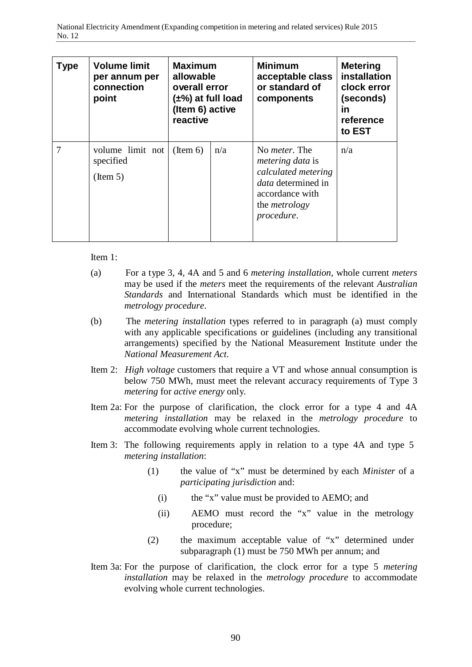| Type | <b>Volume limit</b><br>per annum per<br>connection<br>point | <b>Maximum</b><br>allowable<br>overall error<br>(±%) at full load<br>(Item 6) active<br>reactive |     | <b>Minimum</b><br>acceptable class<br>or standard of<br>components                                                                                            | <b>Metering</b><br>installation<br>clock error<br>(seconds)<br>ın<br>reference<br>to EST |
|------|-------------------------------------------------------------|--------------------------------------------------------------------------------------------------|-----|---------------------------------------------------------------------------------------------------------------------------------------------------------------|------------------------------------------------------------------------------------------|
|      | volume limit not<br>specified<br>(Item 5)                   | $($ Item 6 $)$                                                                                   | n/a | No <i>meter</i> . The<br><i>metering data</i> is<br>calculated metering<br><i>data</i> determined in<br>accordance with<br>the <i>metrology</i><br>procedure. | n/a                                                                                      |

Item 1:

- (a) For a type 3, 4, 4A and 5 and 6 *metering installation*, whole current *meters*  may be used if the *meters* meet the requirements of the relevant *Australian Standards* and International Standards which must be identified in the *metrology procedure*.
- (b) The *metering installation* types referred to in paragraph (a) must comply with any applicable specifications or guidelines (including any transitional arrangements) specified by the National Measurement Institute under the *National Measurement Act*.
- Item 2: *High voltage* customers that require a VT and whose annual consumption is below 750 MWh, must meet the relevant accuracy requirements of Type 3 *metering* for *active energy* only.
- Item 2a: For the purpose of clarification, the clock error for a type 4 and 4A *metering installation* may be relaxed in the *metrology procedure* to accommodate evolving whole current technologies.
- Item 3: The following requirements apply in relation to a type 4A and type 5 *metering installation*:
	- (1) the value of "x" must be determined by each *Minister* of a *participating jurisdiction* and:
		- (i) the "x" value must be provided to AEMO; and
		- (ii) AEMO must record the "x" value in the metrology procedure;
	- (2) the maximum acceptable value of "x" determined under subparagraph (1) must be 750 MWh per annum; and
- Item 3a: For the purpose of clarification, the clock error for a type 5 *metering installation* may be relaxed in the *metrology procedure* to accommodate evolving whole current technologies.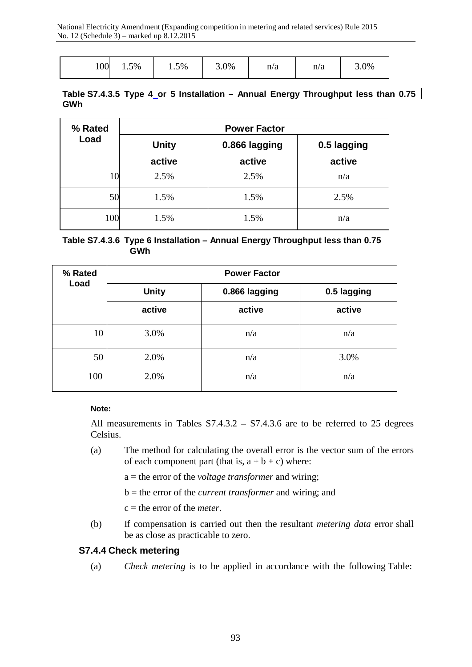| 100<br>$1.5\%$<br>$1.5\%$ | $3.0\%$ | n/a<br>n/a | $5.0\%$ |
|---------------------------|---------|------------|---------|
|---------------------------|---------|------------|---------|

#### **Table S7.4.3.5 Type 4 or 5 Installation – Annual Energy Throughput less than 0.75 GWh**

| % Rated | <b>Power Factor</b> |               |             |  |  |
|---------|---------------------|---------------|-------------|--|--|
| Load    | <b>Unity</b>        | 0.866 lagging | 0.5 lagging |  |  |
|         | active              | active        | active      |  |  |
| 10      | 2.5%                | 2.5%          | n/a         |  |  |
| 50      | 1.5%                | 1.5%          | 2.5%        |  |  |
| 100     | 1.5%                | 1.5%          | n/a         |  |  |

#### **Table S7.4.3.6 Type 6 Installation – Annual Energy Throughput less than 0.75 GWh**

| % Rated | <b>Power Factor</b> |               |             |  |  |
|---------|---------------------|---------------|-------------|--|--|
| Load    | <b>Unity</b>        | 0.866 lagging | 0.5 lagging |  |  |
|         | active              | active        | active      |  |  |
| 10      | 3.0%                | n/a           | n/a         |  |  |
| 50      | 2.0%                | n/a           | 3.0%        |  |  |
| 100     | 2.0%                | n/a           | n/a         |  |  |

#### **Note:**

All measurements in Tables S7.4.3.2 – S7.4.3.6 are to be referred to 25 degrees Celsius.

(a) The method for calculating the overall error is the vector sum of the errors of each component part (that is,  $a + b + c$ ) where:

a = the error of the *voltage transformer* and wiring;

- b = the error of the *current transformer* and wiring; and
- c = the error of the *meter*.
- (b) If compensation is carried out then the resultant *metering data* error shall be as close as practicable to zero.

#### **S7.4.4 Check metering**

(a) *Check metering* is to be applied in accordance with the following Table: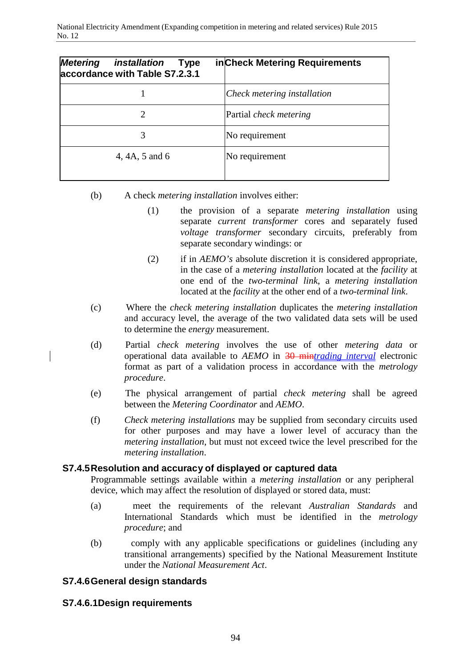| <b>Metering</b><br>installation<br><b>Type</b><br>accordance with Table S7.2.3.1 | in Check Metering Requirements |
|----------------------------------------------------------------------------------|--------------------------------|
|                                                                                  | Check metering installation    |
|                                                                                  | Partial <i>check metering</i>  |
| 3                                                                                | No requirement                 |
| 4, 4A, 5 and 6                                                                   | No requirement                 |

- (b) A check *metering installation* involves either:
	- (1) the provision of a separate *metering installation* using separate *current transformer* cores and separately fused *voltage transformer* secondary circuits, preferably from separate secondary windings: or
	- (2) if in *AEMO's* absolute discretion it is considered appropriate, in the case of a *metering installation* located at the *facility* at one end of the *two-terminal link*, a *metering installation*  located at the *facility* at the other end of a *two-terminal link*.
- (c) Where the *check metering installation* duplicates the *metering installation*  and accuracy level, the average of the two validated data sets will be used to determine the *energy* measurement.
- (d) Partial *check metering* involves the use of other *metering data* or operational data available to *AEMO* in 30 min*trading interval* electronic format as part of a validation process in accordance with the *metrology procedure*.
- (e) The physical arrangement of partial *check metering* shall be agreed between the *Metering Coordinator* and *AEMO*.
- (f) *Check metering installations* may be supplied from secondary circuits used for other purposes and may have a lower level of accuracy than the *metering installation*, but must not exceed twice the level prescribed for the *metering installation*.

# **S7.4.5Resolution and accuracy of displayed or captured data**

Programmable settings available within a *metering installation* or any peripheral device, which may affect the resolution of displayed or stored data, must:

- (a) meet the requirements of the relevant *Australian Standards* and International Standards which must be identified in the *metrology procedure*; and
- (b) comply with any applicable specifications or guidelines (including any transitional arrangements) specified by the National Measurement Institute under the *National Measurement Act*.

# **S7.4.6General design standards**

# **S7.4.6.1Design requirements**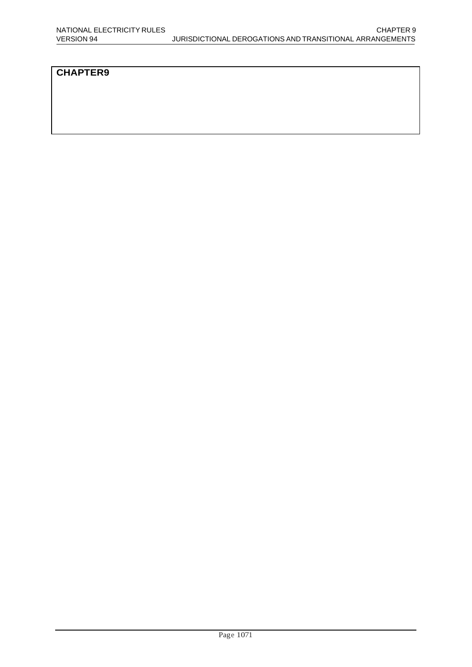# **CHAPTER9**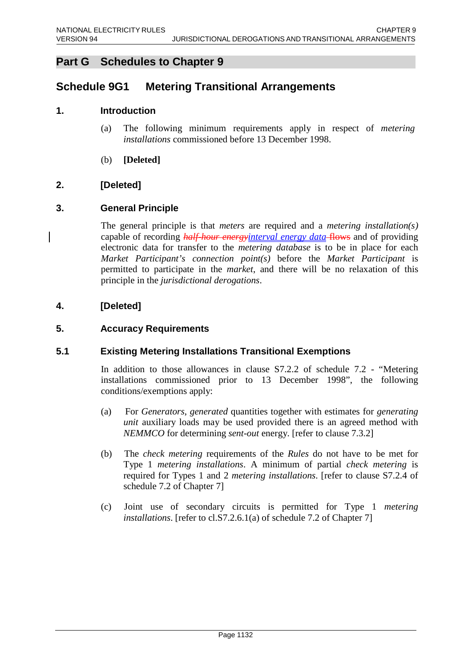# **Part G Schedules to Chapter 9**

# **Schedule 9G1 Metering Transitional Arrangements**

# **1. Introduction**

- (a) The following minimum requirements apply in respect of *metering installations* commissioned before 13 December 1998.
- (b) **[Deleted]**

# **2. [Deleted]**

# **3. General Principle**

The general principle is that *meters* are required and a *metering installation(s)*  capable of recording *half-hour energyinterval energy data* flows and of providing electronic data for transfer to the *metering database* is to be in place for each *Market Participant's connection point(s)* before the *Market Participant* is permitted to participate in the *market*, and there will be no relaxation of this principle in the *jurisdictional derogations*.

# **4. [Deleted]**

#### **5. Accuracy Requirements**

# **5.1 Existing Metering Installations Transitional Exemptions**

In addition to those allowances in clause S7.2.2 of schedule 7.2 - "Metering installations commissioned prior to 13 December 1998", the following conditions/exemptions apply:

- (a) For *Generators*, *generated* quantities together with estimates for *generating unit* auxiliary loads may be used provided there is an agreed method with *NEMMCO* for determining *sent-out* energy. [refer to clause 7.3.2]
- (b) The *check metering* requirements of the *Rules* do not have to be met for Type 1 *metering installations*. A minimum of partial *check metering* is required for Types 1 and 2 *metering installations*. [refer to clause S7.2.4 of schedule 7.2 of Chapter 7]
- (c) Joint use of secondary circuits is permitted for Type 1 *metering installations*. [refer to cl.S7.2.6.1(a) of schedule 7.2 of Chapter 7]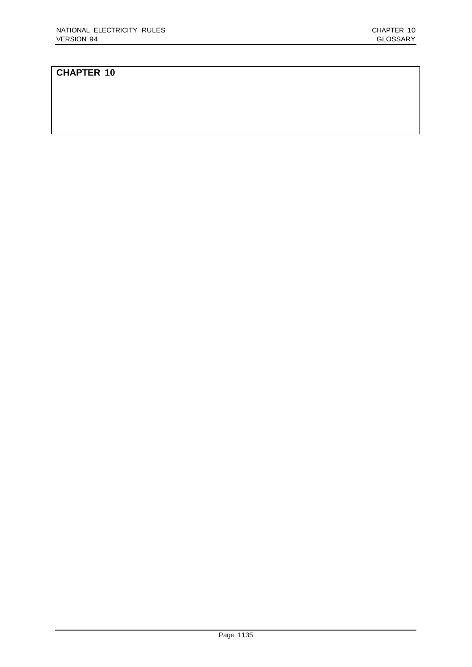#### **CHAPTER 10**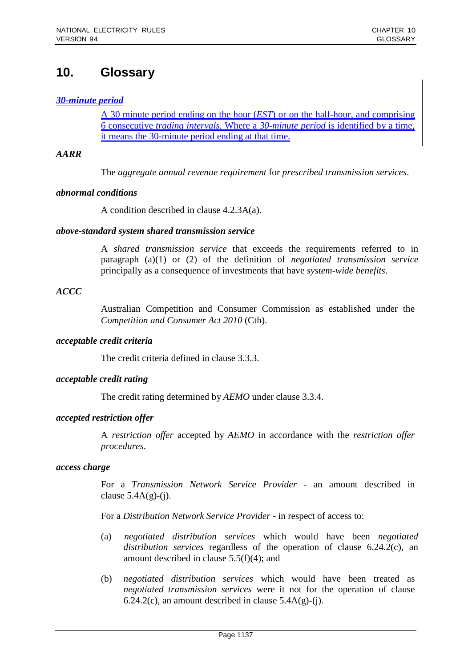# **10. Glossary**

# *30-minute period*

A 30 minute period ending on the hour (*EST*) or on the half-hour, and comprising 6 consecutive *trading intervals.* Where a *30-minute period* is identified by a time, it means the 30-minute period ending at that time.

#### *AARR*

The *aggregate annual revenue requirement* for *prescribed transmission services*.

#### *abnormal conditions*

A condition described in clause 4.2.3A(a).

#### *above-standard system shared transmission service*

A *shared transmission service* that exceeds the requirements referred to in paragraph (a)(1) or (2) of the definition of *negotiated transmission service*  principally as a consequence of investments that have *system-wide benefits*.

#### *ACCC*

Australian Competition and Consumer Commission as established under the *Competition and Consumer Act 2010* (Cth).

#### *acceptable credit criteria*

The credit criteria defined in clause 3.3.3.

#### *acceptable credit rating*

The credit rating determined by *AEMO* under clause 3.3.4.

#### *accepted restriction offer*

A *restriction offer* accepted by *AEMO* in accordance with the *restriction offer procedures*.

#### *access charge*

For a *Transmission Network Service Provider* - an amount described in clause  $5.4A(g)-(j)$ .

For a *Distribution Network Service Provider* - in respect of access to:

- (a) *negotiated distribution services* which would have been *negotiated distribution services* regardless of the operation of clause 6.24.2(c), an amount described in clause 5.5(f)(4); and
- (b) *negotiated distribution services* which would have been treated as *negotiated transmission services* were it not for the operation of clause 6.24.2(c), an amount described in clause  $5.4A(g)-(i)$ .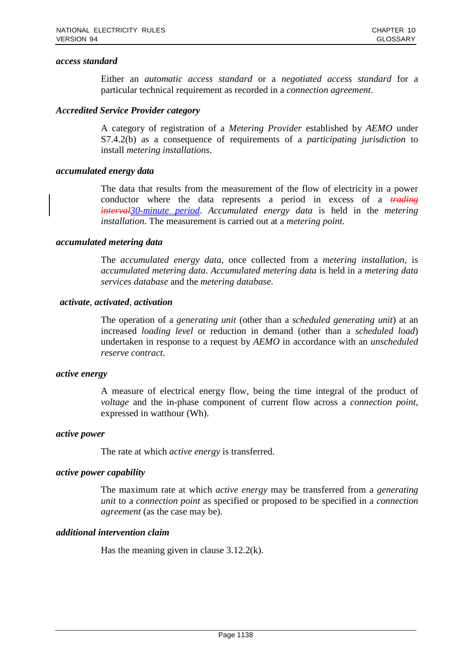#### *access standard*

Either an *automatic access standard* or a *negotiated access standard* for a particular technical requirement as recorded in a *connection agreement*.

#### *Accredited Service Provider category*

A category of registration of a *Metering Provider* established by *AEMO* under S7.4.2(b) as a consequence of requirements of a *participating jurisdiction* to install *metering installations*.

#### *accumulated energy data*

The data that results from the measurement of the flow of electricity in a power conductor where the data represents a period in excess of a *trading interval30-minute period*. *Accumulated energy data* is held in the *metering installation*. The measurement is carried out at a *metering point*.

#### *accumulated metering data*

The *accumulated energy data*, once collected from a *metering installation*, is *accumulated metering data*. *Accumulated metering data* is held in a *metering data services database* and the *metering database*.

#### *activate*, *activated*, *activation*

The operation of a *generating unit* (other than a *scheduled generating unit*) at an increased *loading level* or reduction in demand (other than a *scheduled load*) undertaken in response to a request by *AEMO* in accordance with an *unscheduled reserve contract*.

#### *active energy*

A measure of electrical energy flow, being the time integral of the product of *voltage* and the in-phase component of current flow across a *connection point*, expressed in watthour (Wh).

#### *active power*

The rate at which *active energy* is transferred.

#### *active power capability*

The maximum rate at which *active energy* may be transferred from a *generating unit* to a *connection point* as specified or proposed to be specified in a *connection agreement* (as the case may be).

#### *additional intervention claim*

Has the meaning given in clause 3.12.2(k).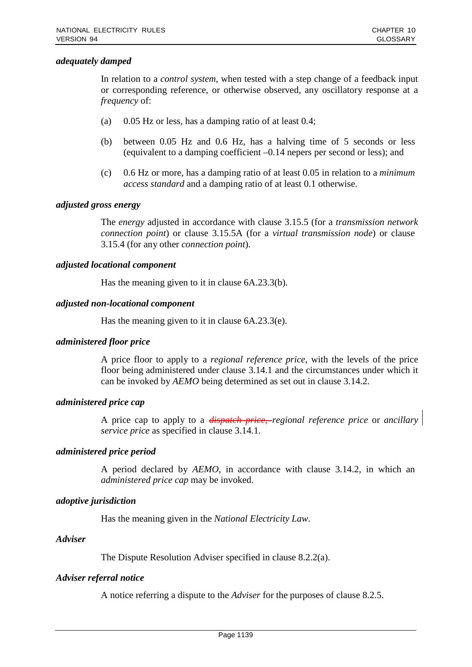# *adequately damped*

In relation to a *control system*, when tested with a step change of a feedback input or corresponding reference, or otherwise observed, any oscillatory response at a *frequency* of:

- (a) 0.05 Hz or less, has a damping ratio of at least 0.4;
- (b) between 0.05 Hz and 0.6 Hz, has a halving time of 5 seconds or less (equivalent to a damping coefficient –0.14 nepers per second or less); and
- (c) 0.6 Hz or more, has a damping ratio of at least 0.05 in relation to a *minimum access standard* and a damping ratio of at least 0.1 otherwise.

#### *adjusted gross energy*

The *energy* adjusted in accordance with clause 3.15.5 (for a *transmission network connection point*) or clause 3.15.5A (for a *virtual transmission node*) or clause 3.15.4 (for any other *connection point*).

# *adjusted locational component*

Has the meaning given to it in clause 6A.23.3(b).

## *adjusted non-locational component*

Has the meaning given to it in clause 6A.23.3(e).

#### *administered floor price*

A price floor to apply to a *regional reference price*, with the levels of the price floor being administered under clause 3.14.1 and the circumstances under which it can be invoked by *AEMO* being determined as set out in clause 3.14.2.

#### *administered price cap*

A price cap to apply to a *dispatch price*, *regional reference price* or *ancillary service price* as specified in clause 3.14.1.

#### *administered price period*

A period declared by *AEMO*, in accordance with clause 3.14.2, in which an *administered price cap* may be invoked.

# *adoptive jurisdiction*

Has the meaning given in the *National Electricity Law*.

#### *Adviser*

The Dispute Resolution Adviser specified in clause 8.2.2(a).

# *Adviser referral notice*

A notice referring a dispute to the *Adviser* for the purposes of clause 8.2.5.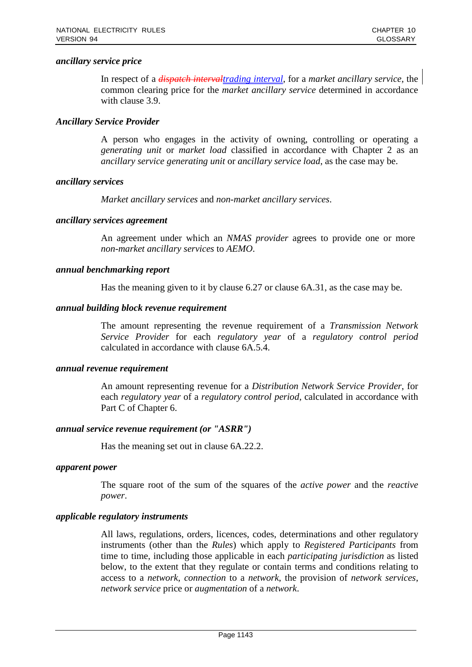## *ancillary service price*

In respect of a *dispatch intervaltrading interval*, for a *market ancillary service*, the common clearing price for the *market ancillary service* determined in accordance with clause 3.9.

# *Ancillary Service Provider*

A person who engages in the activity of owning, controlling or operating a *generating unit* or *market load* classified in accordance with Chapter 2 as an *ancillary service generating unit* or *ancillary service load*, as the case may be.

## *ancillary services*

*Market ancillary services* and *non-market ancillary services*.

#### *ancillary services agreement*

An agreement under which an *NMAS provider* agrees to provide one or more *non-market ancillary services* to *AEMO*.

## *annual benchmarking report*

Has the meaning given to it by clause 6.27 or clause 6A.31, as the case may be.

## *annual building block revenue requirement*

The amount representing the revenue requirement of a *Transmission Network Service Provider* for each *regulatory year* of a *regulatory control period*  calculated in accordance with clause 6A.5.4.

#### *annual revenue requirement*

An amount representing revenue for a *Distribution Network Service Provider*, for each *regulatory year* of a *regulatory control period*, calculated in accordance with Part C of Chapter 6.

#### *annual service revenue requirement (or "ASRR")*

Has the meaning set out in clause 6A.22.2.

#### *apparent power*

The square root of the sum of the squares of the *active power* and the *reactive power*.

#### *applicable regulatory instruments*

All laws, regulations, orders, licences, codes, determinations and other regulatory instruments (other than the *Rules*) which apply to *Registered Participants* from time to time, including those applicable in each *participating jurisdiction* as listed below, to the extent that they regulate or contain terms and conditions relating to access to a *network*, *connection* to a *network*, the provision of *network services*, *network service* price or *augmentation* of a *network*.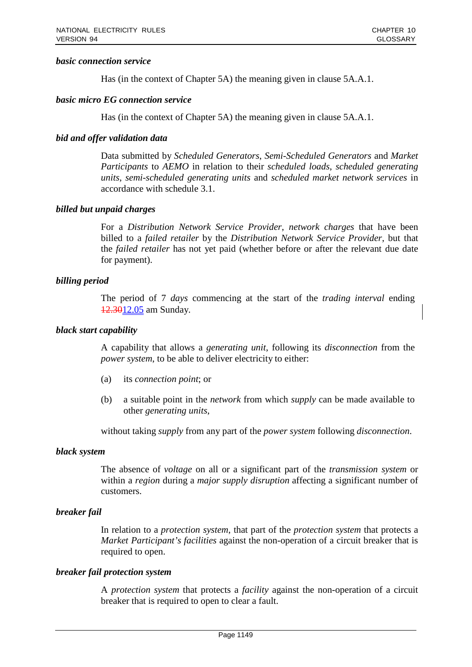## *basic connection service*

Has (in the context of Chapter 5A) the meaning given in clause 5A.A.1.

### *basic micro EG connection service*

Has (in the context of Chapter 5A) the meaning given in clause 5A.A.1.

# *bid and offer validation data*

Data submitted by *Scheduled Generators*, *Semi-Scheduled Generators* and *Market Participants* to *AEMO* in relation to their *scheduled loads*, *scheduled generating units*, *semi-scheduled generating units* and *scheduled market network services* in accordance with schedule 3.1.

# *billed but unpaid charges*

For a *Distribution Network Service Provider*, *network charges* that have been billed to a *failed retailer* by the *Distribution Network Service Provider*, but that the *failed retailer* has not yet paid (whether before or after the relevant due date for payment).

## *billing period*

The period of 7 *days* commencing at the start of the *trading interval* ending 12.3012.05 am Sunday.

### *black start capability*

A capability that allows a *generating unit*, following its *disconnection* from the *power system*, to be able to deliver electricity to either:

- (a) its *connection point*; or
- (b) a suitable point in the *network* from which *supply* can be made available to other *generating units*,

without taking *supply* from any part of the *power system* following *disconnection*.

#### *black system*

The absence of *voltage* on all or a significant part of the *transmission system* or within a *region* during a *major supply disruption* affecting a significant number of customers.

# *breaker fail*

In relation to a *protection system*, that part of the *protection system* that protects a *Market Participant's facilities* against the non-operation of a circuit breaker that is required to open.

#### *breaker fail protection system*

A *protection system* that protects a *facility* against the non-operation of a circuit breaker that is required to open to clear a fault.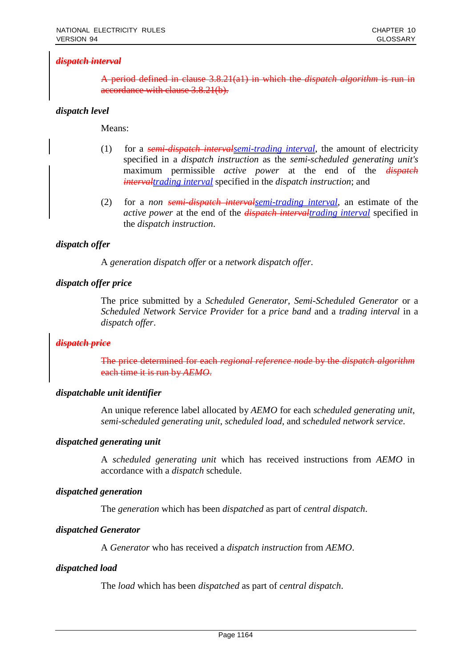# *dispatch interval*

A period defined in clause 3.8.21(a1) in which the *dispatch algorithm* is run in accordance with clause 3.8.21(b).

# *dispatch level*

Means:

- (1) for a *semi-dispatch intervalsemi-trading interval*, the amount of electricity specified in a *dispatch instruction* as the *semi-scheduled generating unit's*  maximum permissible *active power* at the end of the *dispatch intervaltrading interval* specified in the *dispatch instruction*; and
- (2) for a *non semi-dispatch intervalsemi-trading interval*, an estimate of the *active power* at the end of the *dispatch intervaltrading interval* specified in the *dispatch instruction*.

# *dispatch offer*

A *generation dispatch offer* or a *network dispatch offer*.

# *dispatch offer price*

The price submitted by a *Scheduled Generator*, *Semi-Scheduled Generator* or a *Scheduled Network Service Provider* for a *price band* and a *trading interval* in a *dispatch offer*.

# *dispatch price*

The price determined for each *regional reference node* by the *dispatch algorithm* each time it is run by *AEMO*.

# *dispatchable unit identifier*

An unique reference label allocated by *AEMO* for each *scheduled generating unit*, *semi-scheduled generating unit*, *scheduled load*, and *scheduled network service*.

# *dispatched generating unit*

A *scheduled generating unit* which has received instructions from *AEMO* in accordance with a *dispatch* schedule.

# *dispatched generation*

The *generation* which has been *dispatched* as part of *central dispatch*.

# *dispatched Generator*

A *Generator* who has received a *dispatch instruction* from *AEMO*.

#### *dispatched load*

The *load* which has been *dispatched* as part of *central dispatch*.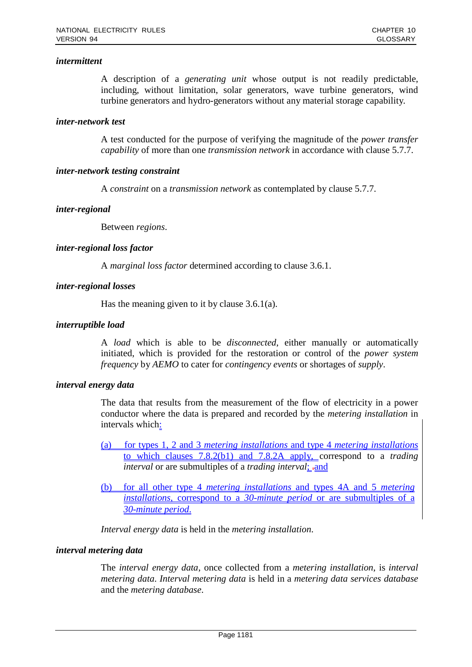## *intermittent*

A description of a *generating unit* whose output is not readily predictable, including, without limitation, solar generators, wave turbine generators, wind turbine generators and hydro-generators without any material storage capability.

### *inter-network test*

A test conducted for the purpose of verifying the magnitude of the *power transfer capability* of more than one *transmission network* in accordance with clause 5.7.7.

## *inter-network testing constraint*

A *constraint* on a *transmission network* as contemplated by clause 5.7.7.

## *inter-regional*

Between *regions*.

## *inter-regional loss factor*

A *marginal loss factor* determined according to clause 3.6.1.

## *inter-regional losses*

Has the meaning given to it by clause 3.6.1(a).

## *interruptible load*

A *load* which is able to be *disconnected*, either manually or automatically initiated, which is provided for the restoration or control of the *power system frequency* by *AEMO* to cater for *contingency events* or shortages of *supply*.

#### *interval energy data*

The data that results from the measurement of the flow of electricity in a power conductor where the data is prepared and recorded by the *metering installation* in intervals which:

- (a) for types 1, 2 and 3 *metering installations* and type 4 *metering installations* to which clauses 7.8.2(b1) and 7.8.2A apply, correspond to a *trading interval* or are submultiples of a *trading interval*; -and
- (b) for all other type 4 *metering installations* and types 4A and 5 *metering installations*, correspond to a *30-minute period* or are submultiples of a *30-minute period*.

*Interval energy data* is held in the *metering installation*.

# *interval metering data*

The *interval energy data*, once collected from a *metering installation*, is *interval metering data*. *Interval metering data* is held in a *metering data services database*  and the *metering database*.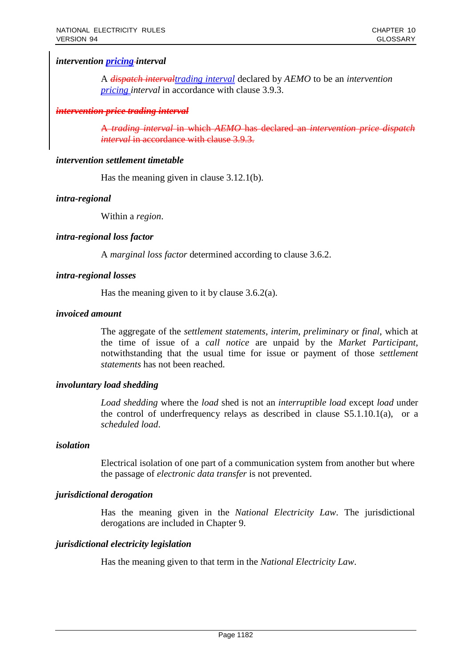# *intervention pricing interval*

A *dispatch intervaltrading interval* declared by *AEMO* to be an *intervention pricing interval* in accordance with clause 3.9.3.

#### *intervention price trading interval*

A *trading interval* in which *AEMO* has declared an *intervention price dispatch interval* in accordance with clause 3.9.3.

### *intervention settlement timetable*

Has the meaning given in clause 3.12.1(b).

## *intra-regional*

Within a *region*.

## *intra-regional loss factor*

A *marginal loss factor* determined according to clause 3.6.2.

## *intra-regional losses*

Has the meaning given to it by clause 3.6.2(a).

## *invoiced amount*

The aggregate of the *settlement statements*, *interim*, *preliminary* or *final*, which at the time of issue of a *call notice* are unpaid by the *Market Participant*, notwithstanding that the usual time for issue or payment of those *settlement statements* has not been reached.

# *involuntary load shedding*

*Load shedding* where the *load* shed is not an *interruptible load* except *load* under the control of underfrequency relays as described in clause S5.1.10.1(a), or a *scheduled load*.

#### *isolation*

Electrical isolation of one part of a communication system from another but where the passage of *electronic data transfer* is not prevented.

#### *jurisdictional derogation*

Has the meaning given in the *National Electricity Law*. The jurisdictional derogations are included in Chapter 9.

# *jurisdictional electricity legislation*

Has the meaning given to that term in the *National Electricity Law*.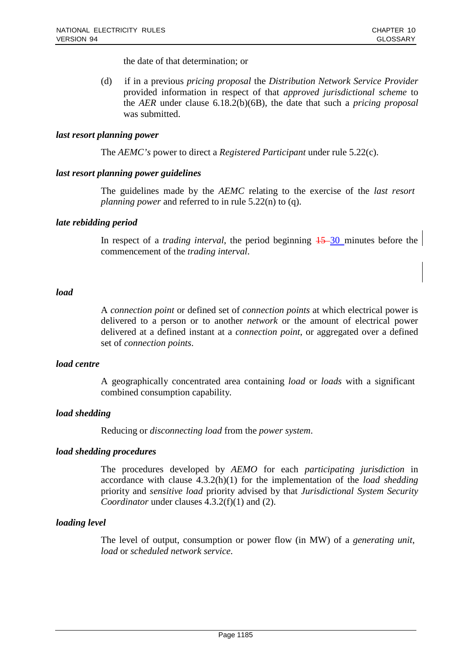the date of that determination; or

(d) if in a previous *pricing proposal* the *Distribution Network Service Provider*  provided information in respect of that *approved jurisdictional scheme* to the *AER* under clause 6.18.2(b)(6B), the date that such a *pricing proposal*  was submitted.

### *last resort planning power*

The *AEMC's* power to direct a *Registered Participant* under rule 5.22(c).

## *last resort planning power guidelines*

The guidelines made by the *AEMC* relating to the exercise of the *last resort planning power* and referred to in rule 5.22(n) to (q).

## *late rebidding period*

In respect of a *trading interval*, the period beginning  $15-30$  minutes before the commencement of the *trading interval*.

## *load*

A *connection point* or defined set of *connection points* at which electrical power is delivered to a person or to another *network* or the amount of electrical power delivered at a defined instant at a *connection point*, or aggregated over a defined set of *connection points*.

### *load centre*

A geographically concentrated area containing *load* or *loads* with a significant combined consumption capability.

# *load shedding*

Reducing or *disconnecting load* from the *power system*.

#### *load shedding procedures*

The procedures developed by *AEMO* for each *participating jurisdiction* in accordance with clause 4.3.2(h)(1) for the implementation of the *load shedding*  priority and *sensitive load* priority advised by that *Jurisdictional System Security Coordinator* under clauses 4.3.2(f)(1) and (2).

# *loading level*

The level of output, consumption or power flow (in MW) of a *generating unit*, *load* or *scheduled network service*.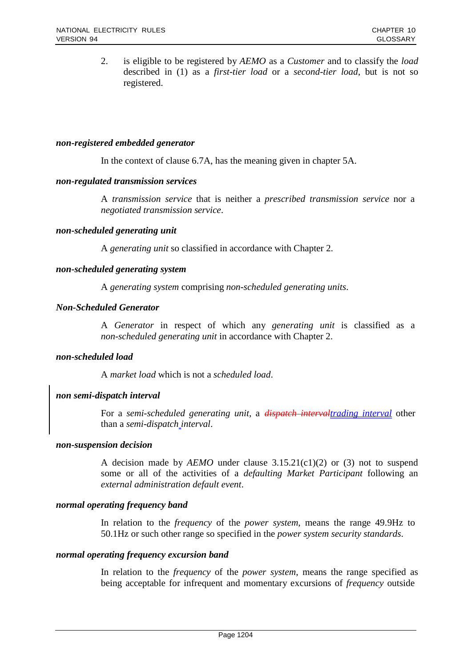2. is eligible to be registered by *AEMO* as a *Customer* and to classify the *load*  described in (1) as a *first-tier load* or a *second-tier load*, but is not so registered.

### *non-registered embedded generator*

In the context of clause 6.7A, has the meaning given in chapter 5A.

## *non-regulated transmission services*

A *transmission service* that is neither a *prescribed transmission service* nor a *negotiated transmission service*.

## *non-scheduled generating unit*

A *generating unit* so classified in accordance with Chapter 2.

## *non-scheduled generating system*

A *generating system* comprising *non-scheduled generating units*.

# *Non-Scheduled Generator*

A *Generator* in respect of which any *generating unit* is classified as a *non-scheduled generating unit* in accordance with Chapter 2.

# *non-scheduled load*

A *market load* which is not a *scheduled load*.

# *non semi-dispatch interval*

For a *semi-scheduled generating unit*, a *dispatch intervaltrading interval* other than a *semi-dispatch interval*.

#### *non-suspension decision*

A decision made by *AEMO* under clause 3.15.21(c1)(2) or (3) not to suspend some or all of the activities of a *defaulting Market Participant* following an *external administration default event*.

#### *normal operating frequency band*

In relation to the *frequency* of the *power system*, means the range 49.9Hz to 50.1Hz or such other range so specified in the *power system security standards*.

#### *normal operating frequency excursion band*

In relation to the *frequency* of the *power system*, means the range specified as being acceptable for infrequent and momentary excursions of *frequency* outside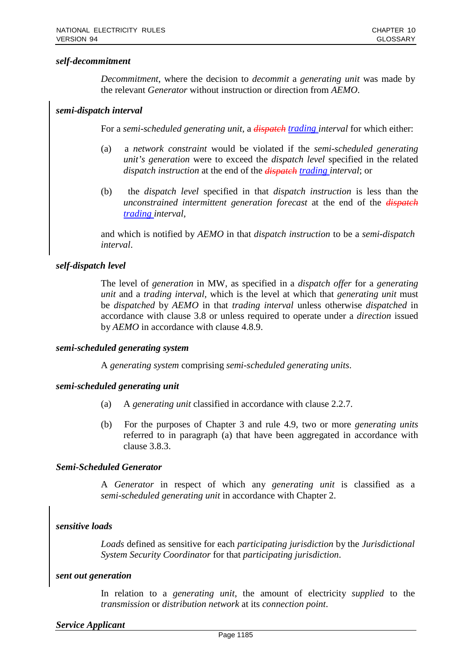## *self-decommitment*

*Decommitment*, where the decision to *decommit* a *generating unit* was made by the relevant *Generator* without instruction or direction from *AEMO*.

## *semi-dispatch interval*

For a *semi-scheduled generating unit*, a *dispatch trading interval* for which either:

- (a) a *network constraint* would be violated if the *semi-scheduled generating unit's generation* were to exceed the *dispatch level* specified in the related *dispatch instruction* at the end of the *dispatch trading interval*; or
- (b) the *dispatch level* specified in that *dispatch instruction* is less than the *unconstrained intermittent generation forecast* at the end of the *dispatch trading interval*,

and which is notified by *AEMO* in that *dispatch instruction* to be a *semi-dispatch interval*.

# *self-dispatch level*

The level of *generation* in MW, as specified in a *dispatch offer* for a *generating unit* and a *trading interval*, which is the level at which that *generating unit* must be *dispatched* by *AEMO* in that *trading interval* unless otherwise *dispatched* in accordance with clause 3.8 or unless required to operate under a *direction* issued by *AEMO* in accordance with clause 4.8.9.

#### *semi-scheduled generating system*

A *generating system* comprising *semi-scheduled generating units*.

#### *semi-scheduled generating unit*

- (a) A *generating unit* classified in accordance with clause 2.2.7.
- (b) For the purposes of Chapter 3 and rule 4.9, two or more *generating units*  referred to in paragraph (a) that have been aggregated in accordance with clause 3.8.3.

#### *Semi-Scheduled Generator*

A *Generator* in respect of which any *generating unit* is classified as a *semi-scheduled generating unit* in accordance with Chapter 2.

# *sensitive loads*

*Loads* defined as sensitive for each *participating jurisdiction* by the *Jurisdictional System Security Coordinator* for that *participating jurisdiction*.

## *sent out generation*

In relation to a *generating unit*, the amount of electricity *supplied* to the *transmission* or *distribution network* at its *connection point*.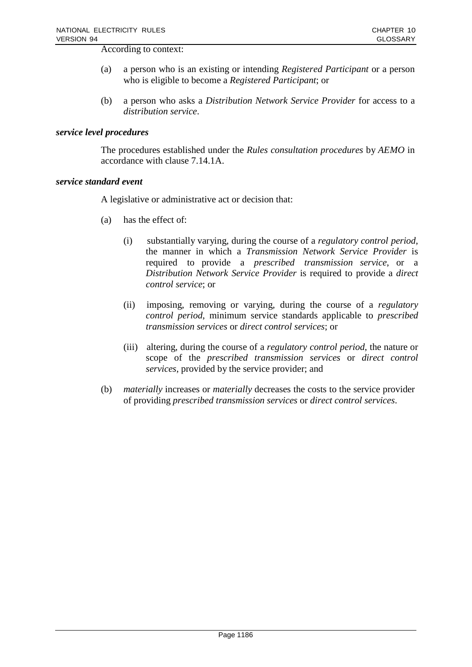According to context:

- (a) a person who is an existing or intending *Registered Participant* or a person who is eligible to become a *Registered Participant*; or
- (b) a person who asks a *Distribution Network Service Provider* for access to a *distribution service*.

## *service level procedures*

The procedures established under the *Rules consultation procedures* by *AEMO* in accordance with clause 7.14.1A.

#### *service standard event*

A legislative or administrative act or decision that:

- (a) has the effect of:
	- (i) substantially varying, during the course of a *regulatory control period*, the manner in which a *Transmission Network Service Provider* is required to provide a *prescribed transmission service*, or a *Distribution Network Service Provider* is required to provide a *direct control service*; or
	- (ii) imposing, removing or varying, during the course of a *regulatory control period*, minimum service standards applicable to *prescribed transmission services* or *direct control services*; or
	- (iii) altering, during the course of a *regulatory control period*, the nature or scope of the *prescribed transmission services* or *direct control services*, provided by the service provider; and
- (b) *materially* increases or *materially* decreases the costs to the service provider of providing *prescribed transmission services* or *direct control services*.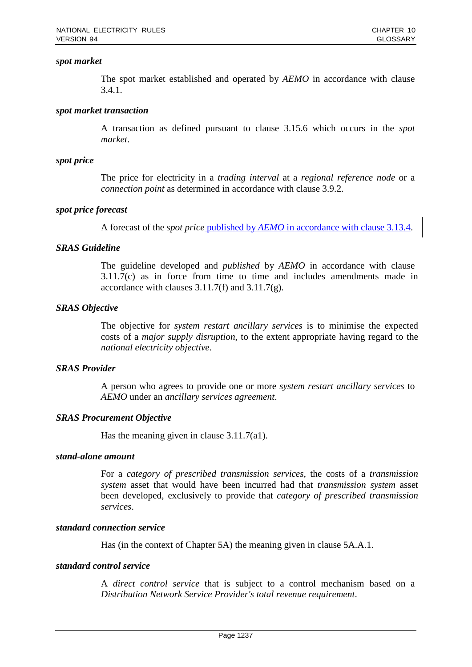## *spot market*

The spot market established and operated by *AEMO* in accordance with clause 3.4.1.

## *spot market transaction*

A transaction as defined pursuant to clause 3.15.6 which occurs in the *spot market*.

## *spot price*

The price for electricity in a *trading interval* at a *regional reference node* or a *connection point* as determined in accordance with clause 3.9.2.

# *spot price forecast*

A forecast of the *spot price* published by *AEMO* in accordance with clause 3.13.4.

## *SRAS Guideline*

The guideline developed and *published* by *AEMO* in accordance with clause 3.11.7(c) as in force from time to time and includes amendments made in accordance with clauses 3.11.7(f) and 3.11.7(g).

## *SRAS Objective*

The objective for *system restart ancillary services* is to minimise the expected costs of a *major supply disruption*, to the extent appropriate having regard to the *national electricity objective*.

# *SRAS Provider*

A person who agrees to provide one or more *system restart ancillary services* to *AEMO* under an *ancillary services agreement*.

# *SRAS Procurement Objective*

Has the meaning given in clause 3.11.7(a1).

### *stand-alone amount*

For a *category of prescribed transmission services*, the costs of a *transmission system* asset that would have been incurred had that *transmission system* asset been developed, exclusively to provide that *category of prescribed transmission services*.

## *standard connection service*

Has (in the context of Chapter 5A) the meaning given in clause 5A.A.1.

## *standard control service*

A *direct control service* that is subject to a control mechanism based on a *Distribution Network Service Provider's total revenue requirement*.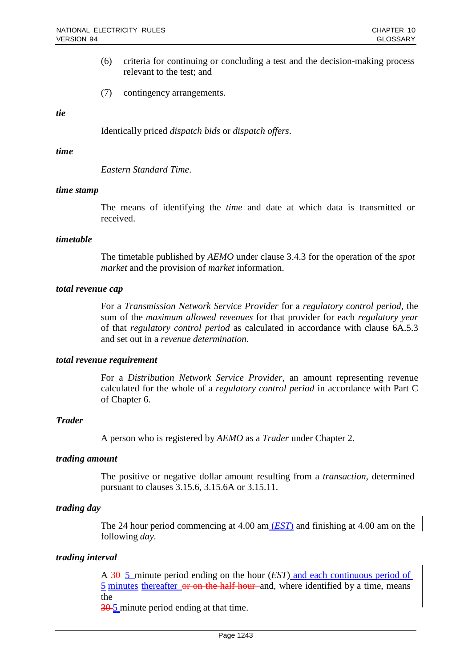- (6) criteria for continuing or concluding a test and the decision-making process relevant to the test; and
- (7) contingency arrangements.

#### *tie*

Identically priced *dispatch bids* or *dispatch offers*.

#### *time*

*Eastern Standard Time*.

#### *time stamp*

The means of identifying the *time* and date at which data is transmitted or received.

#### *timetable*

The timetable published by *AEMO* under clause 3.4.3 for the operation of the *spot market* and the provision of *market* information.

#### *total revenue cap*

For a *Transmission Network Service Provider* for a *regulatory control period*, the sum of the *maximum allowed revenues* for that provider for each *regulatory year*  of that *regulatory control period* as calculated in accordance with clause 6A.5.3 and set out in a *revenue determination*.

#### *total revenue requirement*

For a *Distribution Network Service Provider*, an amount representing revenue calculated for the whole of a *regulatory control period* in accordance with Part C of Chapter 6.

#### *Trader*

A person who is registered by *AEMO* as a *Trader* under Chapter 2.

#### *trading amount*

The positive or negative dollar amount resulting from a *transaction*, determined pursuant to clauses 3.15.6, 3.15.6A or 3.15.11.

# *trading day*

The 24 hour period commencing at 4.00 am (*EST*) and finishing at 4.00 am on the following *day*.

#### *trading interval*

A 30 5 minute period ending on the hour (*EST*) and each continuous period of 5 minutes thereafter or on the half hour and, where identified by a time, means the

30 5 minute period ending at that time.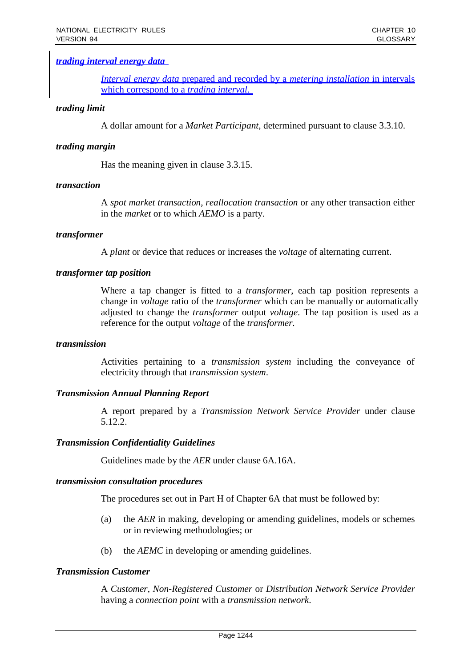# *trading interval energy data*

*Interval energy data* prepared and recorded by a *metering installation* in intervals which correspond to a *trading interval*.

### *trading limit*

A dollar amount for a *Market Participant*, determined pursuant to clause 3.3.10.

### *trading margin*

Has the meaning given in clause 3.3.15.

### *transaction*

A *spot market transaction*, *reallocation transaction* or any other transaction either in the *market* or to which *AEMO* is a party.

## *transformer*

A *plant* or device that reduces or increases the *voltage* of alternating current.

#### *transformer tap position*

Where a tap changer is fitted to a *transformer*, each tap position represents a change in *voltage* ratio of the *transformer* which can be manually or automatically adjusted to change the *transformer* output *voltage*. The tap position is used as a reference for the output *voltage* of the *transformer*.

#### *transmission*

Activities pertaining to a *transmission system* including the conveyance of electricity through that *transmission system*.

# *Transmission Annual Planning Report*

A report prepared by a *Transmission Network Service Provider* under clause 5.12.2.

#### *Transmission Confidentiality Guidelines*

Guidelines made by the *AER* under clause 6A.16A.

#### *transmission consultation procedures*

The procedures set out in Part H of Chapter 6A that must be followed by:

- (a) the *AER* in making, developing or amending guidelines, models or schemes or in reviewing methodologies; or
- (b) the *AEMC* in developing or amending guidelines.

#### *Transmission Customer*

A *Customer*, *Non-Registered Customer* or *Distribution Network Service Provider* having a *connection point* with a *transmission network*.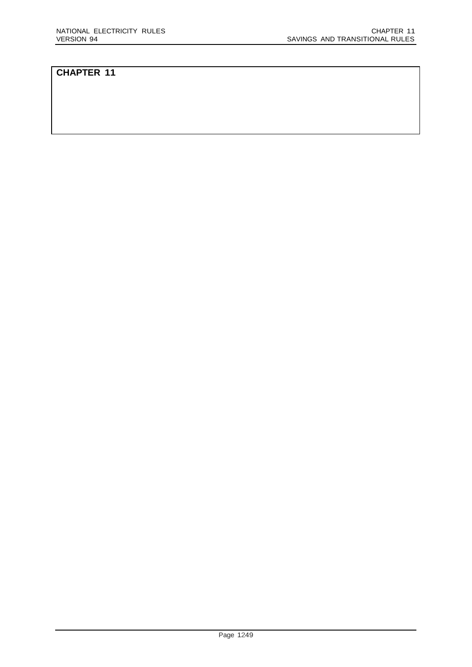# **CHAPTER 11**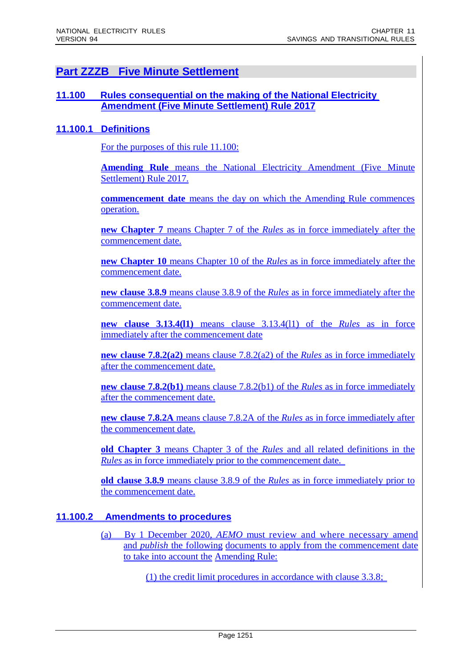# **Part ZZZB Five Minute Settlement**

# **11.100 Rules consequential on the making of the National Electricity Amendment (Five Minute Settlement) Rule 2017**

# **11.100.1 Definitions**

For the purposes of this rule 11.100:

**Amending Rule** means the National Electricity Amendment (Five Minute Settlement) Rule 2017.

**commencement date** means the day on which the Amending Rule commences operation.

**new Chapter 7** means Chapter 7 of the *Rules* as in force immediately after the commencement date.

**new Chapter 10** means Chapter 10 of the *Rules* as in force immediately after the commencement date.

**new clause 3.8.9** means clause 3.8.9 of the *Rules* as in force immediately after the commencement date.

**new clause 3.13.4(l1)** means clause 3.13.4(l1) of the *Rules* as in force immediately after the commencement date

**new clause 7.8.2(a2)** means clause 7.8.2(a2) of the *Rules* as in force immediately after the commencement date.

**new clause 7.8.2(b1)** means clause 7.8.2(b1) of the *Rules* as in force immediately after the commencement date.

**new clause 7.8.2A** means clause 7.8.2A of the *Rules* as in force immediately after the commencement date.

**old Chapter 3** means Chapter 3 of the *Rules* and all related definitions in the *Rules* as in force immediately prior to the commencement date.

**old clause 3.8.9** means clause 3.8.9 of the *Rules* as in force immediately prior to the commencement date.

# **11.100.2 Amendments to procedures**

(a) By 1 December 2020, *AEMO* must review and where necessary amend and *publish* the following documents to apply from the commencement date to take into account the Amending Rule:

(1) the credit limit procedures in accordance with clause 3.3.8;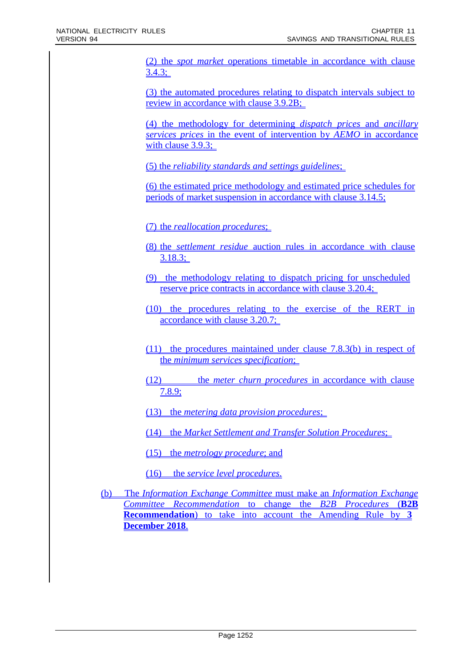(2) the *spot market* operations timetable in accordance with clause  $3.4.3;$ 

(3) the automated procedures relating to dispatch intervals subject to review in accordance with clause 3.9.2B;

(4) the methodology for determining *dispatch prices* and *ancillary services prices* in the event of intervention by *AEMO* in accordance with clause 3.9.3;

(5) the *reliability standards and settings guidelines*;

(6) the estimated price methodology and estimated price schedules for periods of market suspension in accordance with clause 3.14.5;

(7) the *reallocation procedures*;

- (8) the *settlement residue* auction rules in accordance with clause 3.18.3;
- (9) the methodology relating to dispatch pricing for unscheduled reserve price contracts in accordance with clause 3.20.4;
- (10) the procedures relating to the exercise of the RERT in accordance with clause 3.20.7;

(11) the procedures maintained under clause 7.8.3(b) in respect of the *minimum services specification*;

- (12) the *meter churn procedures* in accordance with clause 7.8.9;
- (13) the *metering data provision procedures*;

(14) the *Market Settlement and Transfer Solution Procedures*;

(15) the *metrology procedure*; and

(16) the *service level procedures*.

(b) The *Information Exchange Committee* must make an *Information Exchange Committee Recommendation* to change the *B2B Procedures* (**B2B Recommendation**) to take into account the Amending Rule by **3 December 2018**.